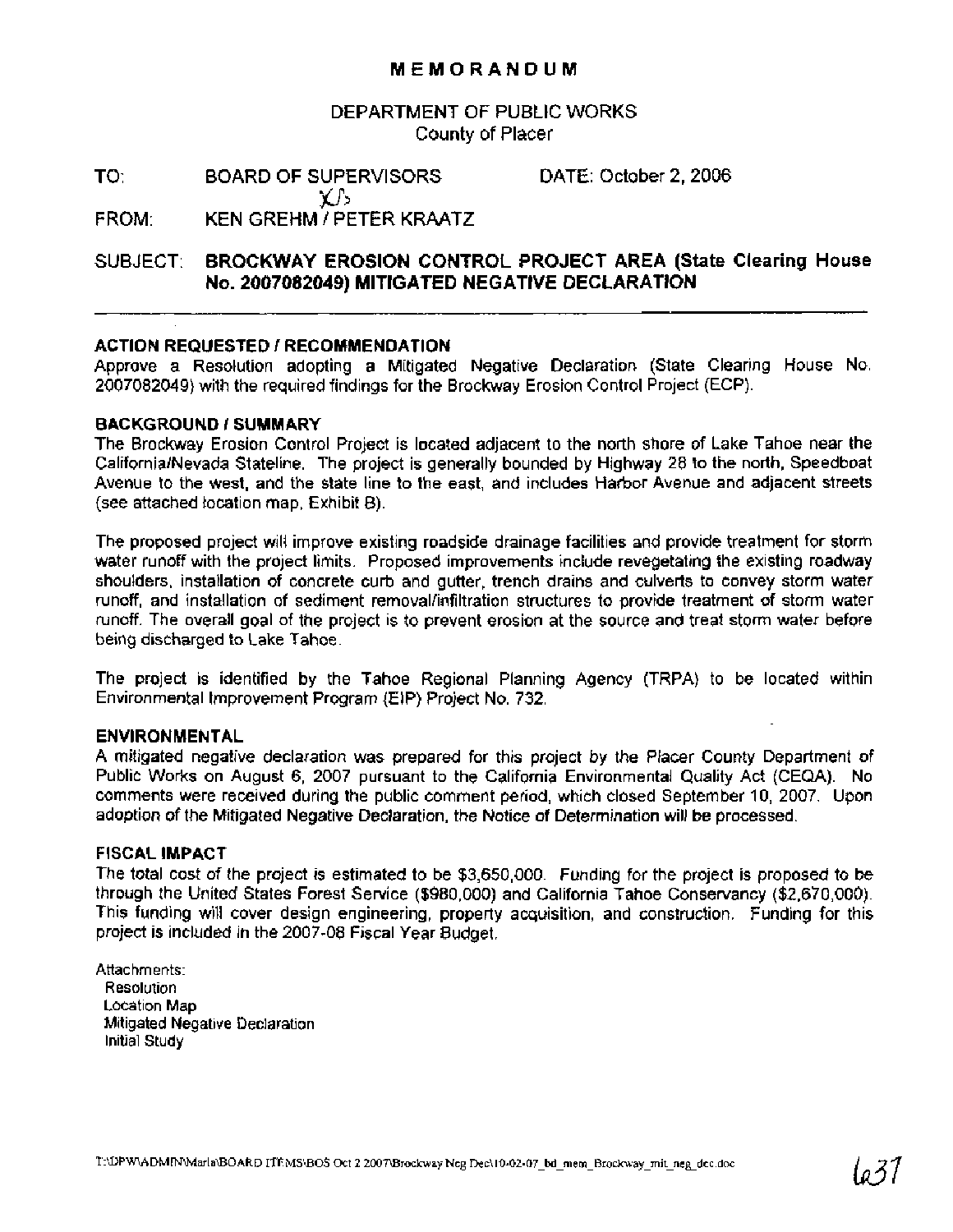### **MEMORANDUM**

DEPARTMENT OF PUBLIC WORKS County of Placer

TO: BOARD OF SUPERVISORS DATE: October 2, 2006 'x3

FROM: KEN GREHM / PETER KRAATZ

SUBJECT: **BROCKWAY EROSION CONTROL PROJECT AREA (State Clearing House No. 2007082049) MITIGATED NEGATIVE DECLARATION** 

#### **ACTION REQUESTED 1 RECOMMENDATION**

Approve a Resolution adopting a Mitigated Negative Declaration (State Clearing House No. 2007082049) with the required findings for the Brockway Erosion Control Project (ECP).

#### **BACKGROUND I SUMMARY**

The Brockway Erosion Control Project is located adjacent to the north shore of Lake Tahoe near the CaliforniaINevada Stateline. The project is generally bounded by Highway 28 to the north, Speedboat Avenue to the west, and the state line to the east, and includes Harbor Avenue and adjacent streets (see attached location map, Exhibit B).

The proposed project will improve existing roadside drainage facilities and provide treatment for storm water runoff with the project limits. Proposed improvements include revegetating the existing roadway shoulders, installation of concrete curb and gutter, trench drains and culverts to convey storm water runoff, and installation of sediment removal/infiltration structures to provide treatment of storm water runoff. The overall goal of the project is to prevent erosion at the source and treat storm water before being discharged to Lake Tahoe.

The project is identified by the Tahoe Regional Planning Agency (TRPA) to be located within Environmental Improvement Program (EIP) Project No. 732.

#### **ENVIRONMENTAL**

A mitigated negative declaration was prepared for this project by the Placer County Department of Public Works on August 6, 2007 pursuant to the California Environmental Quality Act (CEQA). No comments were received during the public comment period, which closed September 10, 2007. Upon adoption of the Mitigated Negative Declaration, the Notice of Determination will be processed.

#### **FISCAL IMPACT**

The total cost of the project is estimated to be \$3,650,000. Funding for the project is proposed to be through the United States Forest Service (\$980,000) and California Tahoe Conservancy (\$2,670,000). This funding will cover design engineering, property acquisition, and construction. Funding for this project is included in the 2007-08 Fiscal Year Budget.

Attachments: Resolution Location Map Mitigated Negative Declaration Initial Study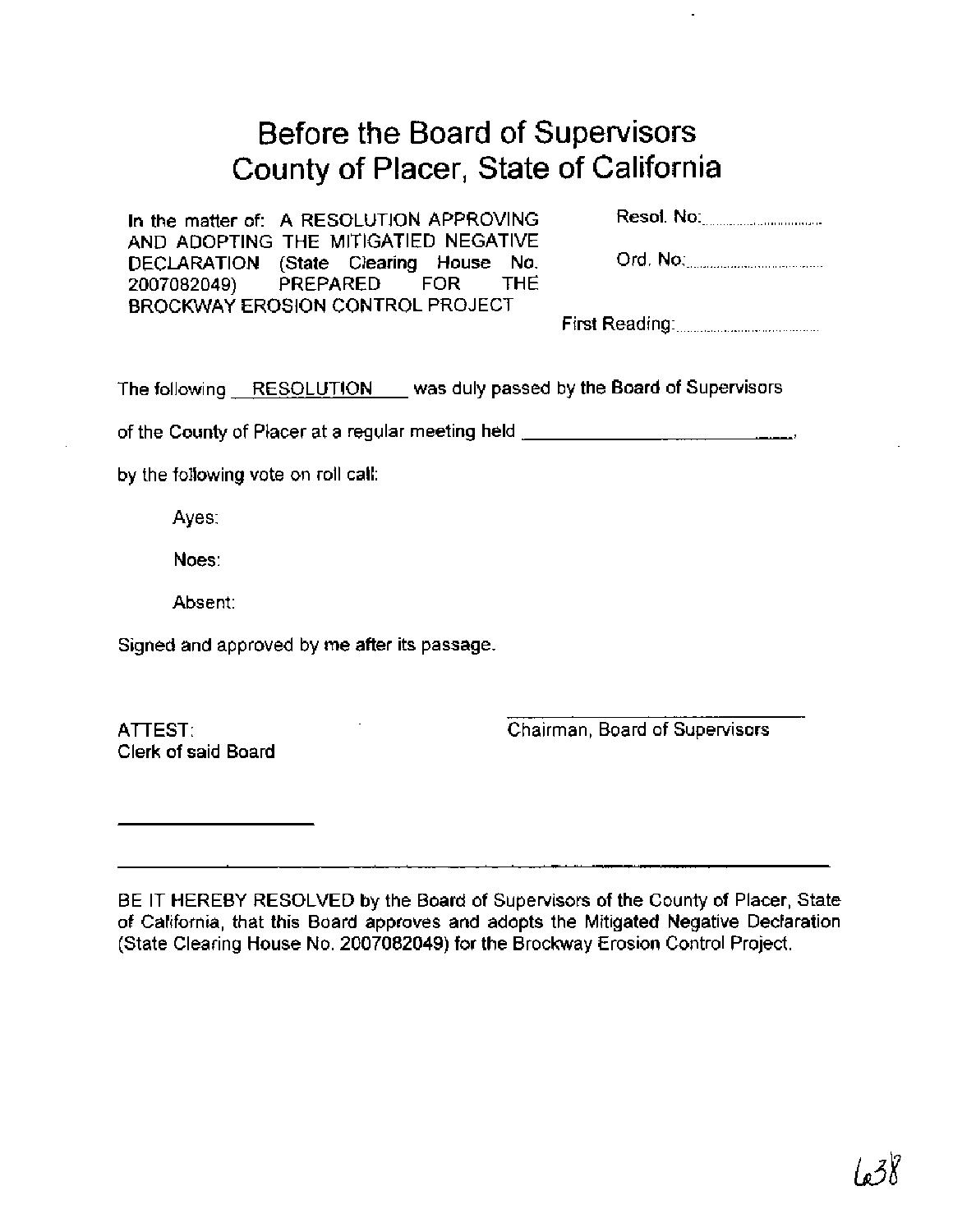# Before the Board of Supervisors County of Placer, State of California

In the matter of: A RESOLUTION APPROVING Resol. No: ............................. AND ADOPTING THE MlTlGATlED NEGATIVE DECLARATION (State Clearing House No. Ord. No: ................................. 2007082049) PREPARED FOR THE BROCKWAY EROSION CONTROL PROJECT First Reading: ..........................................

The following RESOLUTION was duly passed by the Board of Supervisors

of the County of Placer at a regular meeting held **I** 

by the following vote on roll call:

Ayes:

Noes:

Absent:

Signed and approved by me after its passage.

ATTEST: Clerk of said Board Chairman, Board of Supervisors

BE IT HEREBY RESOLVED by the Board of Supervisors of the County of Placer, State of California, that this Board approves and adopts the Mitigated Negative Declaration (State Clearing House No. 2007082049) for the Brockway Erosion Control Project.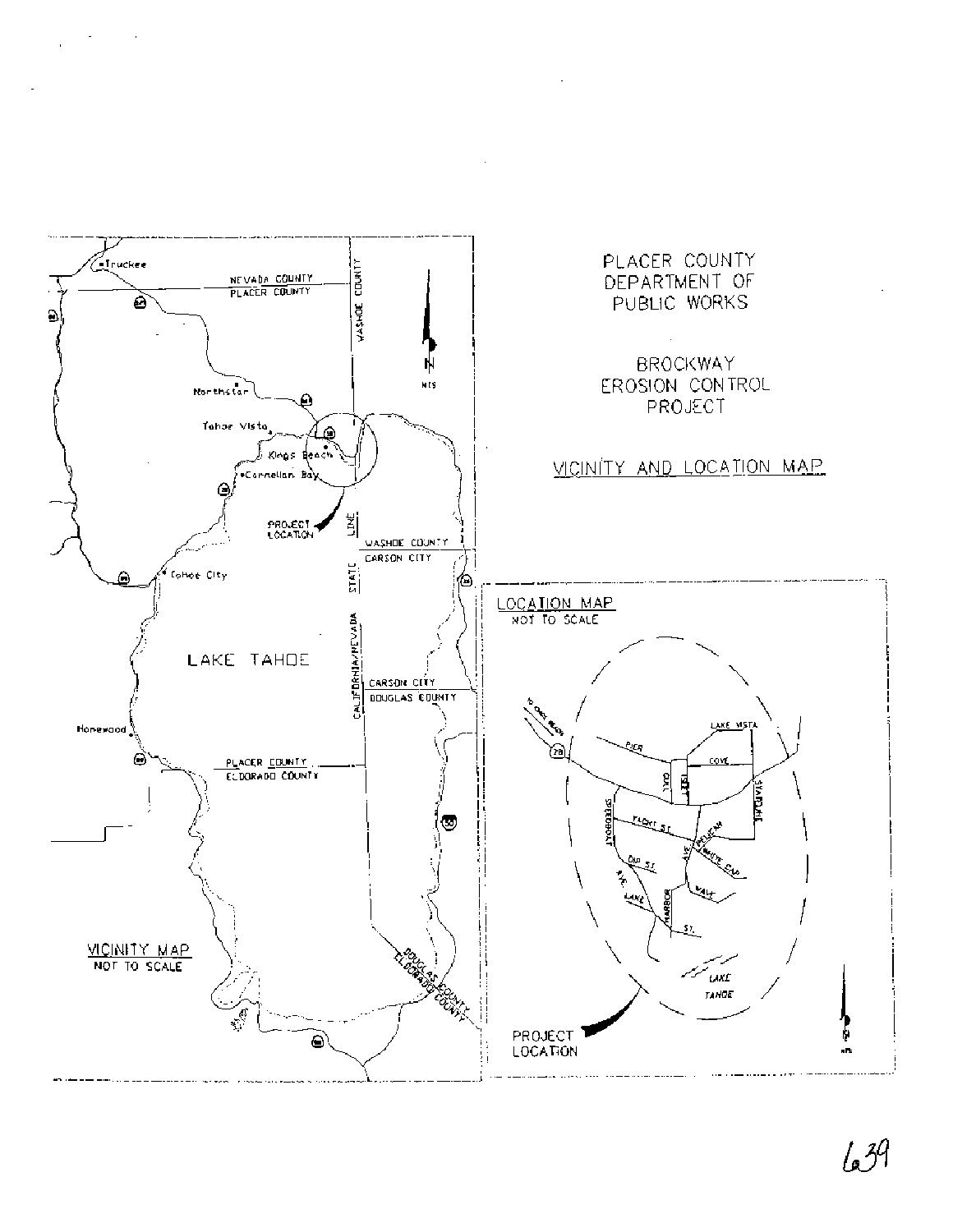

 $439$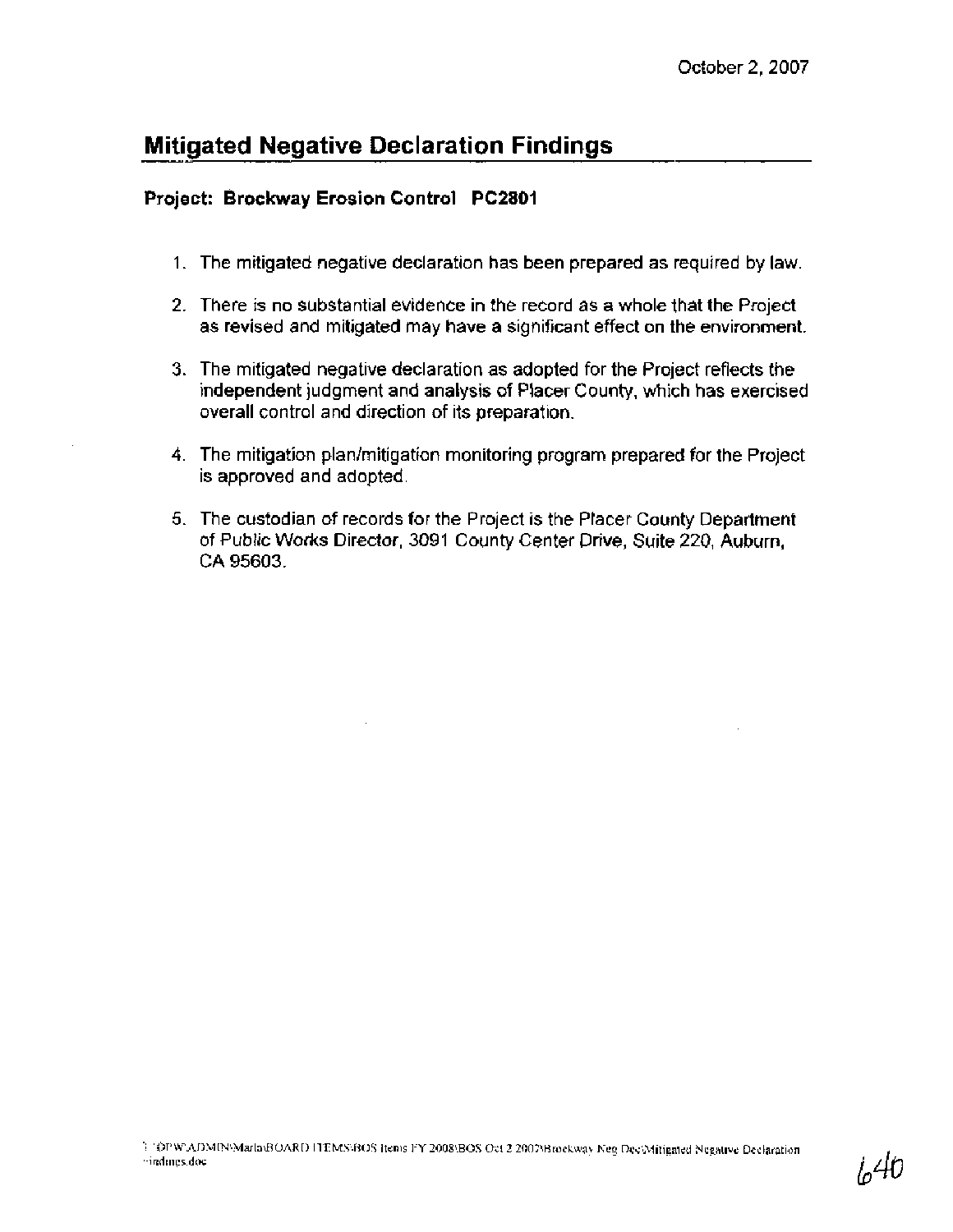# **Mitigated Negative Declaration Findings**

## **Project: Brockway Erosion Control PC2801**

- 1. The mitigated negative declaration has been prepared as required by law.
- 2. There is no substantial evidence in the record as a whole that the Project as revised and mitigated may have a significant effect on the environment.
- 3. The mitigated negative declaration as adopted for the Project reflects the independent judgment and analysis of Placer County, which has exercised overall control and direction of its preparation.
- **4.** The mitigation planlmitigation monitoring program prepared for the Project is approved and adopted.
- 5. The custodian of records for the Project is the Placer County Department of Public Works Director, 3091 County Center Drive, Suite 220, Auburn, CA 95603.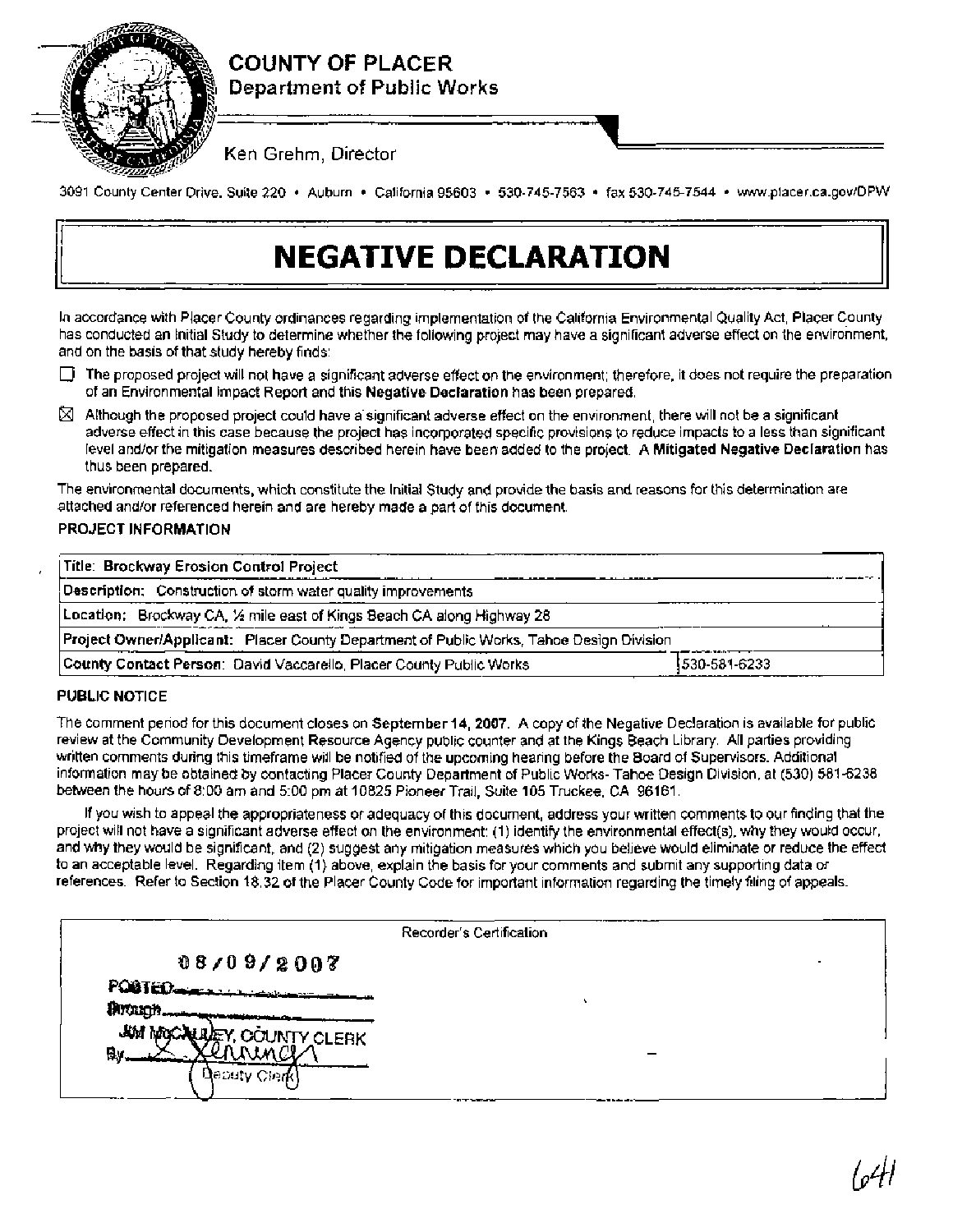**COUNTY OF PLACER Department of Public Works** 



 $\mathsf{F}^{\scriptscriptstyle{-}}$ 

Ken Grehm, Director

3091 County Center Drive, Suite 220 · Auburn · California 95603 · 530-745-7563 · fax 530-745-7544 · www.placer.ca.gov/DPW

# **NEGATIVE DECLARATION**

In accordance with Placer County ordinances regarding implementation of the California Environmental Quality Act, Placer County has conducted an lnitial Study to determine whether the following project may have a significant adverse effect on the environment, and on the basis of that study hereby finds:

- $\square$  The proposed project will not have a significant adverse effect on the environment; therefore, it does not require the preparation of an Environmental Impact Report and this **Negative Declaration** has been prepared.
- $\boxtimes$  Although the proposed project could have a significant adverse effect on the environment, there will not be a significant adverse effect in this case because the project has incorporated specific provisions to reduce impacts to a less than significant level andlor the mitigation measures described herein have been added to the project. A **Mitigated Negative Declaration** has thus been prepared.

The environmental documents, which constitute the lnitial Study and provide the basis and reasons for this determination are attached andlor referenced herein and are hereby made a part of this document.

#### **PROJECT INFORMATION**

| Title: Brockway Erosion Control Project                                                  |               |
|------------------------------------------------------------------------------------------|---------------|
| Description: Construction of storm water quality improvements                            |               |
| Location: Brockway CA, 1/2 mile east of Kings Beach CA along Highway 28                  |               |
| Project Owner/Applicant: Placer County Department of Public Works, Tahoe Design Division |               |
| County Contact Person: David Vaccarello, Placer County Public Works                      | 1530-581-6233 |

#### **PUBLIC NOTICE**

The comment period for this document closes on **September 14, 2007.** A copy of the Negative Declaration is available for public review at the Community Development Resource Agency public counter and at the Kings Beach Library. All parties providing written comments during this timeframe will be notified of the upcoming hearing before the Board of Supervisors. Additional information may be obtained by contacting Placer County Department of Public Works- Tahoe Design Division, at (530) 581-6238 between the hours of 8:00 am and 5:00 pm at 10825 Pioneer Trail, Suite 105 Truckee, CA 96161.

If you wish to appeal the appropriateness or adequacy of this document, address your written comments to our finding that the project will not have a significant adverse effect on the environment: (1) identify the environmental effect(s), why they would occur, and why they would be significant, and (2) suggest any mitigation measures which you believe would eliminate or reduce the effect to an acceptable level. Regarding item (1) above, explain the basis for your comments and submit any supporting data or references. Refer to Section 18.32 of the Placer County Code for important information regarding the timely filing of appeals.

| Recorder's Certification                               |
|--------------------------------------------------------|
| 08/09/2007                                             |
| POBTED-<br>المتحافظ وتستناك كالكافئة<br><b>Prough.</b> |
| <b>JUM MOCALLUEY, COUNTY CLERK</b><br>Đ۷               |
| <b>Decuty Clerk</b>                                    |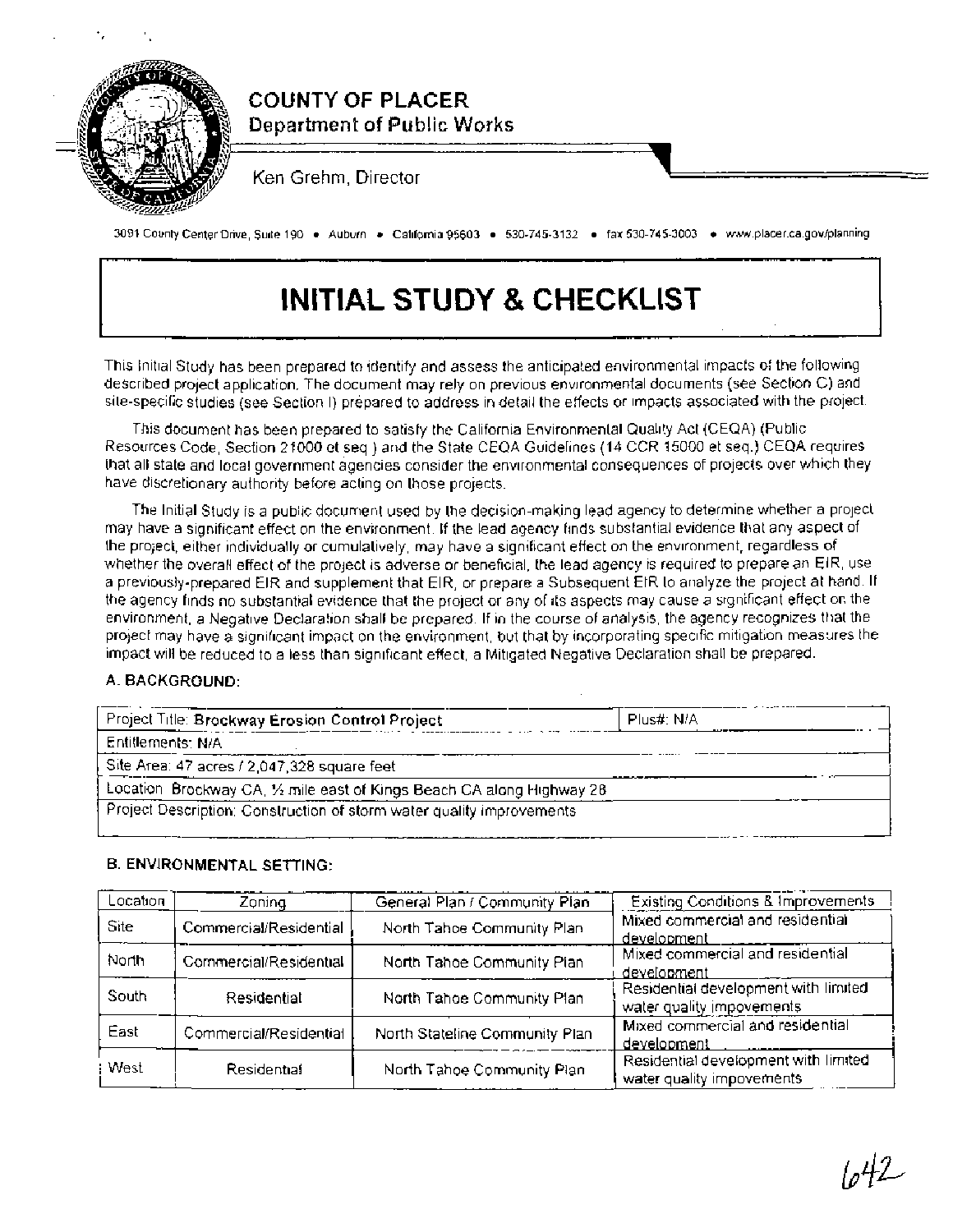

# **COUNTY OF PLACER** , Department **of Public Works**

Ken Grehm, Director

3091 County Center Drive, Suite 190 · Auburn · California 95603 · 530-745-3132 · fax 530-745-3003 · www.placer.ca.gov/planning

# **INITIAL STUDY** & **CHECKLIST**

This Initial Study has been prepared to identify and assess the anticipated environmental impacts of the following described project application. The document may rely on previous environmental documents (see Section C) and site-specific studies (see Section I) prepared to address in detail the effects or impacts associated with the project.

This document has been prepared to satisfy the California Environmental Quality Act (CEQA) (Public Resources Code, Section 21 000 et seq.) and the State CEQA.Guidelines (14 CCR 15000 et seq.) CEQA requires that all state and local government agencies consider the environmental consequences of projects over which they have discretionary authority before acting on those projects.

The Initial Study is a public document used by the decision-making lead agency to determine whether a project may have a significant effect on the environment. If the lead agency finds substantial evidence that any aspect of the project, either individually or cumulatively, may have a significant effect on the environment, regardless of whether the overall effect of the project is adverse or beneficial, the lead agency is required to prepare an EIR, use a previously-prepared EIR and supplement that EIR, or prepare a Subsequent EIR to analyze the project at hand. If the agency finds no substantial evidence that the project or any of its aspects may cause a significant effect on the environment, a Negative Declaration shall be prepared. If in the course of analysis, the agency recognizes that the project may have a significant impact on the environment, but that by incorporating specific mitigation measures the impact will be reduced to a less than significant effect, a Mitigated Negative Declaration shall be prepared.

#### **A. BACKGROUND:**

| Project Title: Brockway Erosion Control Project                          | Plus#: N/A |
|--------------------------------------------------------------------------|------------|
| Entitlements: N/A                                                        |            |
| Site Area: 47 acres / 2,047,328 square feet                              |            |
| Location, Brockway CA, 1/2 mile east of Kings Beach CA along Highway 28. |            |
| Project Description; Construction of storm water quality improvements.   |            |
|                                                                          |            |

#### **B. ENVIRONMENTAL SETTING:**

| Location | Zoning                 | General Plan / Community Plan  | Existing Conditions & Improvements                                 |
|----------|------------------------|--------------------------------|--------------------------------------------------------------------|
| Site     | Commercial/Residential | North Tahoe Community Plan     | Mixed commercial and residential<br><u>development</u>             |
| North    | Commercial/Residential | North Tahoe Community Plan     | Mixed commercial and residential<br>development                    |
| South    | Residential            | North Tahoe Community Plan     | Residential development with limited<br>water quality impovements. |
| East     | Commercial/Residential | North Stateline Community Plan | Mixed commercial and residential<br>development                    |
| West     | Residential            | North Tahoe Community Plan     | Residential development with limited<br>water quality impovements. |

42ه/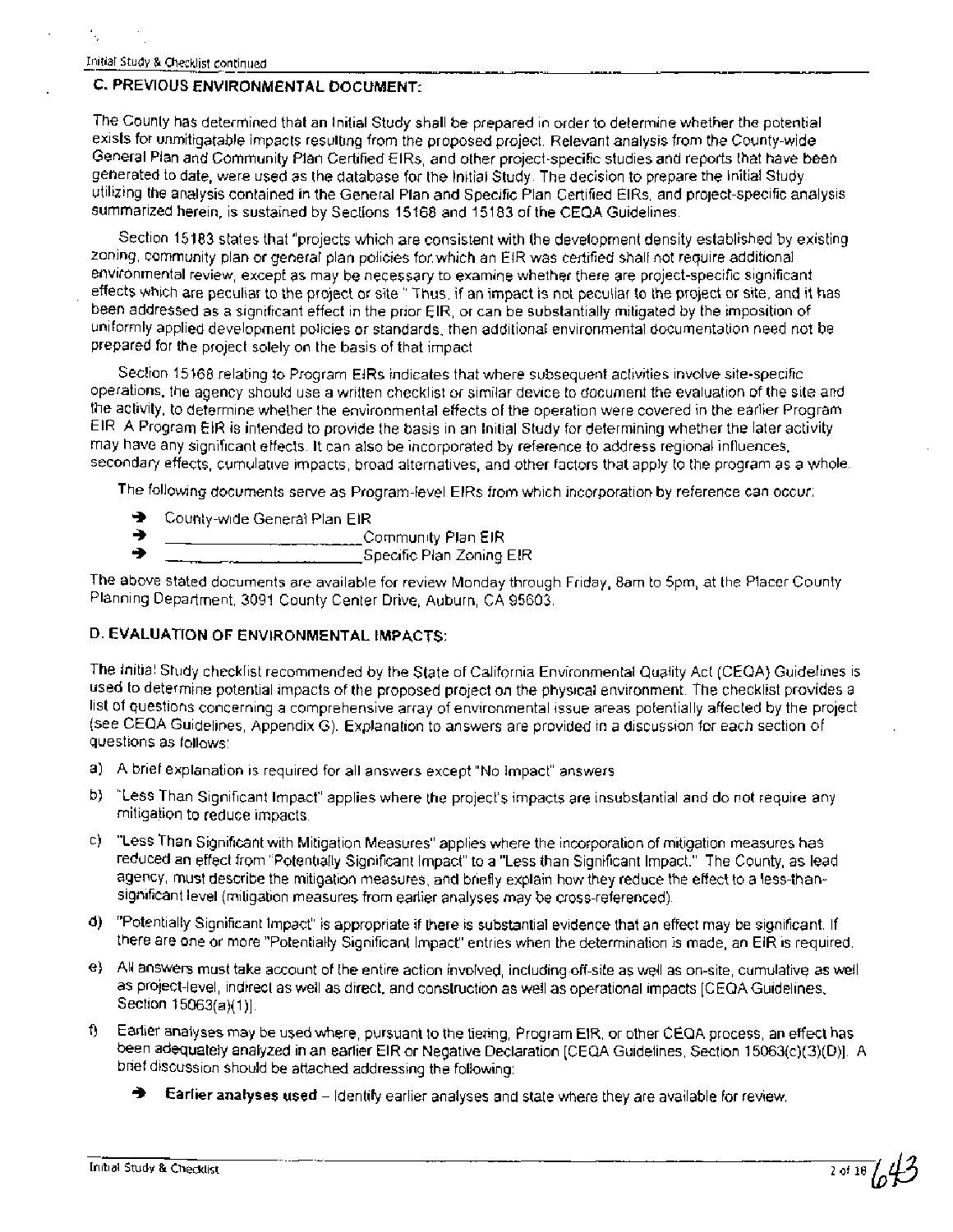#### **C.** PREVIOUS ENVIRONMENTAL DOCUMENT:

The County has determined that an lnitial Study shall be prepared in order to determine whether the potential exists for unmitigatable impacts resulting from the proposed project. Relevant analysis from the County-wide General Plan and Community Plan Certified EIRs, and other project-specific studies and reports that have been generated to date, were used as the database for the lnitial Study. The decision to prepare the lnitial Study utilizing the analysis contained in the General Plan and Specific Plan Certified EIRs, and project-specific analysis summarized herein, is sustained by Sections 15168 and 15183 of the CEQA Guidelines.

Section 15183 states that "projects which are consistent with the development density established by existing zoning, community plan or general plan policies for.which an EIR was certified shall not require additional environmental review, except as may be necessary to examine whether there are project-specific significant effects which are peculiar to the project or site." Thus, if an impact is not peculiar to the project or site, and it has been addressed as a significant effect in the prior EIR, or can be substantially mitigated by the imposition of uniformly applied development policies or standards, then additional environmental documentation need not be prepared for the project solely on the basis of that impact.

Section 15168 relating to Program ElRs indicates that where subsequent activities involve site-specific operations, the agency should use a written checklist or similar device to document the evaluation of the site and the activity, to determine whether the environmental effects of the operation were covered in the earlier Program EIR. **A** Program EIR is intended to provide the basis in an Initial Study for determining whether the later activity may have any significant effects. It can also be incorporated by reference to address regional influences, secondary effects, cumulative impacts, broad alternatives, and other factors that apply to the program as a whole.

The following documents serve as Program-level ElRs from which incorporation by reference can occur:

- $\rightarrow$  County-wide General Plan EIR
- <del>9</del> County-wide General Plan EIR<br>**→** \_\_\_\_\_\_\_\_\_\_\_\_\_\_\_\_\_\_\_\_\_\_\_Community Plan EIR
- **4** Specific Plan Zoning EIR

The above stated documents are available for review Monday through Friday, 8am to 5pm, at the Placer County Planning Department, 3091 County Center Drive, Auburn, CA 95603.

#### **D.** EVALUATION OF ENVIRONMENTAL IMPACTS:

The lnitial Study checklist recommended by the State of California Environmental Quality Act (CEQA) Guidelines is used to determine potential impacts of the proposed project on the physical environment. The checklist provides a list of questions concerning a comprehensive array of environmental issue areas potentially affected by the project (see CEQA Guidelines, Appendix G). Explanation to answers are provided in a discussion for each section of questions as follows:

- a) A brief explanation is required for all answers except "No Impact" answers
- b) "Less Than Significant Impact" applies where the project's impacts are insubstantial and do not require any mitigation to reduce impacts.
- C) "Less Than Significant with Mitigation Measures" applies where the incorporation of mitigation measures has reduced an effect from "Potentially Significant Impact" to a "Less than Significant Impact." The County, as lead agency, must describe the mitigation measures, and briefly explain how they reduce the effect to a less-thansignificant level (mitigation measures from earlier analyses may be cross-referenced).
- d) "Potentially Significant Impact" is appropriate if there is substantial evidence that an effect may be significant. If there are one or more "Potentially Significant Impact" entries when the determination is made, an EIR is required.
- e) All answers must take account of the entire action involved, including,off-site as well as on-site, cumulative as well as project-level, indirect as well as direct, and construction as well as operational impacts [CEQA Guidelines, Section 15063(a)(1)].
- **f)** Earlier analyses may be used where, pursuant to the tiering, Program EIR, or other CEQA process, an effect has been adequately analyzed in an earlier EIR or Negative Declaration [CEQA Guidelines, Section 15063(c)(3)(D)]. A brief discussion should be attached addressing the following:<br>  $\rightarrow$  Earlier analyses used - Identify earlier analyses and state where they are available for review.
	-

**Initial Study & Checklist** 2 of **18**  $\sim$  43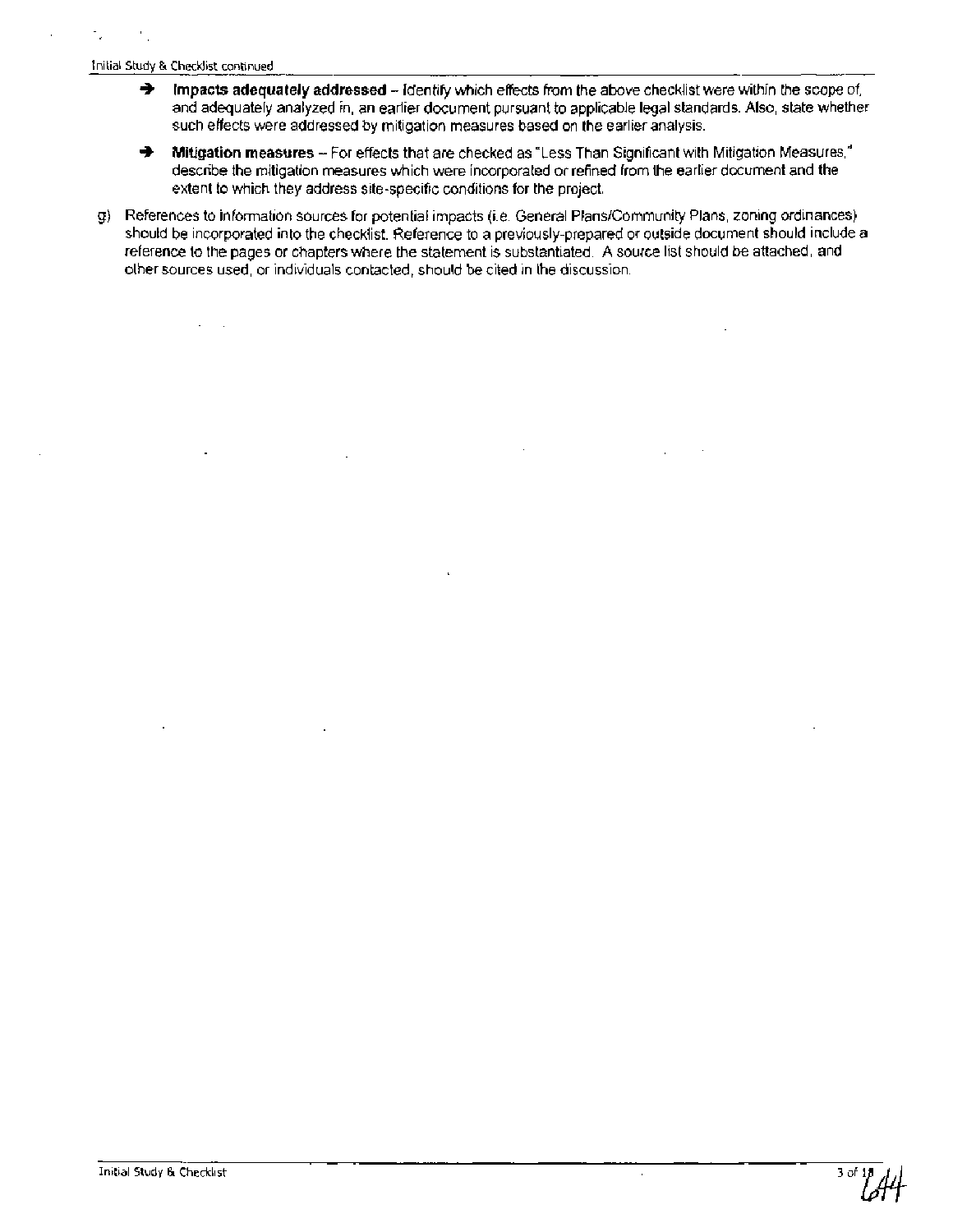- **4 Impacts adequately addressed**  Identify which effects from the above checklist were within the scope of, and adequately analyzed in, an earlier document pursuant to applicable legal standards. Also, state whether such effects were addressed by mitigation measures based on the earlier analysis.
- .) **Mitigation measures**  For effects that are checked as "Less Than Significant with Mitigation Measures," describe the mitigation measures which were incorporated or refined from the earlier document and the extent to which they address site-specific conditions for the project.
- g) References to information sources for potential impacts (i.e. General PlansICommunity Plans, zoning ordinances) should be incorporated into the checklist. Reference to a previously-prepared or outside document should include a reference to the pages or chapters where the statement is substantiated. A source list should be attached, and other sources used, or individuals contacted, should be cited in the discussion.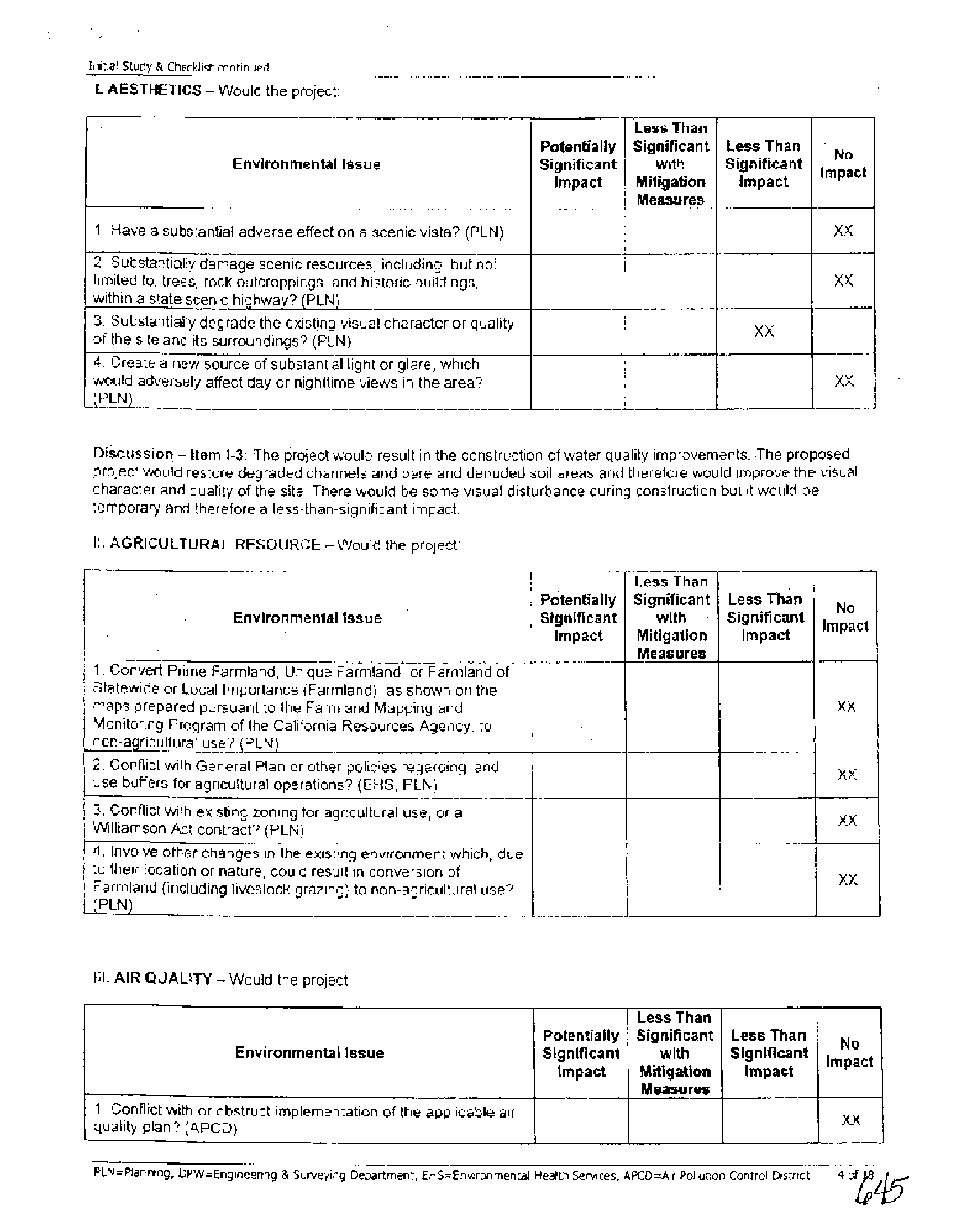### **I. AESTHETICS** -Would the project:

| <b>Environmental Issue</b>                                                                                                                                            | Potentially<br>Significant<br>Impact | Less Than<br>Significant<br>with .<br><b>Mitigation</b><br><b>Measures</b> | Less Than<br>Significant<br>Impact | No<br>Impact |
|-----------------------------------------------------------------------------------------------------------------------------------------------------------------------|--------------------------------------|----------------------------------------------------------------------------|------------------------------------|--------------|
| 1. Have a substantial adverse effect on a scenic vista? (PLN)                                                                                                         |                                      |                                                                            |                                    | xх           |
| 2. Substantially damage scenic resources, including, but not<br>limited to, trees, rock outcroppings, and historic buildings,<br>within a state scenic highway? (PLN) |                                      |                                                                            |                                    | xх           |
| 3. Substantially degrade the existing visual character or quality<br>of the site and its surroundings? (PLN).                                                         |                                      |                                                                            | ХX                                 |              |
| 4. Create a new source of substantial light or glare, which<br>would adversely affect day or nighttime views in the area?<br>(PLN)                                    |                                      |                                                                            |                                    | XΧ           |

**Discussion** - **Item 1-3:** The project would result in the construction of water quality improvements. .The proposed project would restore degraded channels and bare and denuded soil areas and therefore would improve the visual character and quality of the site. There would be some visual disturbance during construction but it would be temporary and therefore a less-than-significant impact.

### II. AGRICULTURAL RESOURCE - Would the project:

| <b>Environmental Issue</b>                                                                                                                                                                                                                                                | Potentially<br>Significant<br>Impact | Less Than<br>Significant<br>with<br><b>Mitigation</b><br><b>Measures</b> | Less Than<br>Significant<br>Impact | No.<br>Impact |
|---------------------------------------------------------------------------------------------------------------------------------------------------------------------------------------------------------------------------------------------------------------------------|--------------------------------------|--------------------------------------------------------------------------|------------------------------------|---------------|
| 1. Convert Prime Farmland, Unique Farmland, or Farmland of<br>Statewide or Local Importance (Farmland), as shown on the<br>maps prepared pursuant to the Farmland Mapping and<br>Monitoring Program of the California Resources Agency, to<br>non-agricultural use? (PLN) |                                      |                                                                          |                                    | xх            |
| 2. Conflict with General Plan or other policies regarding land<br>use buffers for agricultural operations? (EHS, PLN)                                                                                                                                                     |                                      |                                                                          |                                    | XХ            |
| 3. Conflict with existing zoning for agricultural use, or a<br>Williamson Act contract? (PLN)                                                                                                                                                                             |                                      |                                                                          |                                    | XХ            |
| 4. Involve other changes in the existing environment which, due<br>to their location or nature, could result in conversion of<br>Farmland (including livestock grazing) to non-agricultural use?<br>(PLN)                                                                 |                                      |                                                                          |                                    | xх            |

#### **III. AIR QUALITY - Would the project.**

| <b>Environmental Issue</b>                                                                 | Potentially<br><b>Significant</b><br>Impact | Less Than<br>Significant<br>with<br><b>Mitigation</b><br>Measures | Less Than<br>Significant<br>Impact | No<br>Impact |
|--------------------------------------------------------------------------------------------|---------------------------------------------|-------------------------------------------------------------------|------------------------------------|--------------|
| 1. Conflict with or obstruct implementation of the applicable air<br>quality plan? (APCD). |                                             |                                                                   |                                    | ΧХ           |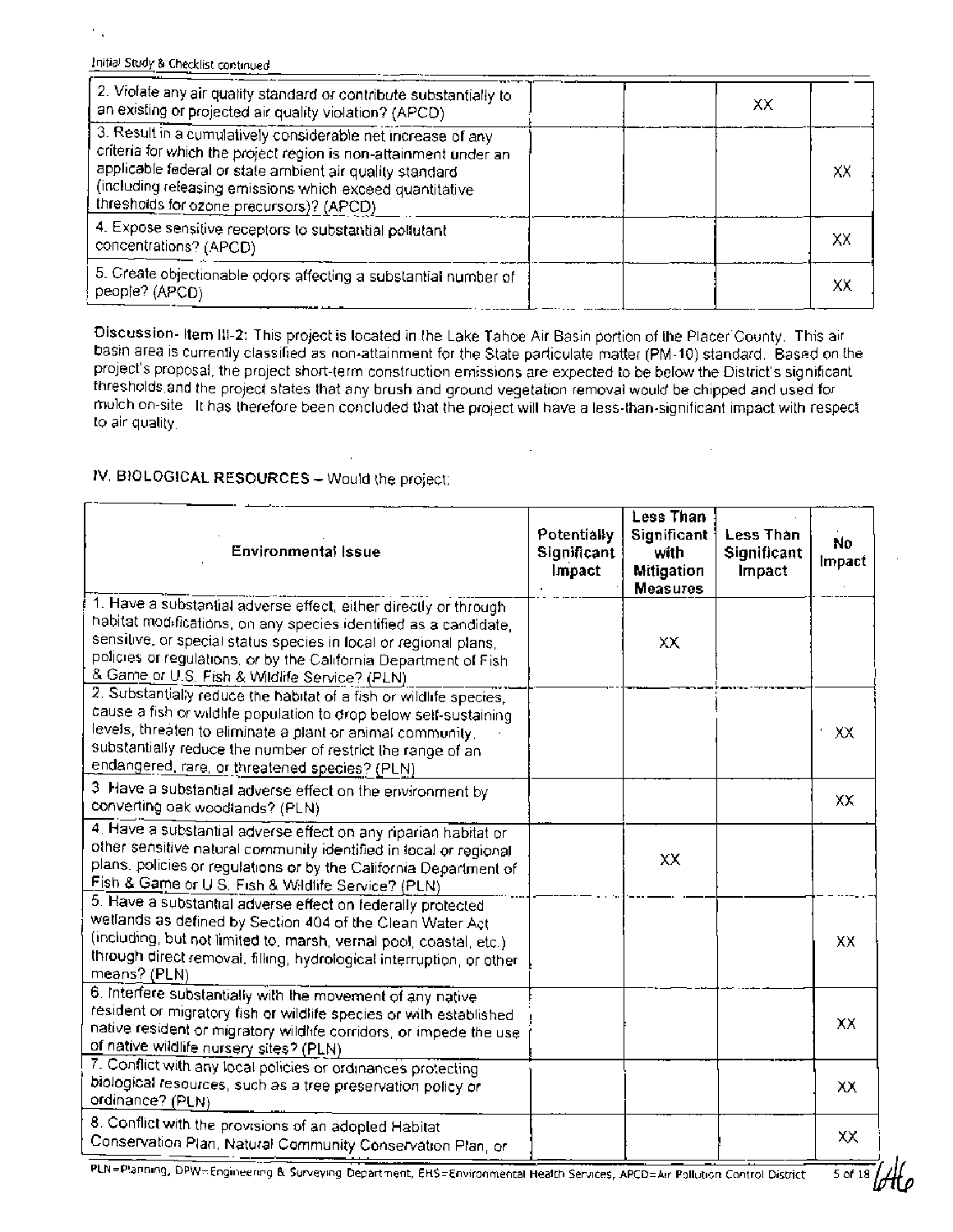| 2. Violate any air quality standard or contribute substantially to<br>an existing or projected air quality violation? (APCD).                                                                                                                                                                         | xх |    |
|-------------------------------------------------------------------------------------------------------------------------------------------------------------------------------------------------------------------------------------------------------------------------------------------------------|----|----|
| 3. Result in a cumulatively considerable net increase of any<br>criteria for which the project region is non-attainment under an<br>applicable federal or state ambient air quality standard.<br>(including releasing emissions which exceed quantitative<br>thresholds for ozone precursors)? (APCD) |    | XХ |
| 4. Expose sensitive receptors to substantial pollutant<br>concentrations? (APCD)                                                                                                                                                                                                                      |    | XХ |
| 5. Create objectionable odors affecting a substantial number of<br>people? (APCD)                                                                                                                                                                                                                     |    | ХX |

**Discussion-** Item **111-2:** This project is located in the Lake Tahoe Air Basin portion of the Placer'County. This air basin area is currently classified as non-attainment for the State particulate matter (PM-10) standard. Based on the project's proposal, the project short-term construction emissions are expected to be below the District's significant thresholds.and the project states that any brush and ground vegetation removal would be chipped and used for mulch on-site. It has therefore been concluded that the project will have a less-than-significant impact with respect to air quality.

### **IV.** BIOLOGICAL RESOURCES - Would the project.

| Environmental Issue                                                                                                                                                                                                                                                                                                           | Potentially<br>Significant<br>Impact | Less Than<br>Significant  <br>with<br>Mitigation<br><b>Measures</b> | Less Than<br>Significant<br>Impact | No<br>Impact |
|-------------------------------------------------------------------------------------------------------------------------------------------------------------------------------------------------------------------------------------------------------------------------------------------------------------------------------|--------------------------------------|---------------------------------------------------------------------|------------------------------------|--------------|
| 1. Have a substantial adverse effect, either directly or through<br>habitat modifications, on any species identified as a candidate,<br>sensitive, or special status species in local or regional plans,<br>policies or regulations, or by the California Department of Fish<br>& Game or U.S. Fish & Wildlife Service? (PLN) |                                      | XХ                                                                  |                                    |              |
| 2. Substantially reduce the habitat of a fish or wildlife species,<br>cause a fish or wildlife population to drop below self-sustaining<br>levels, threaten to eliminate a plant or animal community,<br>substantially reduce the number of restrict the range of an-<br>endangered, rare, or threatened species? (PLN)       |                                      |                                                                     |                                    | XX           |
| 3 Have a substantial adverse effect on the environment by<br>converting oak woodlands? (PLN)                                                                                                                                                                                                                                  |                                      |                                                                     |                                    | XX.          |
| 4. Have a substantial adverse effect on any riparian habitat or<br>other sensitive natural community identified in local or regional<br>plans, policies or regulations or by the California Department of<br>Fish & Game or U.S. Fish & Wildlife Service? (PLN)                                                               |                                      | XX                                                                  |                                    |              |
| 5. Have a substantial adverse effect on federally protected<br>wellands as defined by Section 404 of the Clean Water Act<br>(including, but not limited to, marsh, vernal pool, coastal, etc.)<br>through direct removal, filling, hydrological interruption, or other<br>means? (PLN)                                        |                                      |                                                                     |                                    | ХX           |
| 6. Interfere substantially with the movement of any native<br>resident or migratory fish or wildlife species or with established<br>native resident or migratory wildlife corridors, or impede the use<br>of native wildlife nursery sites? (PLN)                                                                             |                                      |                                                                     |                                    | XX.          |
| 7. Conflict with any local policies or ordinances protecting<br>biological resources, such as a tree preservation policy or<br>ordinance? (PLN)                                                                                                                                                                               |                                      |                                                                     |                                    | XX           |
| 8. Conflict with the provisions of an adopted Habitat<br>Conservation Plan, Natural Community Conservation Plan, or                                                                                                                                                                                                           |                                      |                                                                     |                                    | xх           |

PLN=Planning, DPW=Engineering & Surveying Department, EHS=Environmental Health Services, APCD=Air Pollution Control District 5 of 18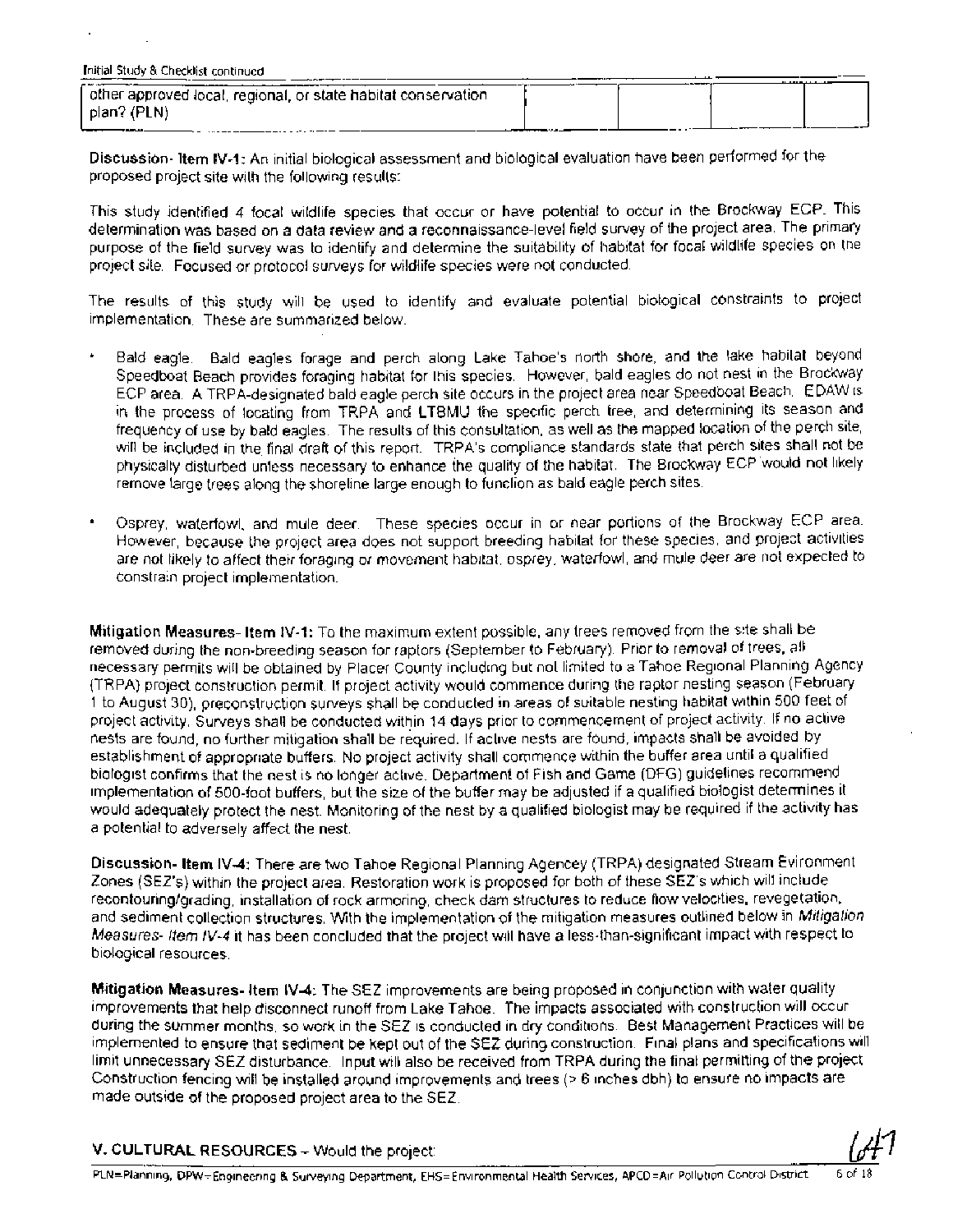| initial Study & Checklist continued.                                         |  |
|------------------------------------------------------------------------------|--|
| other approved local, regional, or state habitat conservation<br>plan? (PLN) |  |
|                                                                              |  |

Discussion- ltem IV-I: An initial biological assessment and biological evaluation have been performed for the proposed project site with the following results:

Initial Study & Checklist continued

This study identified 4 focal wildlife species that occur or have potential to occur in the Brockway ECP. This determination was based on a data review and a reconnaissance-level field survey of the project area. The primary purpose of the field survey was to identify and determine the suitability of habitat for focal wildlife species on the project site. Focused or protocol surveys for wildlife species were not conducted.

The results of this study will be used to identify and evaluate potential biological constraints to project implementation. These are summarized below.

- Bald eagle. Bald eagles forage and perch along Lake Tahoe's north shore, and the lake habitat beyond Speedboat Beach provides foraging habitat for this species. However, bald eagles do not nest in the Brockway ECP area. A TRPA-designated bald eagle perch site occurs in the project area near Speedboat Beach. EDAW is in the process of locating from TRPA and LTBMU the specific perch tree, and determining its season and frequency of use by bald eagles. The results of this consultation, as well as the mapped location of the perch site, will be included in the final draft of this report. TRPA's compliance standards state that perch sites shall not be physically disturbed unless necessary to enhance the quality of the habitat. The Brockway ECP'would not likely remove large trees along the shoreline large enough to function as bald eagle perch sites.
- Osprey, waterfowl, and mule deer. These species occur in or near portions of the Brockway ECP area. However, because the project area does not support breeding habitat for these species, and project activities are not likely to affect their foraging or movement habitat, osprey, waterfowl, and mule deer are not expected to constrain project implementation.

Mitigation Measures- Item IV-I: To the maximum extent possible, any trees removed from the site shall be removed during the non-breeding season for raptors (September to February). Prior to removal of trees, all necessary permits will be obtained by Placer County including but not limited to a Tahoe Regional Planning Agency (TRPA) project construction permit. If project activity would commence during the raptor nesting season (February 1 to August 30), preconstruction surveys shall be conducted in areas of suitable nesting habitat within 500 feet of project activity. Surveys shall be conducted within 14 days prior to commencement of project activity. If no active nests are found, no further mitigation shall be required. If active nests are found, impacts shall be avoided by establishment of appropriate buffers. No project activity shall commence within the buffer area until a qualified biologist confirms that the nest is no longer active. Department of Fish and Game (DFG) guidelines recommend implementation of 500-foot buffers, but the size of the buffer may be adjusted if a qualified biologist determines it would adequately protect the nest. Monitoring of the nest by a qualified biologist may be required if the activity has a potential to adversely affect the nest.

Discussion- ltem **IV-4:** There are two Tahoe Regional Planning Agencey (TRPA) designated Stream Evironment Zones (SEZ's) within the project area. Restoration work is proposed for both of these SEZ's which will include recontouring/grading, installation of rock armoring, check dam structures to reduce flow velocities, revegetation, and sediment collection structures. With the implementation of the mitigation measures outlined below in Mitigation Measures- ltem IV-4 it has been concluded that the project will have a less-than-significant impact with respect to biological resources.

Mitigation Measures- ltem **IV-4:** The SEZ improvements are being proposed in conjunction with water quality improvements that help disconnect runoff from Lake Tahoe. The impacts associated with construction will occur during the summer months, so work in the SEZ is conducted in dry conditions. Best Management Practices will be implemented to ensure that sediment be kept out of the SEZ during construction. Final plans and specifications will limit unnecessary SEZ disturbance. Input will also be received from TRPA during the final permitting of the project. Construction fencing will be installed around improvements and trees (> 6 inches dbh) to ensure no impacts are made outside of the proposed project area to the SEZ.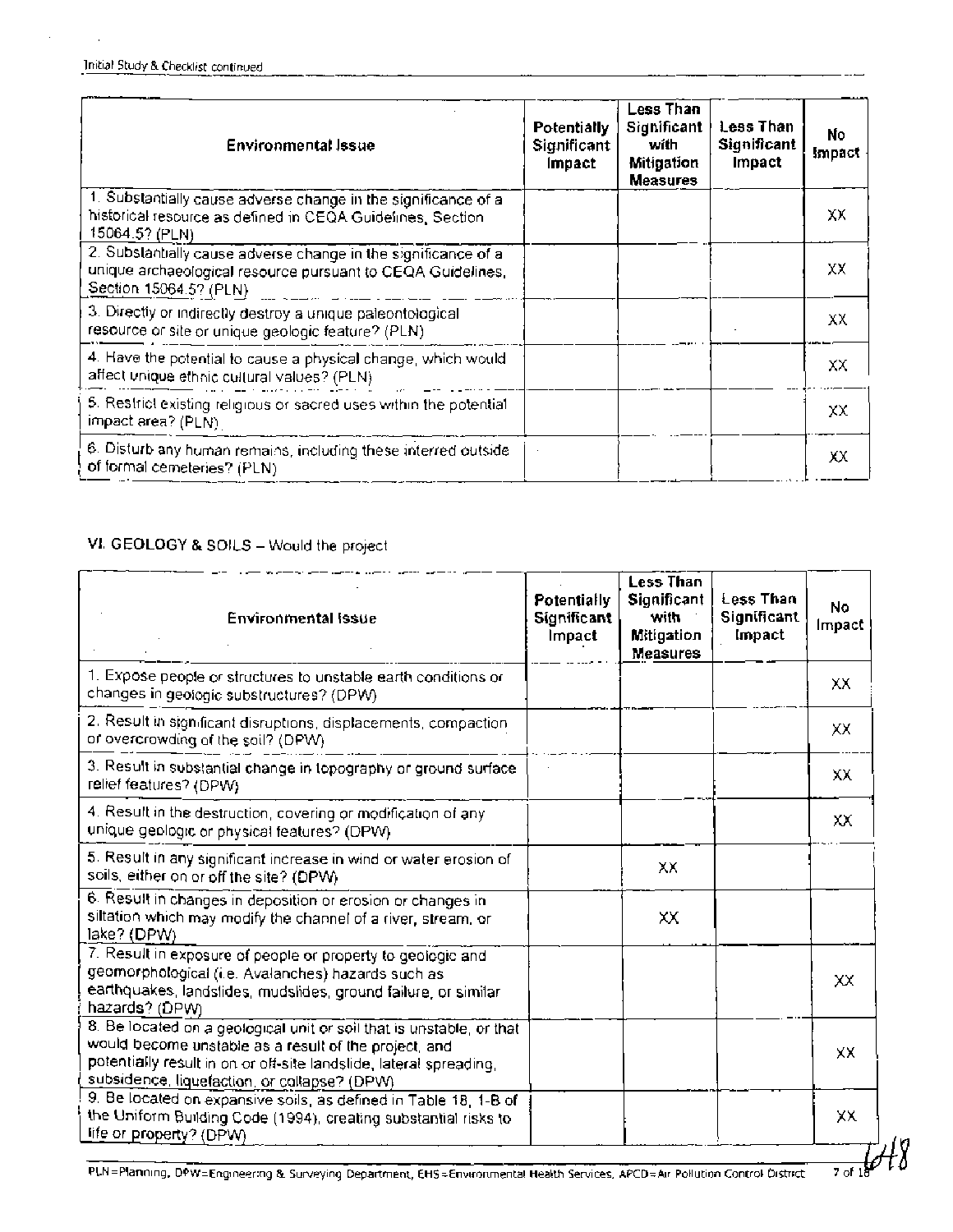$\ddot{\phantom{a}}$ 

| <b>Environmental Issue</b>                                                                                                                              | <b>Potentially</b><br>Significant<br>Impact | Less Than<br>Significant<br>with<br><b>Mitigation</b><br><b>Measures</b> | Less Than<br>Significant<br>Impact | No.<br>Impact |
|---------------------------------------------------------------------------------------------------------------------------------------------------------|---------------------------------------------|--------------------------------------------------------------------------|------------------------------------|---------------|
| 1. Substantially cause adverse change in the significance of a<br>historical resource as defined in CEQA Guidelines, Section.<br>15064.5? (PLN)         |                                             |                                                                          |                                    | xх            |
| 2. Substantially cause adverse change in the significance of a<br>unique archaeological resource pursuant to CEQA Guidelines,<br>Section 15064.5? (PLN) |                                             |                                                                          |                                    | XΧ            |
| 3. Directly or indirectly destroy a unique paleontological<br>resource or site or unique geologic feature? (PLN)                                        |                                             |                                                                          |                                    | xх            |
| 4. Have the potential to cause a physical change, which would<br>affect unique ethnic cultural values? (PLN)                                            |                                             |                                                                          |                                    | XХ            |
| 5. Restrict existing religious or sacred uses within the potential<br>impact area? (PLN).                                                               |                                             |                                                                          |                                    | xх            |
| 6. Disturb any human remains, including these interred outside.<br>of formal cemeteries? (PLN)                                                          |                                             |                                                                          |                                    | XХ            |

# VI. GEOLOGY & SOILS - Would the project.

| <b>Environmental Issue</b>                                                                                                                                                                                                                          | Potentially<br>Significant<br>Impact | <b>Less Than</b><br>Significant<br>with<br>Mitigation<br><b>Measures</b> | <b>Less Than</b><br>Significant<br>Impact | No<br>Impact |
|-----------------------------------------------------------------------------------------------------------------------------------------------------------------------------------------------------------------------------------------------------|--------------------------------------|--------------------------------------------------------------------------|-------------------------------------------|--------------|
| 1. Expose people or structures to unstable earth conditions or<br>changes in geologic substructures? (DPW)                                                                                                                                          |                                      |                                                                          |                                           | XХ           |
| 2. Result in significant disruptions, displacements, compaction<br>or overcrowding of the soil? (DPW)                                                                                                                                               |                                      |                                                                          |                                           | XХ           |
| 3. Result in substantial change in topography or ground surface<br>relief features? (DPW)                                                                                                                                                           |                                      |                                                                          |                                           | XХ           |
| 4. Result in the destruction, covering or modification of any<br>unique geologic or physical features? (DPW)                                                                                                                                        |                                      |                                                                          |                                           | ХX           |
| 5. Result in any significant increase in wind or water erosion of<br>soils, either on or off the site? (DPW)                                                                                                                                        |                                      | XX                                                                       |                                           |              |
| 6. Result in changes in deposition or erosion or changes in<br>siltation which may modify the channel of a river, stream, or<br>lake? (DPW)                                                                                                         |                                      | ХX                                                                       |                                           |              |
| 7. Result in exposure of people or property to geologic and<br>geomorphological (i.e. Avalanches) hazards such as<br>earthquakes, landslides, mudslides, ground failure, or similar<br>hazards? (DPW)                                               |                                      |                                                                          |                                           | XХ           |
| 8. Be located on a geological unit or soil that is unstable, or that<br>would become unstable as a result of the project, and<br>potentially result in on or off-site landslide, lateral spreading,<br>subsidence, liquefaction, or collapse? (DPW) |                                      |                                                                          |                                           | ХX           |
| 9. Be located on expansive soils, as defined in Table 18, 1-B of<br>the Uniform Building Code (1994), creating substantial risks to<br>life or property? (DPW)                                                                                      |                                      |                                                                          |                                           | XХ           |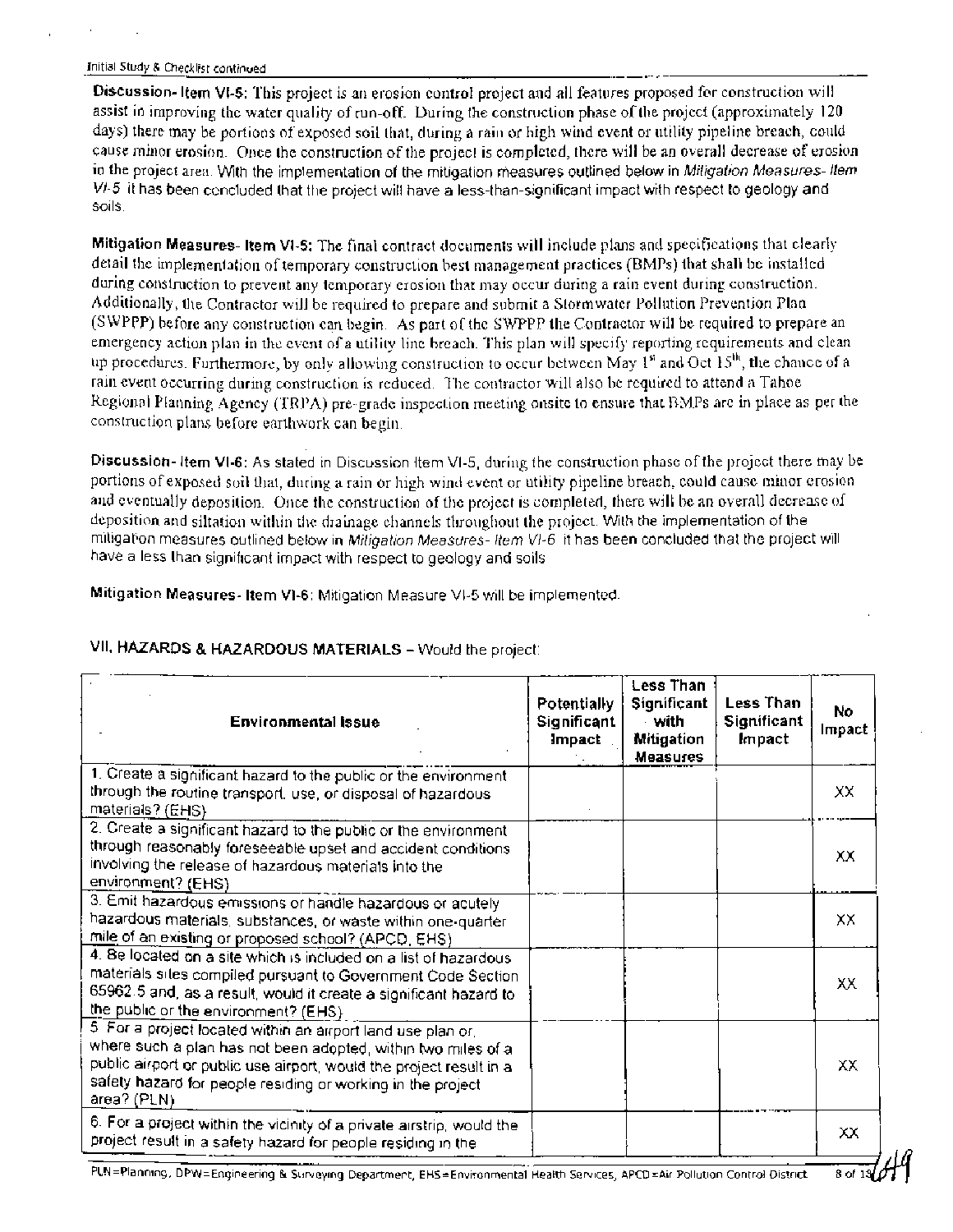**Discussion-** ltem VI-5: This project is an erosion control project and all features proposed for construction will assist in improving the water quality of run-off. During the construction phase of the project (approximately 120 days) there may be portions of exposed soil that, during a rain or high wind event or utility pipeline breach, could cause minor erosion. Once the construction of the project is completed, there will be an overall decrease of erosion in the project area. With the implementation of the mitigation measures outlined below in Mitigation Measures- Ilem VI-5 it has been concluded that the project will have a less-than-significant impact with respect to geology and soils.

Mitigation Measures- ltem VI-5: The final contract documents will include plans and specifications that clearly detail the implementation of temporary construction best management practices (BMPs) that shall be installed during construction to prevent any temporary erosion that may occur during a rain event during construction. Additionally, the Contractor will be required to prepare and submit a Stormwater Pollution Prevention Plan (SWPPP) before any construction can begin. As part of the SWPPP the Contractor will be required to prepare an emergency action plan in the event of a utility line breach. This plan will specify reporting requirements and clean up procedures. Furthermore, by only allowing construction to occur between May 1' and Oct 1 **5th,** the chance of a rain event occurring during construction is reduced. The contractor will also be required to attend a Tahoe Regional Planning Agency **(TRPA)** pre-grade inspection meeting onsite to ensure that BMPs are in place as per the construction plans before earthwork can begin.

**Discussion-** ltem VI-6: AS stated in Discussion ltem V115, during the construction phase of the project there may be portions of exposed soil that, during a rain or high wind event or utility pipeline breach, could cause minor erosion and eventually deposition. Once the construction of the project is completed, there will be an overall decrease of deposition and siltation within the drainage channels throughout the project. With the implementation of the mitigation measures outlined below in Mitigation Measures- ltem VI-6 it has been concluded that the project will have a less than significant impact with respect to geology and soils.

Mitigation Measures- ltem VI-6: Mitigation Measure VI-5 will be implemented.

| <b>Environmental Issue</b>                                                                                                                                                                                                                                                       | <b>Potentially</b><br>Significant<br>Impact | Less Than<br>Significant<br>with<br>Mitigation<br><b>Measures</b> | Less Than<br>Significant<br>Impact | No<br>Impact |
|----------------------------------------------------------------------------------------------------------------------------------------------------------------------------------------------------------------------------------------------------------------------------------|---------------------------------------------|-------------------------------------------------------------------|------------------------------------|--------------|
| 1. Create a significant hazard to the public or the environment<br>through the routine transport, use, or disposal of hazardous<br>materials? (EHS)                                                                                                                              |                                             |                                                                   |                                    | XХ           |
| 2. Create a significant hazard to the public or the environment<br>through reasonably foreseeable upset and accident conditions<br>involving the release of hazardous materials into the<br>environment? (EHS)                                                                   |                                             |                                                                   |                                    | ХX           |
| 3. Emit hazardous emissions or handle hazardous or acutely<br>hazardous materials, substances, or waste within one-quarter<br>mile of an existing or proposed school? (APCD, EHS)                                                                                                |                                             |                                                                   |                                    | XX.          |
| 4. Be located on a site which is included on a list of hazardous.<br>materials sites compiled pursuant to Government Code Section<br>65962.5 and, as a result, would it create a significant hazard to<br>the public or the environment? (EHS).                                  |                                             |                                                                   |                                    | XХ           |
| 5 For a project located within an airport land use plan or<br>where such a plan has not been adopted, within two miles of a<br>public airport or public use airport, would the project result in a<br>safety hazard for people residing or working in the project<br>area? (PLN) |                                             |                                                                   |                                    | XX.          |
| 6. For a project within the vicinity of a private airstrip, would the<br>project result in a safety hazard for people residing in the                                                                                                                                            |                                             |                                                                   |                                    | XХ           |

#### VII. HAZARDS *8,* HAZARDOUS MATERIALS -Would the project: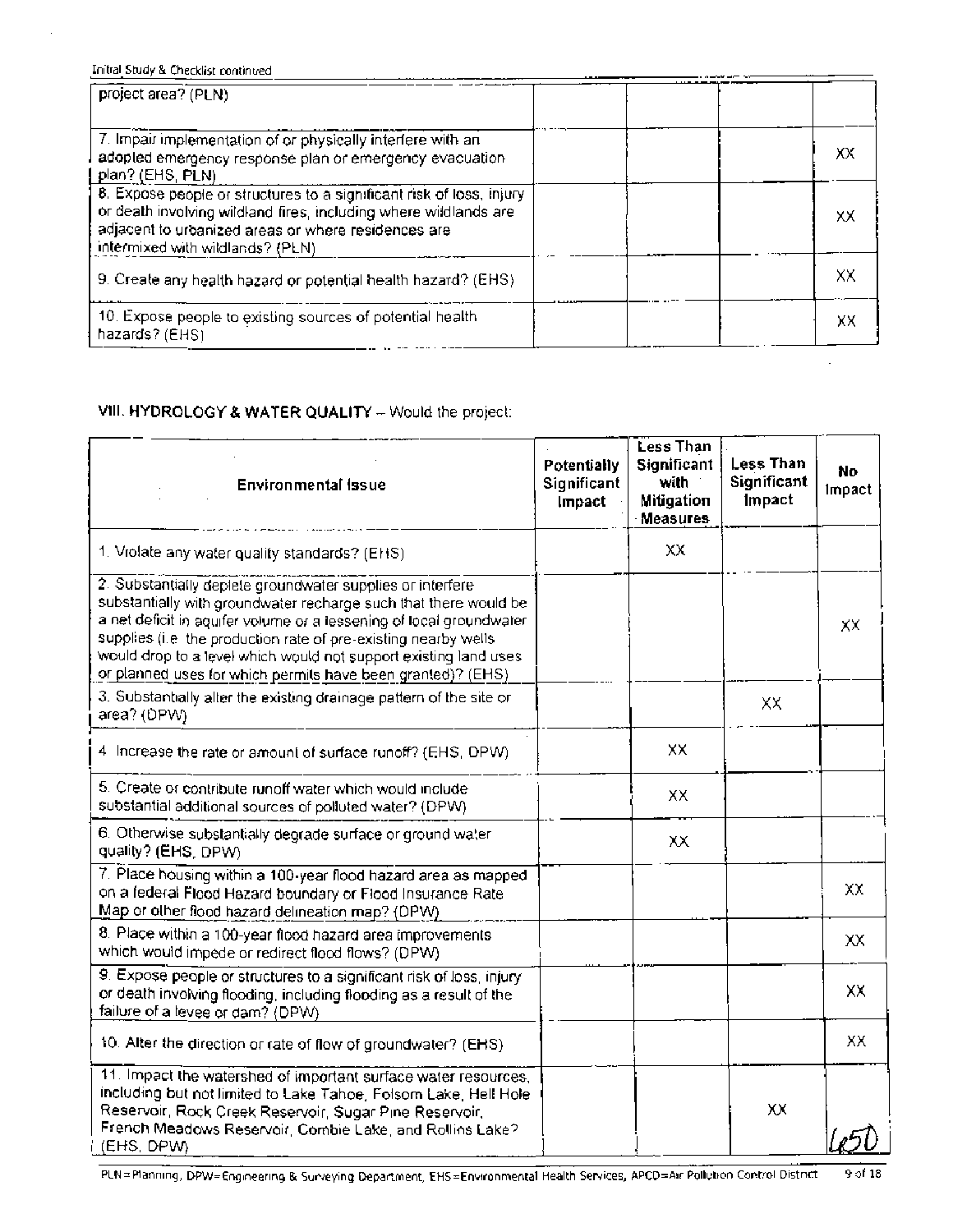| project area? (PLN)                                                                                                                                                                                                                 |    |
|-------------------------------------------------------------------------------------------------------------------------------------------------------------------------------------------------------------------------------------|----|
| 7. Impair implementation of or physically interfere with an<br>adopted emergency response plan or emergency evacuation.<br>plan? (EHS, PLN)                                                                                         | XХ |
| 8. Expose people or structures to a significant risk of loss, injury<br>or death involving wildland fires, including where wildlands are<br>adjacent to urbanized areas or where residences are<br>intermixed with wildlands? (PLN) | xх |
| 9. Create any health hazard or potential health hazard? (EHS)                                                                                                                                                                       | xх |
| 10. Expose people to existing sources of potential health.<br>hazards? (EHS)                                                                                                                                                        | XХ |

### VIII. HYDROLOGY & WATER QUALITY - Would the project:

| <b>Environmental Issue</b>                                                                                                                                                                                                                                                                                                                                                                                    | Potentially<br>Significant<br>Impact | Less Than<br><b>Significant</b><br><b>with</b><br>Mitigation<br><b>Measures</b> | Less Than<br>Significant<br>Impact | No.<br>Impact |
|---------------------------------------------------------------------------------------------------------------------------------------------------------------------------------------------------------------------------------------------------------------------------------------------------------------------------------------------------------------------------------------------------------------|--------------------------------------|---------------------------------------------------------------------------------|------------------------------------|---------------|
| 1. Violate any water quality standards? (EHS)                                                                                                                                                                                                                                                                                                                                                                 |                                      | XX                                                                              |                                    |               |
| 2. Substantially deplete groundwater supplies or interfere<br>substantially with groundwater recharge such that there would be<br>a net deficit in aguifer volume or a lessening of local groundwater.<br>supplies (i.e. the production rate of pre-existing nearby wells<br>would drop to a tevel which would not support existing land uses.<br>or planned uses for which permits have been granted)? (EHS) |                                      |                                                                                 |                                    | XX            |
| 3. Substantially alter the existing drainage pattern of the site or<br>area? (DPW)                                                                                                                                                                                                                                                                                                                            |                                      |                                                                                 | ХX                                 |               |
| 4 Increase the rate or amount of surface runoff? (EHS, DPW).                                                                                                                                                                                                                                                                                                                                                  |                                      | XX                                                                              |                                    |               |
| 5. Create or contribute runoff water which would include<br>substantial additional sources of polluted water? (DPW)                                                                                                                                                                                                                                                                                           |                                      | xх                                                                              |                                    |               |
| 6. Otherwise substantially degrade surface or ground water.<br>quality? (EHS, DPW)                                                                                                                                                                                                                                                                                                                            |                                      | XX                                                                              |                                    |               |
| 7. Place housing within a 100-year flood hazard area as mapped<br>on a federal Flood Hazard boundary or Flood Insurance Rate<br>Map or other flood hazard delineation map? (DPW)                                                                                                                                                                                                                              |                                      |                                                                                 |                                    | XX            |
| 8. Place within a 100-year flood hazard area improvements<br>which would impede or redirect flood flows? (DPW)                                                                                                                                                                                                                                                                                                |                                      |                                                                                 |                                    | XX            |
| 9. Expose people or structures to a significant risk of loss, injury<br>or death involving flooding, including flooding as a result of the<br>failure of a levee or dam? (DPW)                                                                                                                                                                                                                                |                                      |                                                                                 |                                    | ХX            |
| 10. Alter the direction or rate of flow of groundwater? (EHS)                                                                                                                                                                                                                                                                                                                                                 |                                      |                                                                                 |                                    | XХ            |
| 11. Impact the watershed of important surface water resources,<br>including but not limited to Lake Tahoe, Folsom Lake, Hell Hole<br>Reservoir, Rock Creek Reservoir, Sugar Pine Reservoir,<br>French Meadows Reservoir, Combie Lake, and Rollins Lake?<br>(EHS, DPW)                                                                                                                                         |                                      |                                                                                 | XX                                 |               |

PLN=Planning, DPW=Engineering & Surveying Department, EHS=Environmental Health Services, APCD=Air Pollution Control District 9 of 18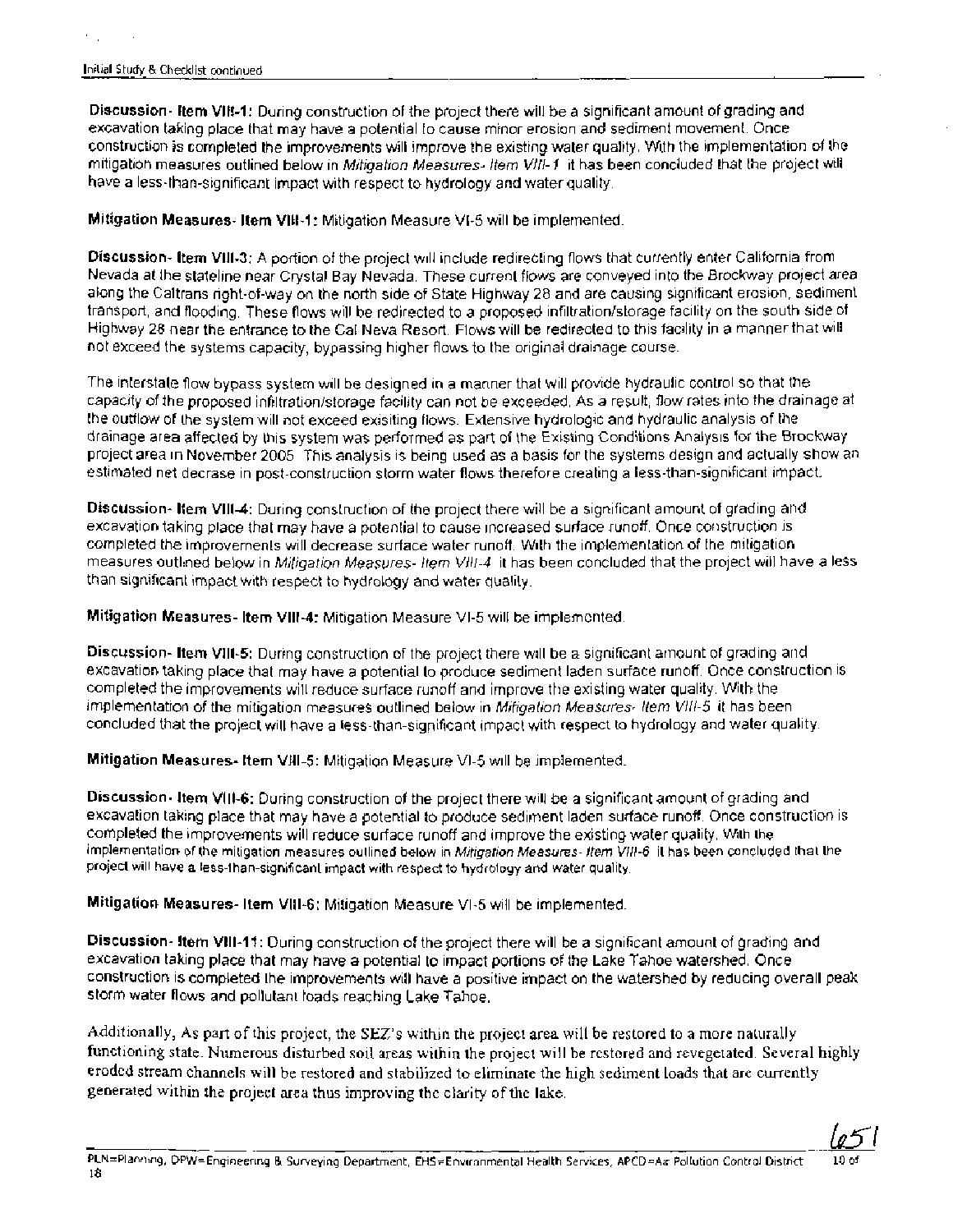**Discussion- ltem VIII-I:** During construction of the project there will be a significant amount of grading and excavation taking place that may have a potential to cause minor erosion and sediment movement. Once construction is completed the improvements will improve the existing water quality. Wijh the implementation of the mitigation measures outlined below in Mitigation Measures- Item VIII-1 it has been concluded that the project will have a less-than-significant impact with respect to hydrology and water quality.

**Mitigation Measures- ltem VIII-I:** Mitigation Measure VI-5 will be implemented.

**Discussion- ltem Vlll-3: A** portion of the project will include redirecting flows that currently enter California from Nevada at the stateline near Crystal Bay Nevada. These current flows are conveyed into the Brockway project area along the Caltrans right-of-way on the north side of State Highway 28 and are causing significant erosion, sediment transport, and flooding. These flows will be redirected to a proposed infiltrationlstorage facility on the south side of Highway 28 near the entrance to the Cal Neva Resort. Flows will be redirected to this facility in a manner that will not exceed the systems capacity, bypassing higher flows to the original drainage course.

The interstate flow bypass system will be designed in a manner that will provide hydraulic control so that the capacity of the proposed infiltration/storage facility can not be exceeded. As a result, flow rates into the drainage at the Outflow of the system will not exceed exisiting flows. Extensive hydrologic and hydraulic analysis of the drainage area affected by this system was performed as part of the Existing Conditions Analysis for the Brockway project area in November 2005. This analysis is being used as a basis for the systems design and actually show an estimated net decrase in post-construction storm water flows therefore creating a less-than-significant impact.

**Discussion- ltem V111-4:** During construction of the project there will be a significant amount of grading and excavation taking place that may have a potential to cause increased surface runoff. Once construction is completed the improvements will decrease surface water runoff. With the implementation of the mitigation measures outlined below in Miligation Measures- Item VIII-4 it has been concluded that the project will have a less than significant impact with respect to hydrology and water quality.

**Mitigation Measures- ltem Vlll-4:** Mitigation Measure VI-5 will be implemented

**Discussion- ltem Vlll-5:** During construction of the project there will be a significant amount of grading and excavation taking place that may have a potential to produce sediment laden surface runoff. Once construction is completed the improvements will reduce surface runoff and improve the existing water quality. With the implementation of the mitigation measures outlined below in Mitigation Measures- Item VIII-5 it has been concluded that the project will have a less-than-significant impact with respect to hydrology and water quality.

**Mitigation Measures- ltem Vlll-5:** Mitigation Measure VI-5 will be implemented.

**Discussion- ltem Vlll-6:** During construction of the project there will be a significant amount of grading and excavation taking place that may have a potential to produce sediment laden surface runoff. Once construction is completed the improvements will reduce surface runoff and improve the existing water quality. With the implementation of the mitigation measures outlined below in Mitigation Measures- ltem Vlll-6 it has been concluded that the project will have a less-than-significant impact with respect to hydrology and water quality.

**Mitigation Measures- Item Vlll-6:** Mitigation Measure VI-5 will be implemented.

**Discussion- ltem VIII-I I:** During construction of the project there will be a significant amount of grading and excavation taking place that may have a potential to impact portions of the Lake Tahoe watershed. Once construction is completed the improvements will have a positive impact on the watershed by reducing overall peak storm water flows and pollutant loads reaching Lake Tahoe.

Additionally, As part of this project, the SEZ's within the project area will be restored to a more naturally functioning state. Numerous disturbed soil areas within the project will be restored and revegetated. Several highly eroded stream channels will be restored and stabilized to eliminate the high sediment loads that are currently generated within the project area thus improving the clarity of the lake.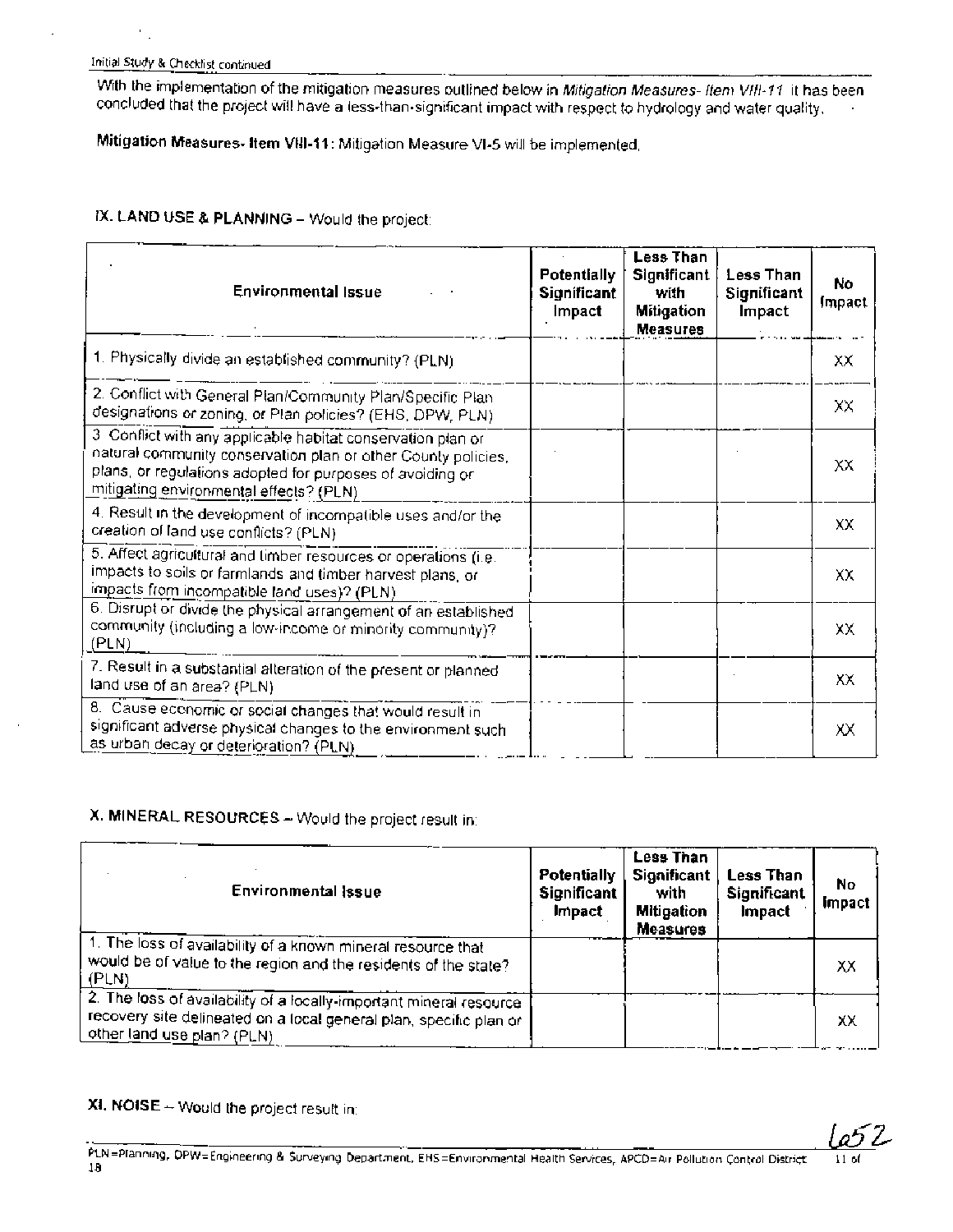#### **IX. LAND USE** & PLANNING - Would the project:

| Initial Study & Checklist continued<br>With the implementation of the mitigation measures outlined below in Mitigation Measures- Item VIII-11 it has been<br>concluded that the project will have a less-than-significant impact with respect to hydrology and water quality.<br>Mitigation Measures- Item VIII-11: Mitigation Measure VI-5 will be implemented. |                                      |                                                                          |                                           |                     |
|------------------------------------------------------------------------------------------------------------------------------------------------------------------------------------------------------------------------------------------------------------------------------------------------------------------------------------------------------------------|--------------------------------------|--------------------------------------------------------------------------|-------------------------------------------|---------------------|
| IX. LAND USE & PLANNING - Would the project:<br><b>Environmental Issue</b>                                                                                                                                                                                                                                                                                       | Potentially<br>Significant<br>Impact | Less Than<br>Significant<br>with<br><b>Mitigation</b><br><b>Measures</b> | <b>Less Than</b><br>Significant<br>Impact | No<br><b>Impact</b> |
| 1. Physically divide an established community? (PLN)                                                                                                                                                                                                                                                                                                             |                                      |                                                                          |                                           | ХX                  |
| 2. Conflict with General Plan/Community Plan/Specific Plan<br>designations or zoning, or Plan policies? (EHS, DPW, PLN).                                                                                                                                                                                                                                         |                                      |                                                                          |                                           | ХX                  |
| 3 Conflict with any applicable habitat conservation plan or<br>natural community conservation plan or other County policies,<br>plans, or regulations adopted for purposes of avoiding or<br>mitigating environmental effects? (PLN)                                                                                                                             |                                      |                                                                          |                                           | xх                  |
| 4. Result in the development of incompatible uses and/or the<br>creation of land use conflicts? (PLN)                                                                                                                                                                                                                                                            |                                      |                                                                          |                                           | XХ                  |
| 5. Affect agricultural and timber resources or operations (i.e.<br>impacts to soils or farmlands and timber harvest plans, or<br>impacts from incompatible land uses)? (PLN)                                                                                                                                                                                     |                                      |                                                                          |                                           | XΧ                  |
| 6. Disrupt or divide the physical arrangement of an established<br>community (including a low-income or minority community)?<br>(PLN)                                                                                                                                                                                                                            |                                      |                                                                          |                                           | ХX                  |
| 7. Result in a substantial alteration of the present or planned<br>land use of an area? (PLN)                                                                                                                                                                                                                                                                    |                                      |                                                                          |                                           | ХX                  |
| 8. Cause economic or social changes that would result in<br>significant adverse physical changes to the environment such<br>as urban decay or deterioration? (PLN).                                                                                                                                                                                              |                                      |                                                                          |                                           | XХ                  |

# **X. MINERAL RESOURCES** -Would the project result in:

| <b>Environmental Issue</b>                                                                                                                                              | Potentially<br>Significant<br><b>Impact</b> | Less Than<br><b>Significant</b><br>with<br><b>Mitigation</b><br>Measures | Less Than<br><b>Significant</b><br>Impact | No.<br>impact |
|-------------------------------------------------------------------------------------------------------------------------------------------------------------------------|---------------------------------------------|--------------------------------------------------------------------------|-------------------------------------------|---------------|
| 1. The loss of availability of a known mineral resource that<br>would be of value to the region and the residents of the state?<br>(PLN)                                |                                             |                                                                          |                                           | XΧ            |
| 2. The loss of availability of a locally-important mineral resource<br>recovery site delineated on a local general plan, specific plan or<br>other land use plan? (PLN) |                                             |                                                                          |                                           | xх            |

# **XI. NOISE** - Would the project result in:

a5 Z

PLN=Planning, DPW=Engineering & Survey~ng Department, EHS=Environmental Health Services, APCD=Air Pollut~on Control District 11 of **18**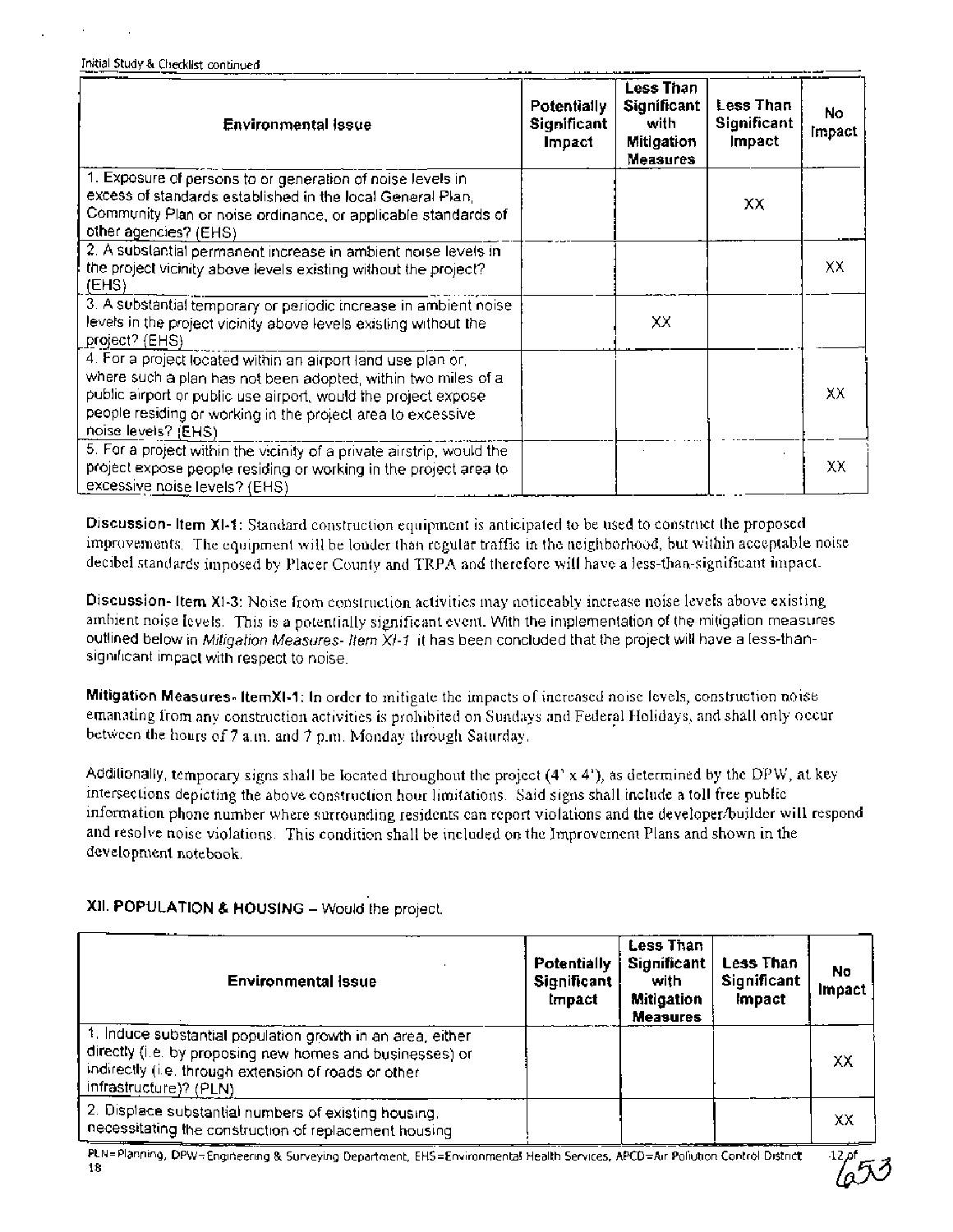| <b>Environmental Issue</b>                                                                                                                                                                                                                                                             | Potentially<br>Significant<br>Impact | Less Than<br>Significant<br>with<br><b>Mitigation</b><br><b>Measures</b> | Less Than<br>Significant<br>Impact | No.<br>Impact |
|----------------------------------------------------------------------------------------------------------------------------------------------------------------------------------------------------------------------------------------------------------------------------------------|--------------------------------------|--------------------------------------------------------------------------|------------------------------------|---------------|
| 1. Exposure of persons to or generation of noise levels in<br>excess of standards established in the local General Plan,<br>Community Plan or noise ordinance, or applicable standards of<br>other agencies? (EHS)                                                                     |                                      |                                                                          | xх                                 |               |
| 2. A substantial permanent increase in ambient noise levels in<br>the project vicinity above levels existing without the project?<br>(EHS)                                                                                                                                             |                                      |                                                                          |                                    | XX.           |
| 3. A substantial temporary or periodic increase in ambient noise.<br>levels in the project vicinity above levels existing without the<br>project? (EHS)                                                                                                                                |                                      | XХ                                                                       |                                    |               |
| 4. For a project located within an airport land use plan or,<br>where such a plan has not been adopted, within two miles of a<br>public airport or public use airport, would the project expose.<br>people residing or working in the project area to excessive<br>noise levels? (EHS) |                                      |                                                                          |                                    | XХ            |
| 5. For a project within the vicinity of a private airstrip, would the<br>project expose people residing or working in the project area to<br>excessive noise levels? (EHS)                                                                                                             |                                      |                                                                          |                                    | ХX            |

Discussion- Item XI-1: Standard construction equipment is anticipated to be used to construct the proposed improvements. The equipment will be louder than regular traffic in the neighborhood, but within acceptable noise decibel standards imposed by Placer County and TRPA and therefore will have a less-than-significant impact.

Discussion- ltem **XI-3:** Noise from construction activities may noticeably increase noise levels above existing ambient noise levels. This is a potentially significant event. With the implementation of the mitigation measures outlined below in Mitigation Measures- Item  $Xl-1$  it has been concluded that the project will have a less-thansignificant impact with respect to noise.

**Mitigation** Measures- **IternXI-1:** In order to mitigate the impacts of increased noise levels, construction noise emanating from any construction activities is prohibited on Sundays and Federal Holidays, and shall only occur between the hours of 7 a.m. and 7 p.m. Monday through Saturday.

Additionally, temporary signs shall be located throughout the project  $(4' \times 4')$ , as determined by the DPW, at key intersections depicting the above construction hour limitations. Said signs shall include a toll free public information phone number where surrounding residents can report violations and the developer/builder will respond and resolve noise violations. This condition shall be included on the Improvement Plans and shown in the development notebook.

| <b>Environmental Issue</b>                                                                                                                                                                               | <b>Potentially</b><br>Significant<br>lmpact | Less Than<br><b>Significant</b><br>with<br><b>Mitigation</b><br><b>Measures</b> | <b>Less Than</b><br><b>Significant</b><br>Impact | No<br>Impact |
|----------------------------------------------------------------------------------------------------------------------------------------------------------------------------------------------------------|---------------------------------------------|---------------------------------------------------------------------------------|--------------------------------------------------|--------------|
| 1. Induce substantial population growth in an area, either<br>directly (i.e. by proposing new homes and businesses) or<br>indirectly (i.e. through extension of roads or other<br>infrastructure)? (PLN) |                                             |                                                                                 |                                                  | ХX           |
| 2. Displace substantial numbers of existing housing.<br>necessitating the construction of replacement housing.                                                                                           |                                             |                                                                                 |                                                  | xх           |

#### **XII. POPULATION & HOUSING - Would the project.**

PLN=Planning, DPW=Engineering & Surveying Department, EHS=Environmental Health Services, APCD=Air Pollution Control District 18

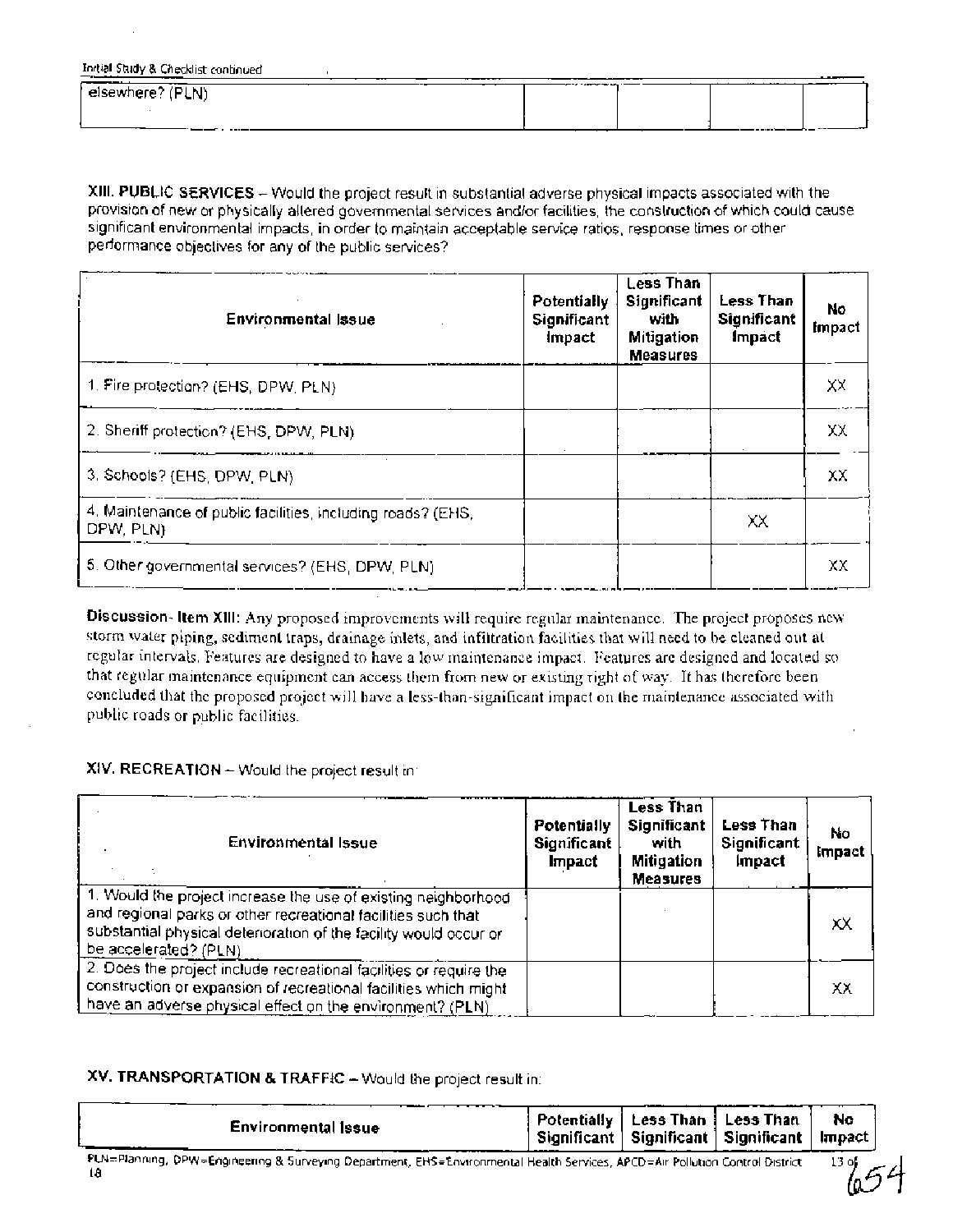| Initial Study & Checklist continued<br>$-$<br>__ | _____ | ------                                                                                                                                                                                                                         |  | --- |
|--------------------------------------------------|-------|--------------------------------------------------------------------------------------------------------------------------------------------------------------------------------------------------------------------------------|--|-----|
| $\overline{\phantom{a}}$<br>elsewhere? (PLN)     |       | and the company of the first state of the contract of the contract of the contract of the contract of the contract of the contract of the contract of the contract of the contract of the contract of the contract of the cont |  |     |
|                                                  |       |                                                                                                                                                                                                                                |  |     |
| _                                                |       |                                                                                                                                                                                                                                |  |     |

**XIII. PUBLIC SERVICES** -Would the project result in substantial adverse physical impacts associated with the provision of new or physically altered governmental services andlor facilities, the construction of which could cause significant environmental impacts, in order to maintain acceptable service ratlos, response times or other performance objectives for any of the public services?

| <b>Environmental Issue</b>                                               | Potentially<br>Significant<br>Impact | <b>Less Than</b><br>Significant<br>with<br><b>Mitigation</b><br><b>Measures</b> | Less Than<br>Significant<br>Impact | No<br><b>Impact</b> |
|--------------------------------------------------------------------------|--------------------------------------|---------------------------------------------------------------------------------|------------------------------------|---------------------|
| 1. Fire protection? (EHS, DPW, PLN)                                      |                                      |                                                                                 |                                    | XХ                  |
| 2. Sheriff protection? (EHS, DPW, PLN).                                  |                                      |                                                                                 |                                    | XХ                  |
| 3. Schools? (EHS, DPW, PLN)                                              |                                      |                                                                                 |                                    | xх                  |
| 4. Maintenance of public facilities, including roads? (EHS,<br>DPW, PLN) |                                      |                                                                                 | XХ                                 |                     |
| 5. Other governmental services? (EHS, DPW, PLN)                          |                                      |                                                                                 |                                    | xх                  |

**Discussion- Item XIII:** Any proposed improvements will require regular maintenance. The project proposes new storm water piping, sediment traps, drainage inlets, and infiltration facilities that will need to be cleaned out at regular intervals. Features are designed to have a low maintenance impact. Features are designed and located so that regular maintenance equipment can access them from new or existing right of way. It has therefore been concluded that the proposed project will have a less-than-significant impact on the maintenance associated with public roads or public facilities.

**XIV. RECREATION** - Would the project result in:

| <b>Environmental Issue</b>                                                                                                                                                                                                     | Potentially<br><b>Significant</b><br>Impact | Less Than<br>Significant<br>with<br><b>Mitigation</b><br><b>Measures</b> | Less Than<br><b>Significant</b><br>Impact | No<br><b>Impact</b> |
|--------------------------------------------------------------------------------------------------------------------------------------------------------------------------------------------------------------------------------|---------------------------------------------|--------------------------------------------------------------------------|-------------------------------------------|---------------------|
| 1. Would the project increase the use of existing neighborhood.<br>and regional parks or other recreational facilities such that<br>substantial physical deterioration of the facility would occur or<br>be accelerated? (PLN) |                                             |                                                                          |                                           | хΧ                  |
| 2. Does the project include recreational facilities or require the<br>construction or expansion of recreational facilities which might<br>have an adverse physical effect on the environment? (PLN)                            |                                             |                                                                          |                                           | xх                  |

### **XV. TRANSPORTATION** *8* **TRAFFIC** - Would the project result in:

| <b>Environmental Issue</b>                                        |   | Potentially   Less Than   Less Than  <br>$_1$ Significant $\mid$ Significant $\mid$ Significant $\mid$ Impact $\mid$ | No |
|-------------------------------------------------------------------|---|----------------------------------------------------------------------------------------------------------------------|----|
| <b>DIN-Discover Abut Castronic Crisis and Contract Contract A</b> | . |                                                                                                                      |    |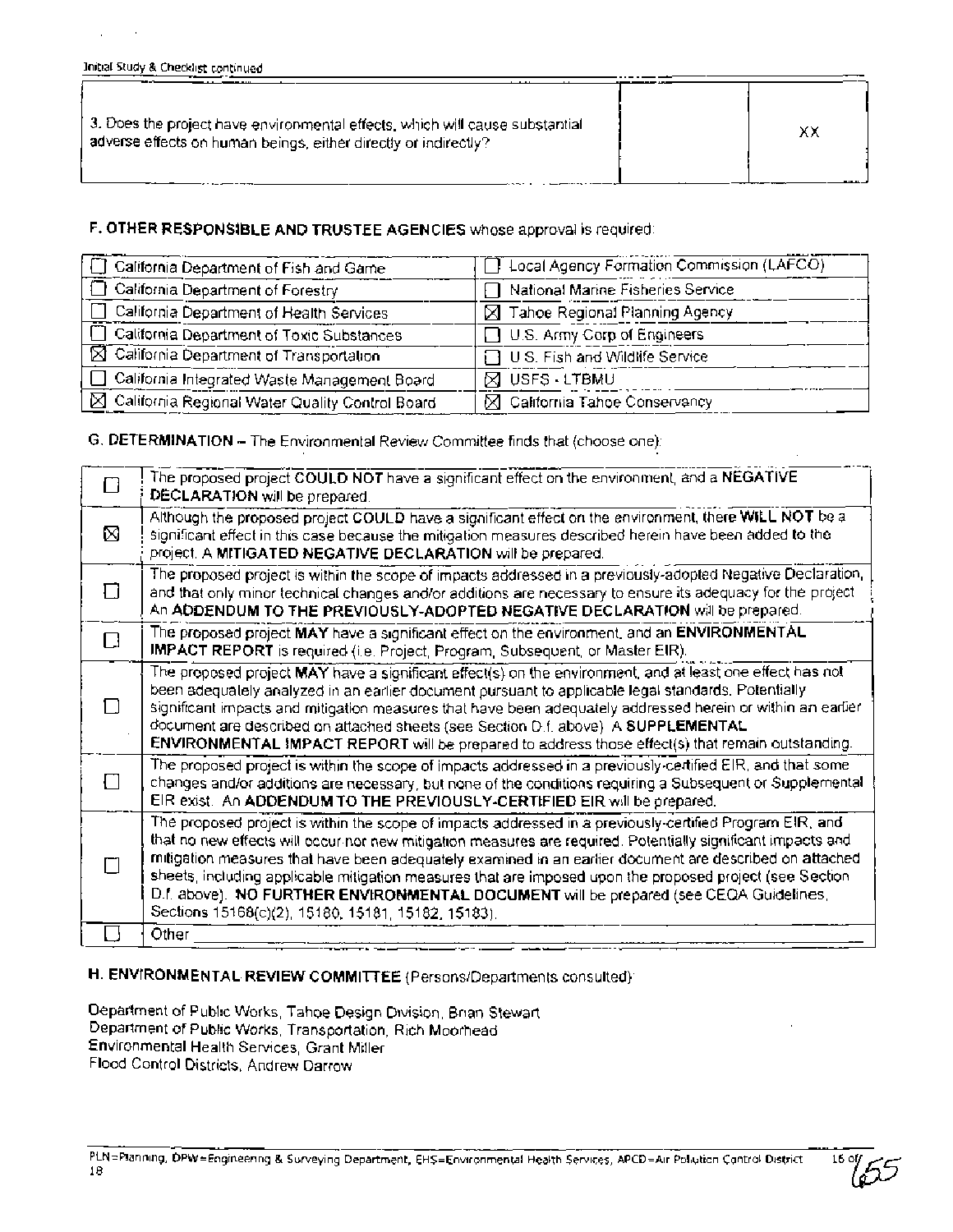| $\mid 3.$ Does the project have environmental effects, which will cause substantial.<br>adverse effects on human beings, either directly or indirectly? | xх |
|---------------------------------------------------------------------------------------------------------------------------------------------------------|----|
|                                                                                                                                                         |    |
|                                                                                                                                                         |    |

#### **F. OTHER RESPONSIBLE AND TRUSTEE AGENCIES** whose approval is required:

| C California Department of Fish and Game                    | Local Agency Formation Commission (LAFCO) |
|-------------------------------------------------------------|-------------------------------------------|
| California Department of Forestry                           | National Marine Fisheries Service         |
| California Department of Health Services                    | ⊠ Tahoe Regional Planning Agency          |
| California Department of Toxic Substances                   | U.S. Army Corp of Engineers               |
| California Department of Transportation                     | U.S. Fish and Wildlife Service            |
| D California Integrated Waste Management Board              | $\boxtimes$ USFS $\cdot$ LTBMU            |
| $\boxtimes$ California Regional Water Quality Control Board | ⊠ California Tahoe Conservancy            |

#### **G. DETERMINATION** -The Environmental Review Committee finds that (choose one):

|        | The proposed project COULD NOT have a significant effect on the environment, and a NEGATIVE<br>DECLARATION will be prepared.                                                                                                                                                                                                                                                                                                                                                                                                                                                                   |
|--------|------------------------------------------------------------------------------------------------------------------------------------------------------------------------------------------------------------------------------------------------------------------------------------------------------------------------------------------------------------------------------------------------------------------------------------------------------------------------------------------------------------------------------------------------------------------------------------------------|
| ⊠      | Although the proposed project COULD have a significant effect on the environment, there WILL NOT be a<br>significant effect in this case because the mitigation measures described herein have been added to the<br>project. A MITIGATED NEGATIVE DECLARATION will be prepared.                                                                                                                                                                                                                                                                                                                |
| U      | The proposed project is within the scope of impacts addressed in a previously-adopted Negative Declaration,<br>and that only minor technical changes and/or additions are necessary to ensure its adequacy for the project<br>An ADDENDUM TO THE PREVIOUSLY-ADOPTED NEGATIVE DECLARATION will be prepared.                                                                                                                                                                                                                                                                                     |
| $\Box$ | The proposed project MAY have a significant effect on the environment, and an ENVIRONMENTAL<br><b>IMPACT REPORT</b> is required (i.e. Project, Program, Subsequent, or Master EIR).                                                                                                                                                                                                                                                                                                                                                                                                            |
|        | The proposed project MAY have a significant effect(s) on the environment, and at least one effect has not<br>been adequately analyzed in an earlier document pursuant to applicable legal standards. Potentially<br>significant impacts and mitigation measures that have been adequately addressed herein or within an earlier<br>document are described on attached sheets (see Section D.f. above) A SUPPLEMENTAL<br>ENVIRONMENTAL IMPACT REPORT will be prepared to address those effect(s) that remain outstanding.                                                                       |
|        | The proposed project is within the scope of impacts addressed in a previously-certified EIR, and that some $\,$<br>changes and/or additions are necessary, but none of the conditions requiring a Subsequent or Supplemental<br>EIR exist. An ADDENDUM TO THE PREVIOUSLY-CERTIFIED EIR will be prepared.                                                                                                                                                                                                                                                                                       |
|        | The proposed project is within the scope of impacts addressed in a previously-certified Program EIR, and<br>that no new effects will occur nor new mitigation measures are required. Potentially significant impacts and<br>mitigation measures that have been adequately examined in an earlier document are described on attached<br>sheets, including applicable mitigation measures that are imposed upon the proposed project (see Section<br>D.f. above). NO FURTHER ENVIRONMENTAL DOCUMENT will be prepared (see CEQA Guidelines,<br>Sections 15168(c)(2), 15180, 15181, 15182, 15183). |
|        | Other                                                                                                                                                                                                                                                                                                                                                                                                                                                                                                                                                                                          |

### **H. ENVIRONMENTAL- REVIEW COMMllTEE** (PersonslDepartments consulted):

Department of Public Works, Tahoe Design Division, Brian Stewart Department of Public Works, Transportation, Rich Moorhead Environmental Health Services, Grant Miller Flood Control Districts, Andrew Darrow

16 c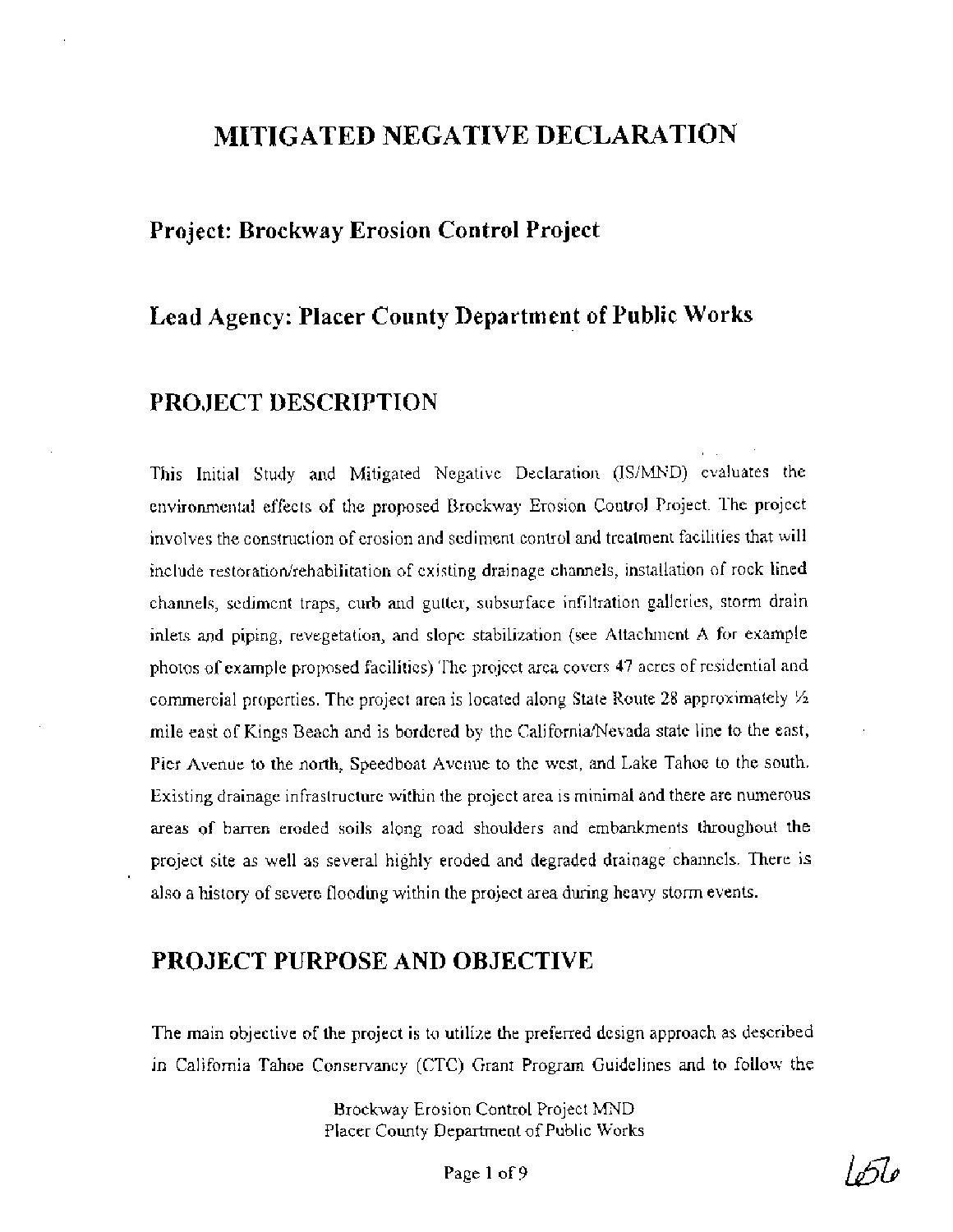# **MITIGATED NEGATIVE DECLARATION**

## **Project: Brockway Erosion Control Project**

# **Lead Agency: Placer County Department of Public Works**

# **PROJECT DESCRIPTION**

This Initial Study and Mitigated Negative Declaration (IS/MND) evaluates the environmental effects of the proposed Brockway Erosion Control Project. The project involves the construction of erosion and sediment control and treatment facilities that will include restoration/rehabilitation of existing drainage channels, installation of rock lined channels, sediment traps, curb and gutter, subsurface infiltration galleries, storm drain inlets and piping, revegetation, and slope stabilization (see Attachment A for example photos of example proposed facilities) The project area covers 47 acres of residential and commercial properties. The project area is located along State Route 28 approximately  $\frac{1}{2}$ mile east of Kings Beach and is bordered by the CaliforniaNevada state line to the east, Pier Avenue to the north, Speedboat Avenue to the west, and Lake Tahoe to the south. Existing drainage infrastructure within the project area is minimal and there are numerous areas of barren eroded soils along road shoulders and embankments throughout the project site as well as several highly eroded and degraded drainage channels. There is also a history of severe flooding within the project area during heavy storm events.

# **PROJECT PURPOSE AND OBJECTIVE**

The main objective of the project is to utilize the preferred design approach as described in California Tahoe Conservancy (CTC) Grant Program Guidelines and to follow the

> Brockway Erosion Control Project MND Placer County Department of Public Works

Page 1 of 9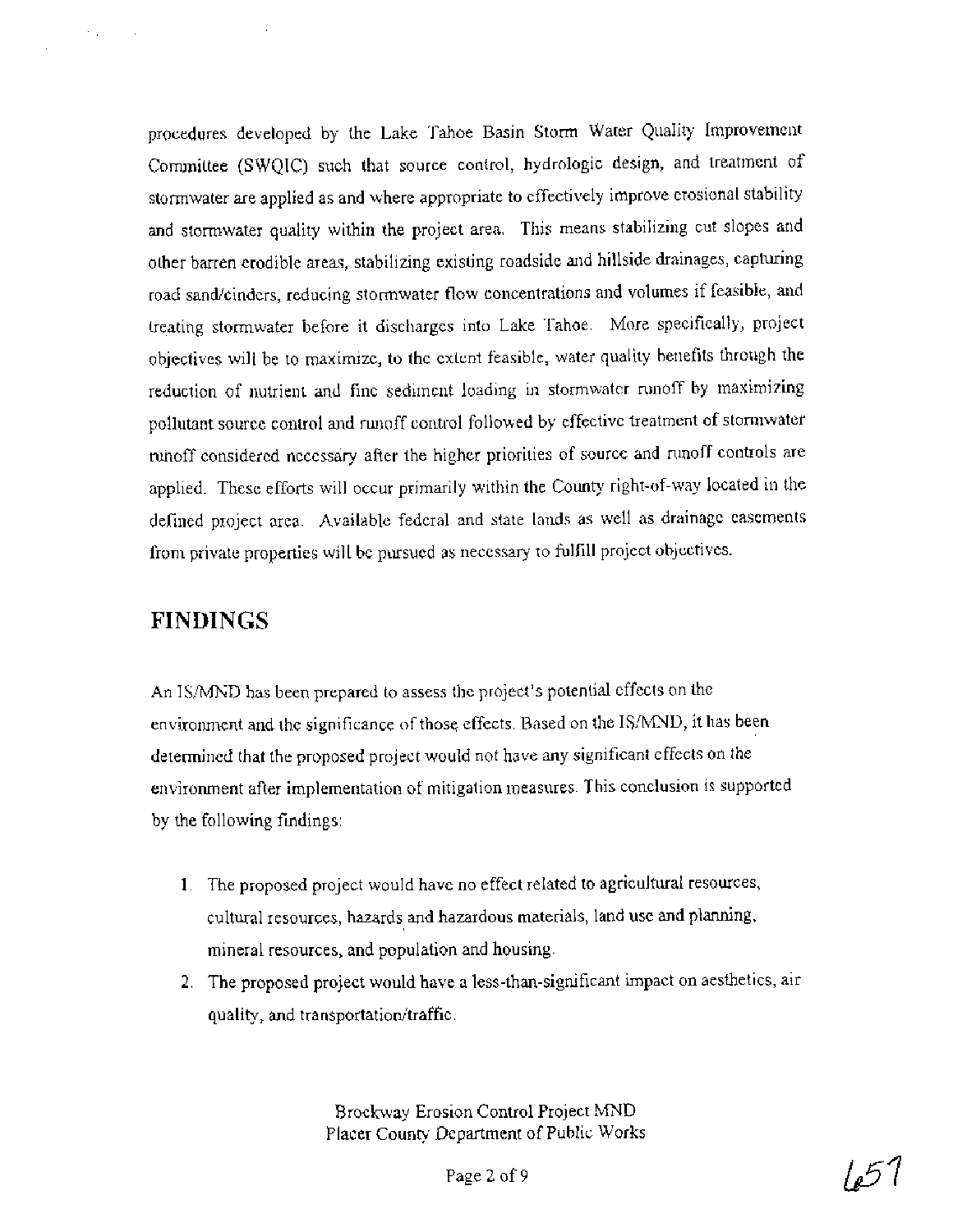procedures developed by the Lake Tahoe Basin Storm Water Quality Improvement Committee (SWQIC) such that source control, hydrologic design, and treatment of stormwater are applied as and where appropriate to effectively improve erosional stability and stormwater quality within the project area. This means stabilizing cut slopes and other barren erodible areas, stabilizing existing roadside and hillside drainages, capturing road sand/cinders, reducing stormwater flow concentrations and volumes if feasible, and treating stormwater before it discharges into Lake Tahoe. More specifically, project objectives will be to maximize, to the extent feasible, water quality benefits through the reduction of nutrient and fine sediment loading in stormwater runoff by maximizing pollutant source control and runoff control followed by effective treatment of stormwater runoff considered necessary after the higher priorities of source and runoff controls are applied. These efforts will occur primarily within the County right-of-way located in the defined project area. Available federal and state lands as well as drainage easements from private properties will be pursued as necessary to fulfill project objectives.

# **FINDINGS**

 $\mathcal{O}(10^{-10})$ 

An IS/MND has been prepared to assess the project's potential effects on the environment and the significance of those effects. Based on the IS/MND, it has been determined that the proposed project would not have any significant effects on the environment after implementation of mitigation measures. Thls conclusion is supported by the following findings:

- 1. The proposed project would have no effect related to agricultural resources, cultural resources, hazards and hazardous materials, land use and planning, mineral resources, and population and housing.
- 2. The proposed project would have a less-than-significant impact on aesthetics, air quality, and transportation/traffic.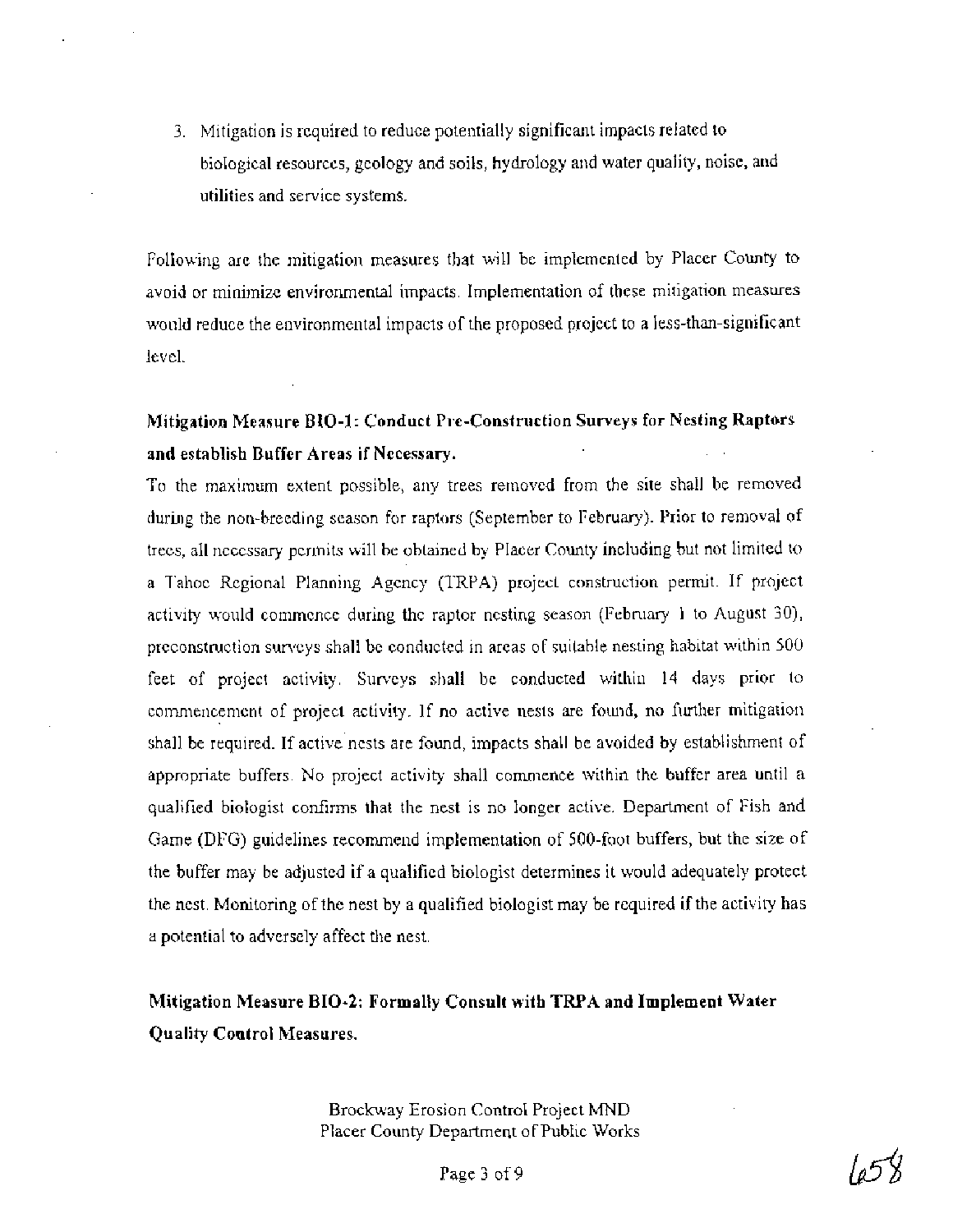3. Mitigation is required to reduce potentially significant impacts related to biological resources, geology and soils, hydrology and water quality, noise, and utilities and service systems.

Following are the mitigation measures that will be implemented by Placer County to avoid or minimize environmental impacts. Implementation of these mitigation measures would reduce the environmental impacts of the proposed project to a less-than-significant level.

# **Mitigation Measure BIO-1: Conduct Pre-Construction Surveys for Nesting Raptars and establish Buffer Areas if Necessary.**

To the maximum extent possible, any trees removed from the site shall be removed during the non-breeding season for raptors (September to February). Prior to removal of trees, all necessary permits will be obtained by Placer County including but not limited to a Tahoe Regional Planning Agency (TRPA) project construction permit. If project activity would commence during the raptor nesting season (February 1 to August 30), preconstruction surveys shall be conducted in areas of suitable nesting habitat within 500 feet of project activity. Surveys shall be conducted within 14 days prior to commencement of project activity. If no active nests are found, no further mitigation shall be required. If active nests are found, impacts shall be avoided by establishment of appropriate buffers. No project activity shall commence within the buffer area until a qualified biologist confirms that the nest is no longer active. Department of Fish and Game (DFG) guidelines recommend implementation of 500-foot buffers, but the size of the buffer may be adjusted if a qualified biologist determines it would adequately protect the nest. Monitoring of the nest by a qualified biologist may be required if the activity has a potential to adversely affect the nest.

# **Mitigation Measure BIO-2: Formally Consult with TRPA and Implement Water Quality Control Measures.**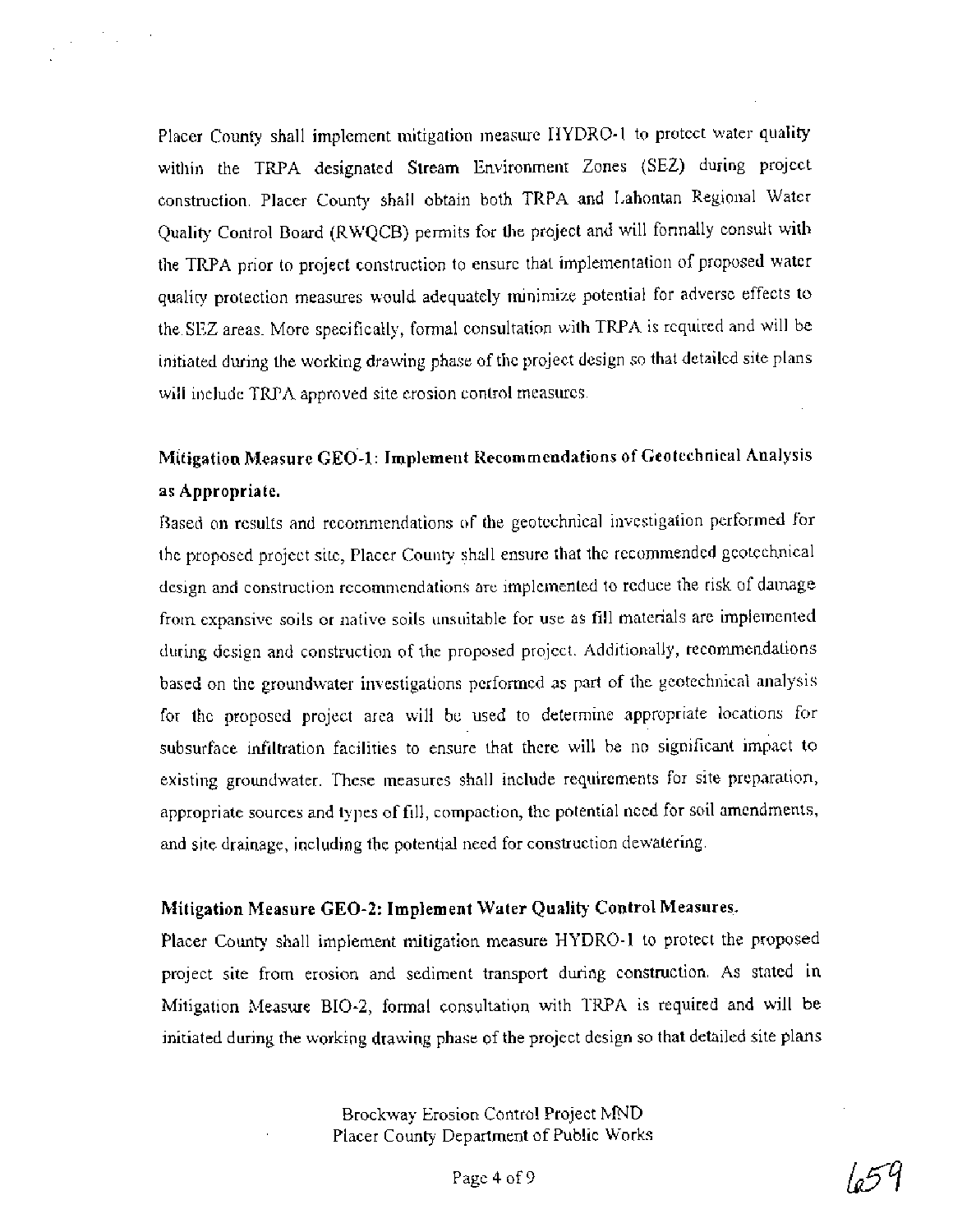Placer County shall implement mitigation measure HYDRO-1 to protect water quality within the TRPA designated Stream Environment Zones (SEZ) during project construction. Placer County shall obtain both TRPA and Lahontan Regional Water Quality Control Board (RWQCB) permits for the project and will formally consult with the TRPA prior to project construction to ensure that implementation of proposed water quality protection measures would adequately minimize potential for adverse effects to the.SEZ areas. More specifically, formal consultation with TRPA is required and will be initiated during the working drawing phase of the project design so that detailed site plans will include TRPA approved site erosion control measures.

 $\frac{1}{2} \left( \frac{1}{2} \right)^{2} \left( \frac{1}{2} \right)^{2} \left( \frac{1}{2} \right)^{2}$ 

# **Mitigation Measure GEO-1: Implement Recommendations of Geotechnical Analysis as Appropriate.**

Based on results and recommendations of the geotechnical investigation performed for the proposed project site, Placer County shall ensure that the recommended geotechnical design and construction recommendations are implemented to reduce the risk of damage from expansive soils or native soils unsuitable for use as fill materials are implemented during design and construction of the proposed project. Additionally, recommendations based on the groundwater investigations performed as part of the geotechnical analysis for the proposed project area will be used to determine appropriate locations for subsurface infiltration facilities to ensure that there will be no significant impact to existing groundwater. These measures shall include requirements for site preparation, appropriate sources and types of fill, compaction, the potential need for soil amendments, and site drainage, including the potential need for construction dewatering.

#### **Mitigation Measure GEO-2: Implement Water Quality Control Measures,.**

Placer County shall implement mitigation measure HYDRO-1 to protect the proposed project site from erosion and sediment transport during construction. As stated in Mitigation Measure BIO-2, formal consultation with TRPA is required and will be initiated during the working drawing phase of the project design so that detailed site plans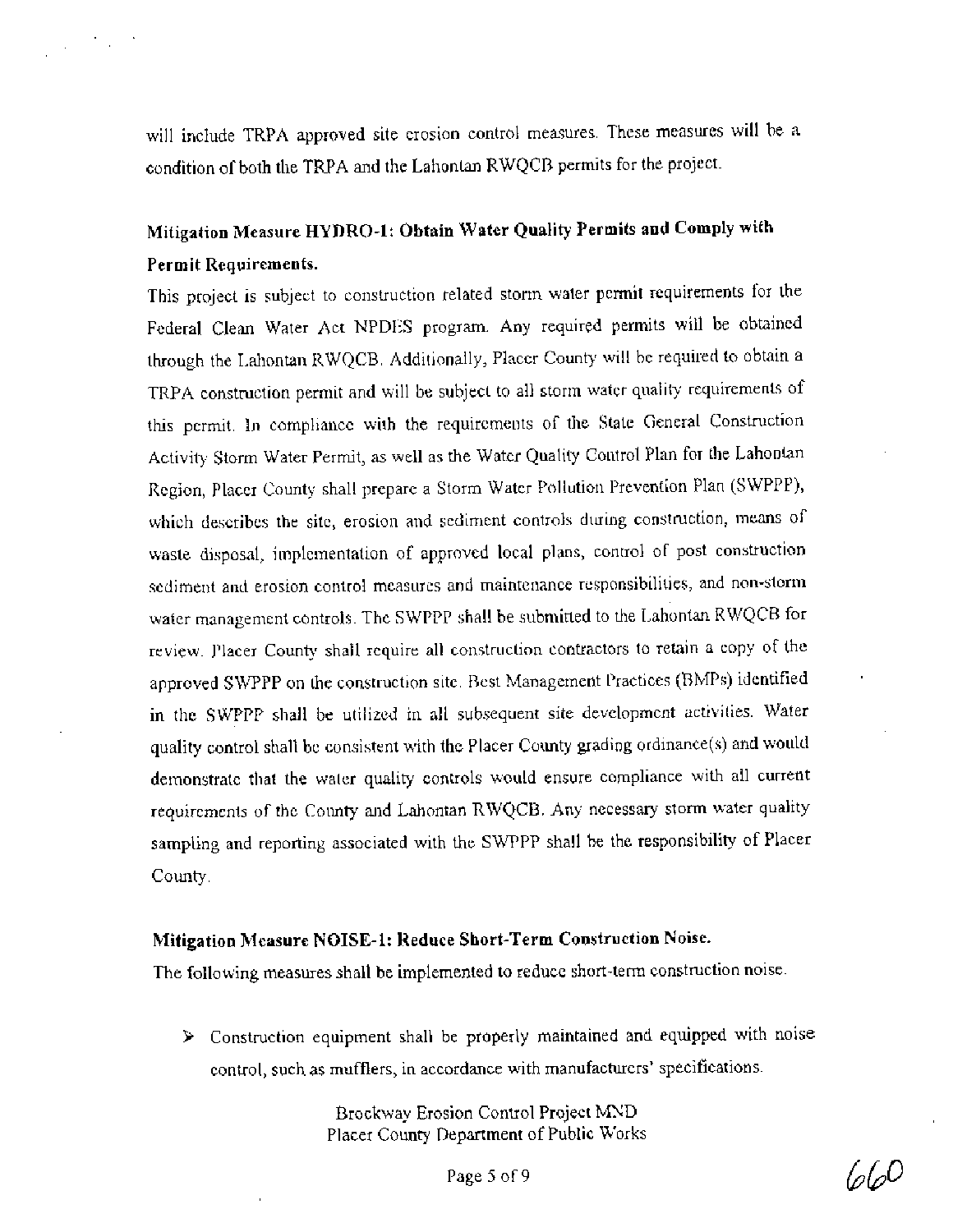will include TRPA approved site erosion control measures. These measures will be a condition of both the TRPA and the Lahontan RWQCB permits for the project.

 $\mathcal{F}(\mathcal{L})$  ,  $\mathcal{F}$ 

# **Mitigation Measure HYDRO-1: Obtain Water Quality Permits and Comply with Permit Requirements.**

This project is subject to construction related storm water permit requirements for the Federal Clean Water Act NPDES program. Any required permits will be obtained through the Lahontan RWQCB. Additionally, Placer County will be required to obtain a TRPA construction permit and will be subject to all storrn water quality requirements of this permit. In compliance with the requirements of the State General Construction Activity Storm Water Permit, as well as the Water Quality Control Plan for the Lahontan Region, Placer County shall prepare a Storm Water Pollution Prevention Plan (SWPPP), which describes the site, erosion and sediment controls during construction, means of waste disposal, jmplementation of approved local plans, control of post construction sediment and erosion control measures and maintenance responsibilities, and non-storm water management controls. The SWPPP shall be submitted to the Lahontan RWQCB for review. Placer County shall require all construction contractors to retain a copy of the approved SWPPP on the construction site. Best Management Practices (BMPs) identified in the SWPPP shall be utilized in all subsequent site development activities. Water quality control shall be consistent with the Placer County grading ordinance(s) and would demonstrate that the water quality controls would ensure compliance with all current requirements of the County and Lahontan RWQCB. Any necessary storm water quality sampling and reporting associated with the SWPPP shall be the responsibility of Placer County.

#### **Mitigation Measure NOISE-1: Reduce Short-Term Construction Noise.**

The following measures shall be implemented to reduce short-term construction noise.

9 Construction equipment shall be properly maintained and equipped with noise control, such as mufflers, in accordance with manufacturers' specifications.

> Brockway Erosion Control Project MND Placer County Department of Public Works

660

Page 5 of 9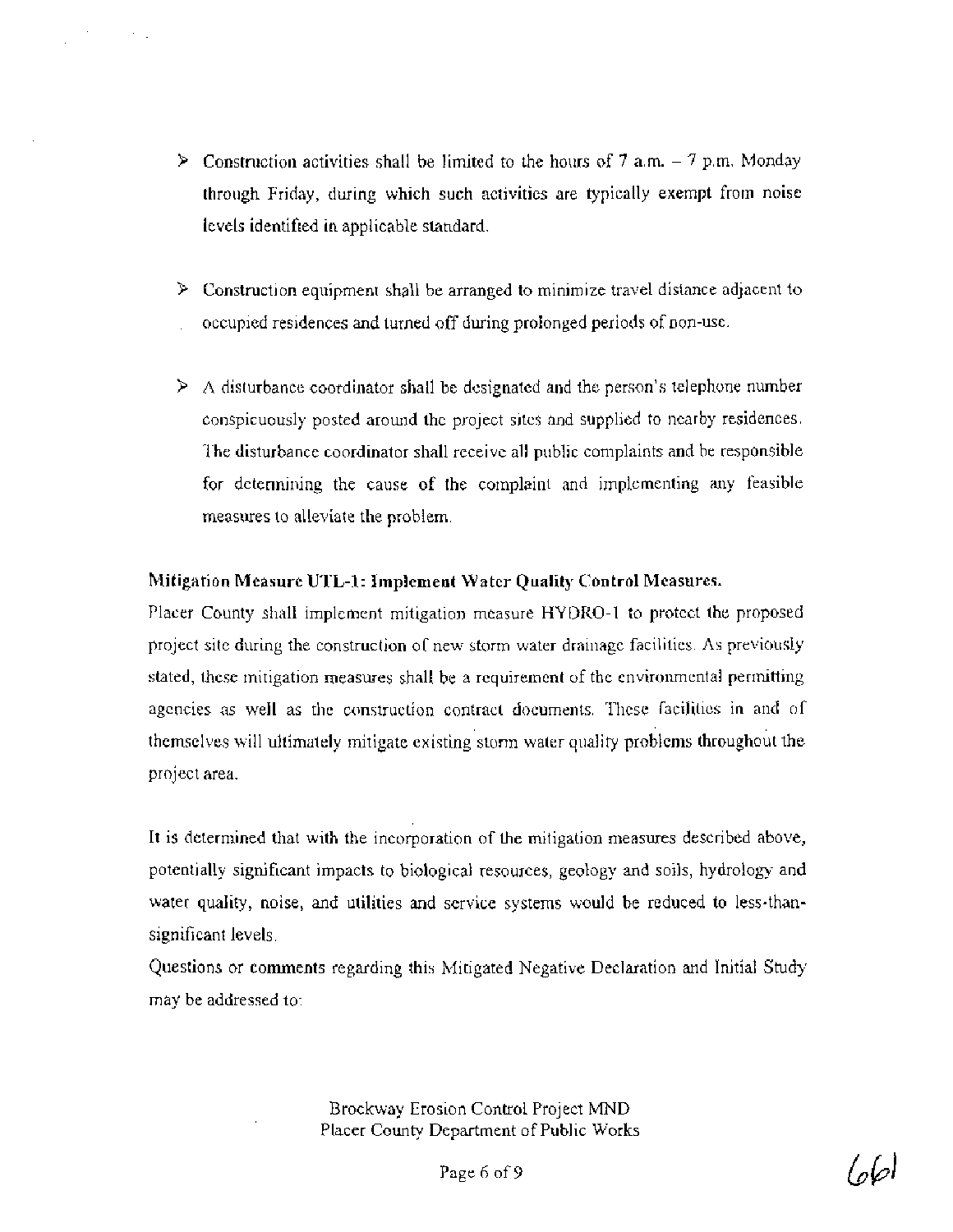- **k** Construction activities shall be limited to the hours of 7 a.m.  $-7$  p.m. Monday through Friday, during which such activities are typically exempt from noise levels identified in applicable standard.
- $\triangleright$  Construction equipment shall be arranged to minimize travel distance adjacent to , occupied residences and turned off during prolonged periods of non-use.
- $\triangleright$  A disturbance coordinator shall be designated and the person's telephone number conspicuously posted around the project sites and supplied to nearby residences. The disturbance coordinator shall receive all public complaints and be responsible for determining the cause of the complaint and implementing any feasible measures to alleviate the problem.

### **Mitigation Measure UTL-1: Implement Water Quality Control Measures.**

Placer County shall implement mitigation measure HYDRO-1 to protect the proposed project site during the construction of new storm water drainage facilities. As previously stated, these mitigation measures shall be a requirement of the environmental permitting agencies as well as the construction contract documents. These facilities in and of themselves will ultimately mitigate existing'storm water quality problems throughout the project area.

It is determined that with the incorporation of the mitigation measures described above, potentially significant impacts to biological resources, geology and soils, hydrology and water quality, noise, and utilities and service systems would be reduced to less-thansignificant levels.

Questions or comments regarding this Mitigated Negative Declaration and Initial Study may be addressed to:

اركاه)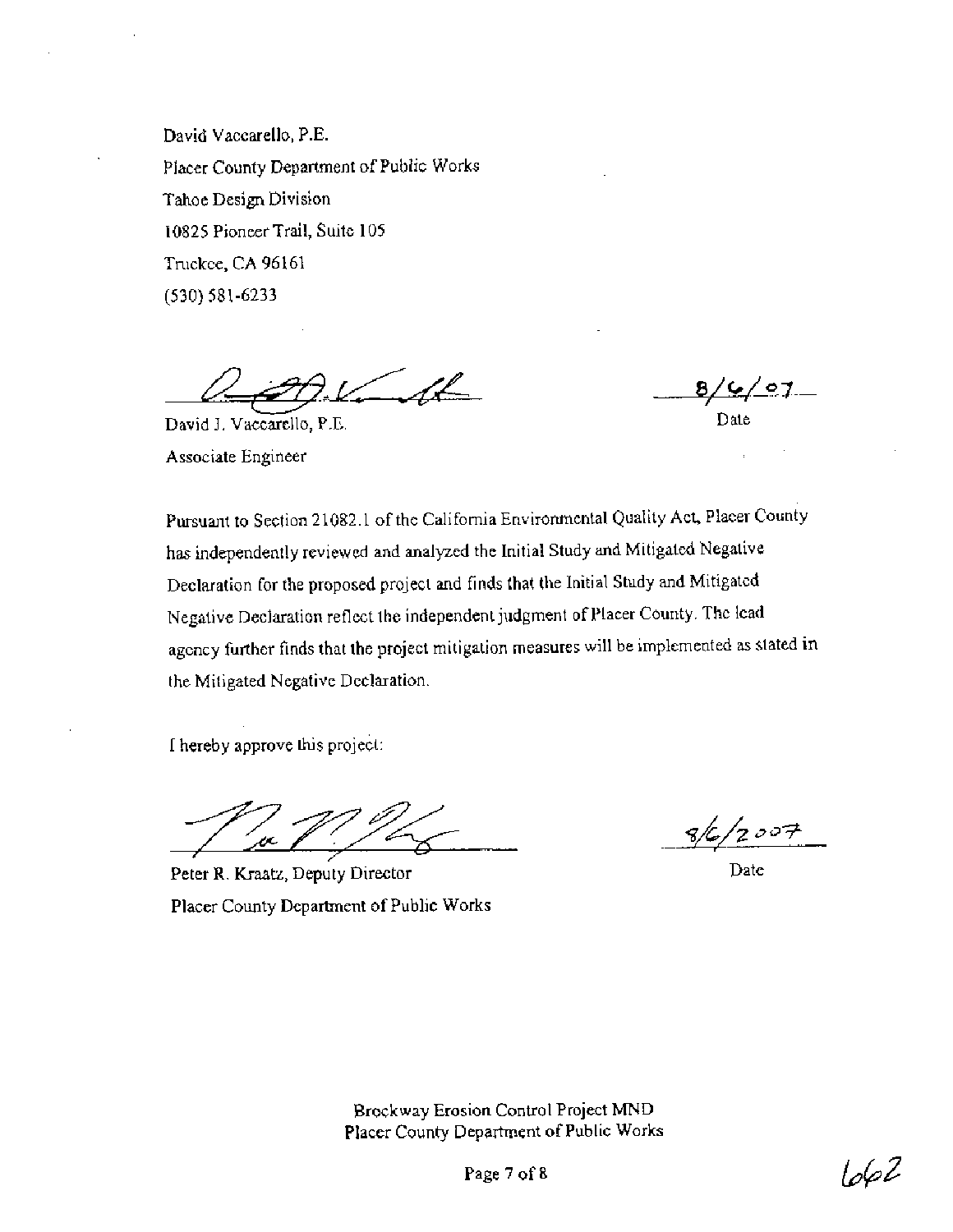David Vaccarello, P.E. Placer County Department of Public Works Tahoe Design Division 10825 Pioneer Trail, Suite 105 Truckee, CA 96161 (530) 58 1-6233

90101<br>  $\overline{\mathcal{L}}$ <br>  $\overline{\mathcal{L}}$ <br>  $\overline{\mathcal{L}}$ <br>  $\overline{\mathcal{L}}$ <br>  $\overline{\mathcal{L}}$ <br>  $\overline{\mathcal{L}}$ <br>  $\overline{\mathcal{L}}$ <br>  $\overline{\mathcal{L}}$ <br>  $\overline{\mathcal{L}}$  $\mathcal{A}$ 

David J. Vaccarello, P.E. Associate Engineer

 $\frac{8}{6}$ Date

Pursuant to Section 21082.1 of the California Environmental Quality Act, Placer County has independently reviewed and analyzed the lnitial Study and Mitigated Negative Declaration for the proposed project and finds that the Initial Study and Mitigated Negative Declaration reflect the independent judgment of Placer County. The lead agency further finds that the project mitigation measures will be implemented as stated in the Mitigated Negative Declaration.

I hereby approve this project:

Peter R. Kraatz, Deputy Director Placer County Department of Public Works

**T/Z 2~7** 

Date

662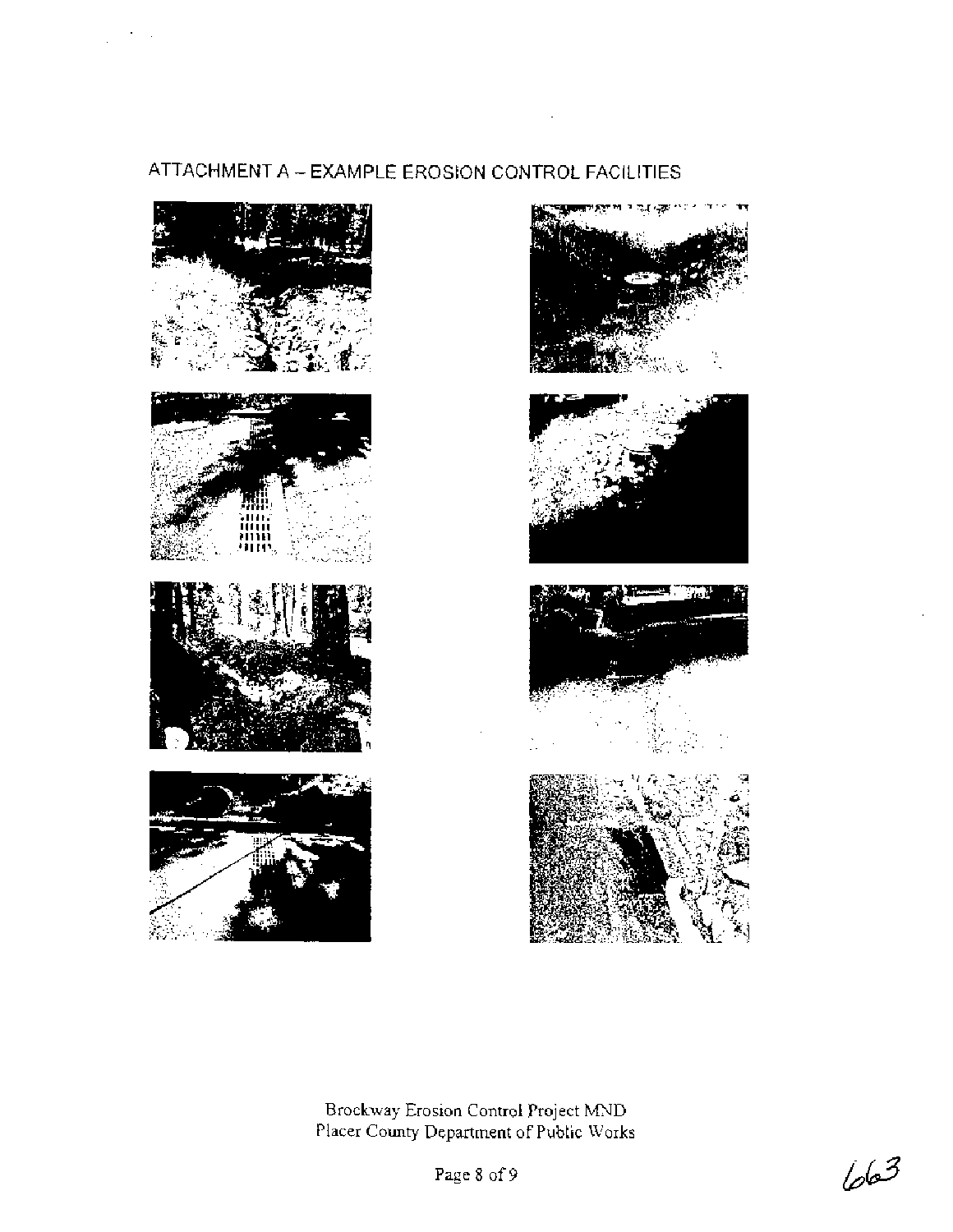# ATTACHMENT A - EXAMPLE EROSION CONTROL FACILITIES













 $63$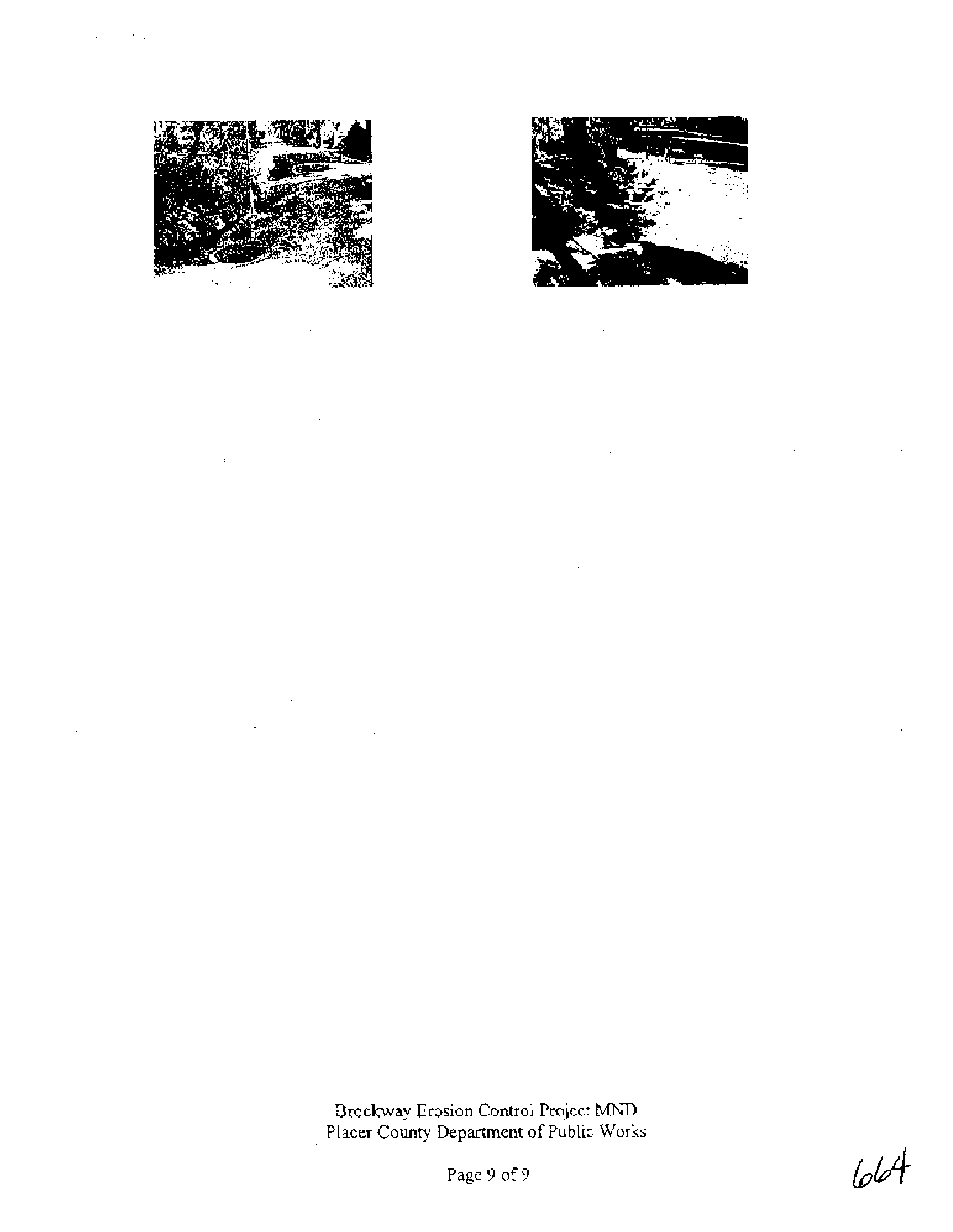$\bar{z}$ 



 $\bar{z}$ 

 $\mathcal{A}$ 

 $\mathbb{R}^2$ 



 $\ddot{\phantom{a}}$ 

 $\hat{\mathcal{L}}$ 

 $\overline{\phantom{a}}$  $\mathcal{L}$ 

Brockway Erosion Control Project MND Placer County Department of Public Works

 $664$ 

 $\ddot{\phantom{a}}$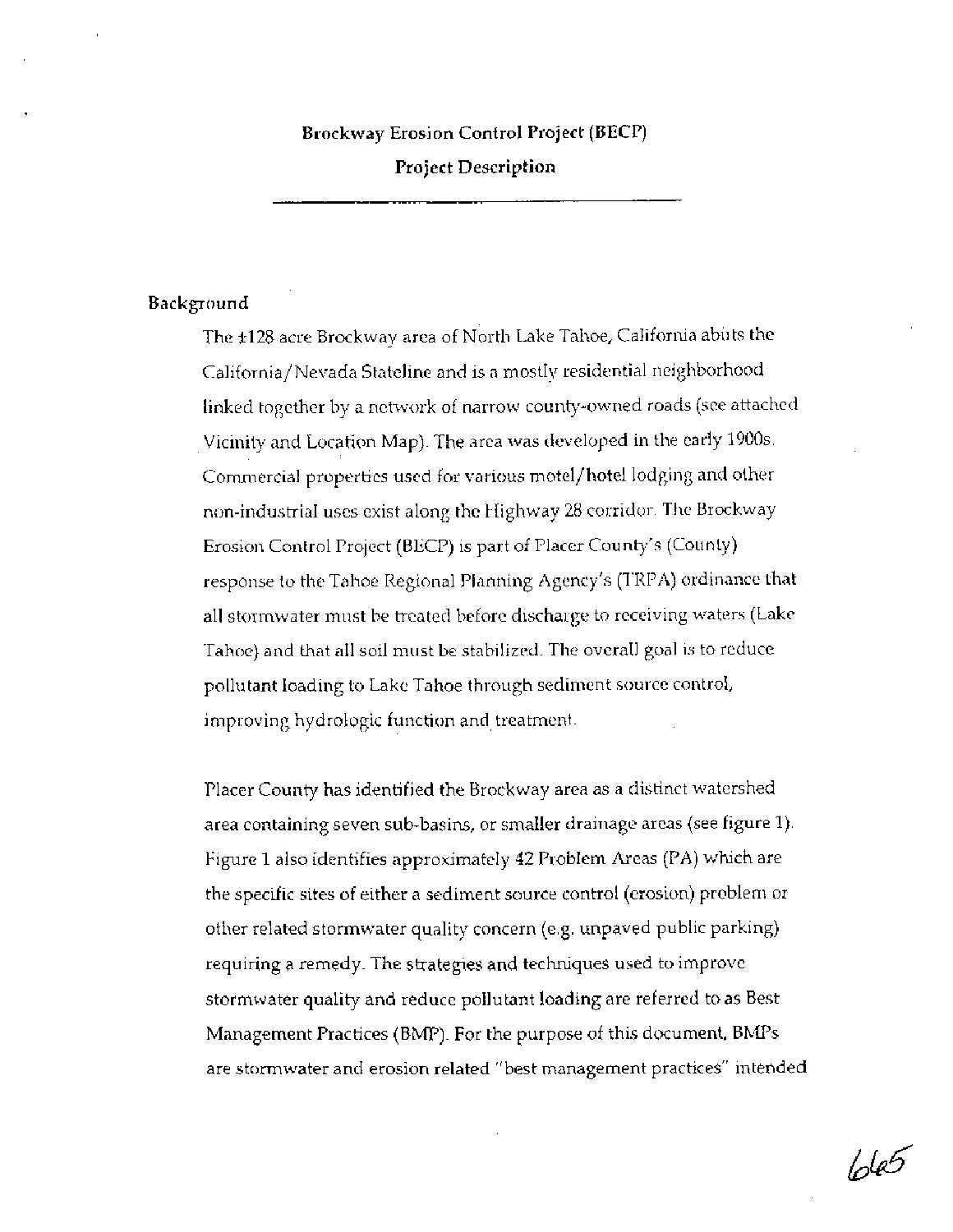# Brockway Erosion Control Project (BECP) Project Description

#### Background

The k128 acre Brockway area of North Lake Tahoe, California abuts the California/Nevada Stateline and is a mostly residential neighborhood linked together by a network of narrow county-owned roads (see attached Vicinity and Location Map). The area was developed in the early 1900s. Commercial properties used for various motel/hotel lodging and other non-industrial uses exist along the Highway 28 corridor. The Brockway Erosion Control Project (BECP) is part of Placer County's (County) response to the Tahoe Regional Planning Agency's (TRPA) ordinance that all stormwater must be treated before discharge to receiving waters (Lake Tahoe) and that all soil must be stabilized. The overall goal is to reduce pollutant loading to Lake Tahoe through sediment source control, improving hydrologic function and treatment.

Placer County has identified the Brockway area as a distinct watershed area containing seven sub-basins, or smaller drainage areas (see figure 1). Figure 1 also identifies approximately 42 Problem Areas (PA) whch are the specific sites of either a sediment source control (erosion) problem or other related stormwater quality concern (e.g, unpaved public parking) requiring a remedy. The strategies and techniques used to improve stormwater quality and reduce pollutant loading are referred to as Best Management Practices (BMP). For the purpose of this document, BMTs are stormwater and erosion related "best management practices" intended

 $\omega$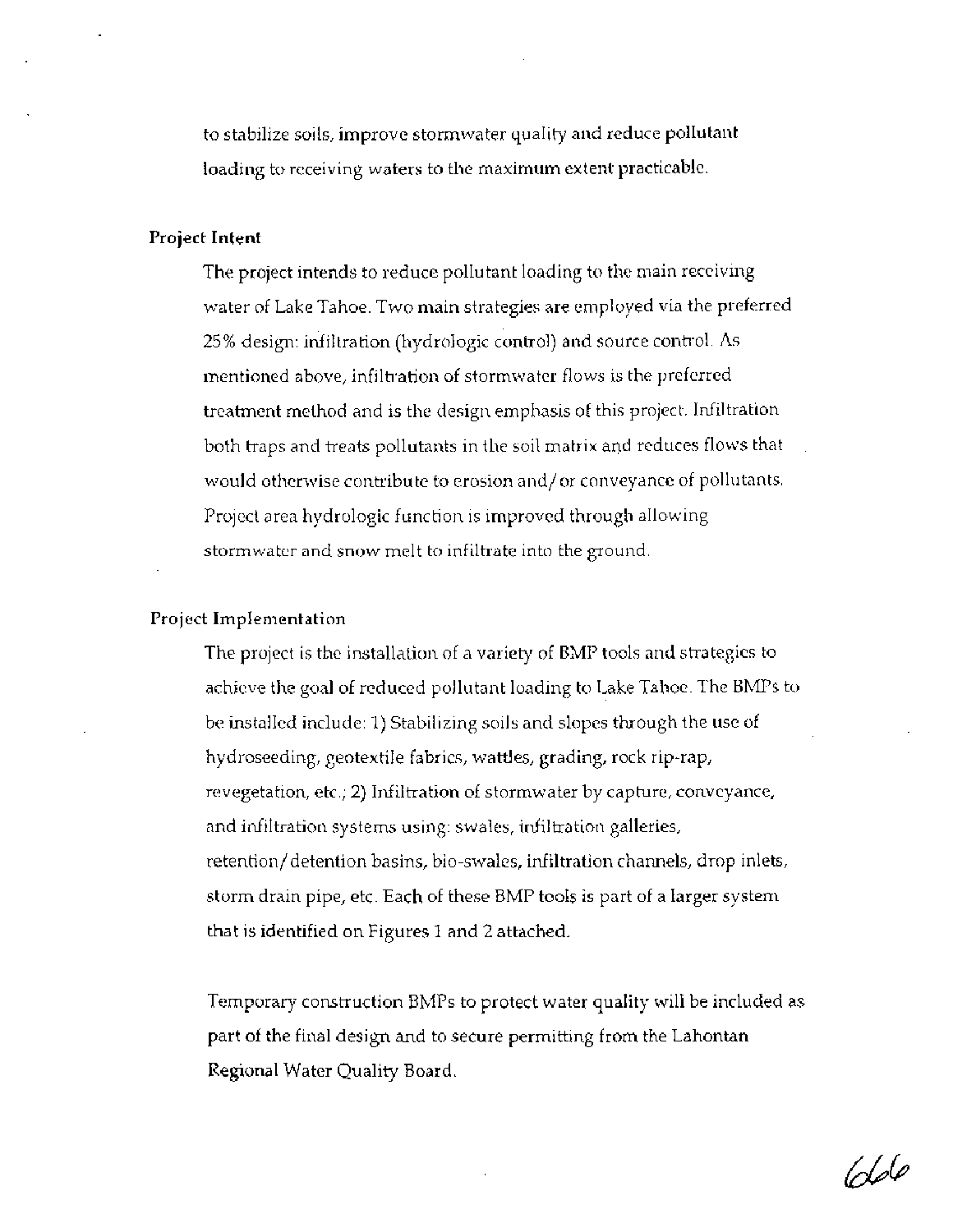to stabilize soils, improve stormwater quality and reduce pollutant loading to receiving waters to the maximum extent practicable.

#### Project Intent

The project intends to reduce pollutant loading to the main receiving water of Lake Tahoe. Two main strategies are employed via the preferred 25% design: infiltration (hydrologic control) and source control. As mentioned above, infiltration of stormwater flows is the preferred treatment method and is the design emphasis of ths project. Infiltration both traps and treats pollutants in the soil matrix and reduces flows that would otherwise contribute to erosion and/or conveyance of pollutants. Project area hydrologic function is improved through allowing storrnwater and snow melt to infiltrate into the ground.

#### Project Implementation

The project is the installation of a variety of BMP tools and strategies to achieve the goal of reduced pollutant loading to Lake Tahoe. The BMPs to be installed include: I) Stabilizing soils and slopes through the use of hydroseeding, geotextile fabrics, wattles, grading, rock rip-rap, revegetation, etc.; 2) Infiltration of stormwater by capture, conveyance, and infiltration systems using: swales, infiltration galleries, retention/detention basins, bio-swales, infiltration channels, drop inlets, storm drain pipe, etc. Each of these BMP tools is part of a larger system that is identified on Figures 1 and 2 attached.

Temporary construction BMPs to protect water quality will be included as part of the final design and to secure permitting from the Lahontan Regional Water Quality Board.

66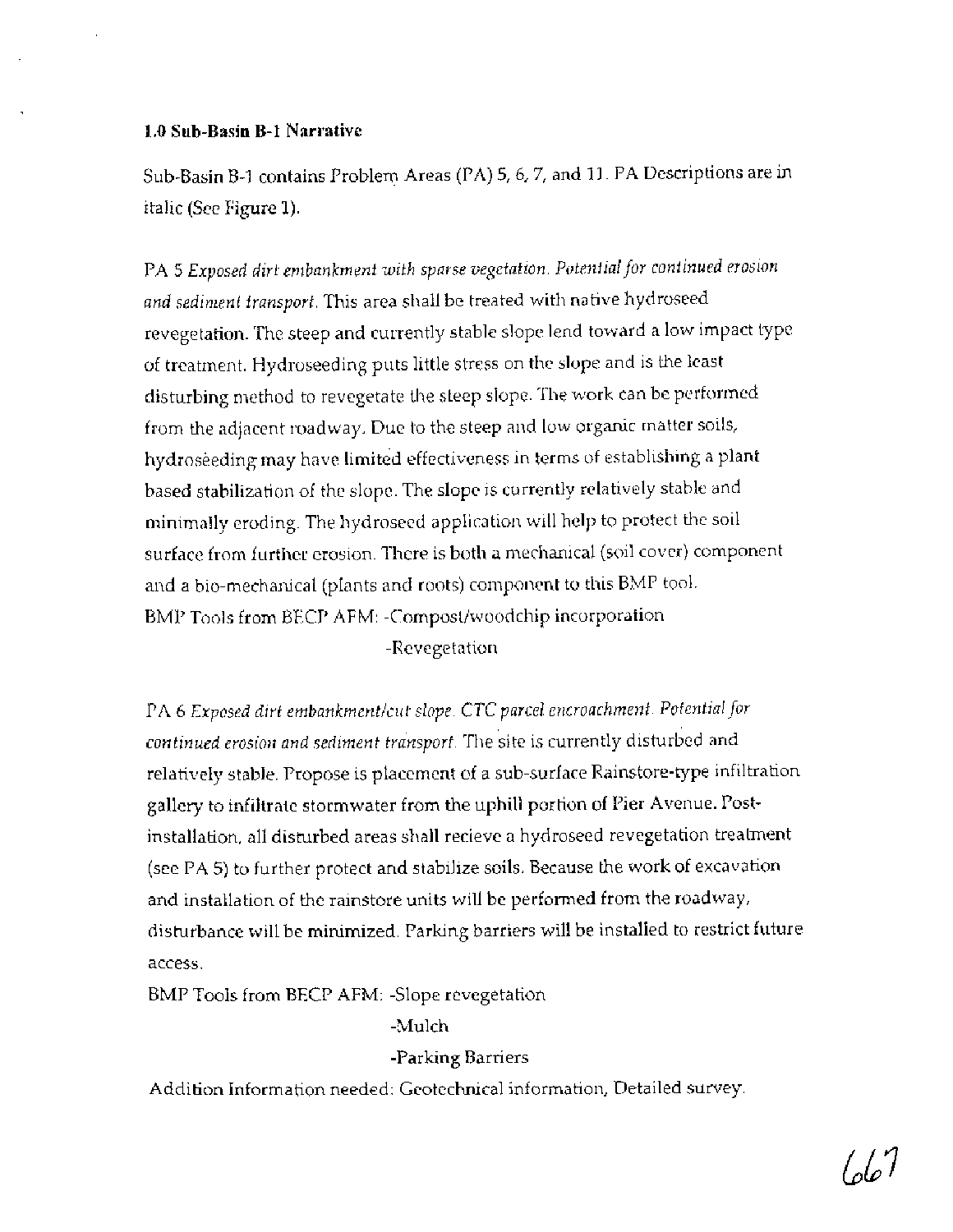### **1.0 Sub-Basin B-1 Narrative**

Sub-Basin B-1 contains Problem Areas (PA) 5,6, 7, and 11. PA Descriptions are in italic (See Figure 1).

*PA* 5 *Exposed dirt embankment with sparse vegetation. Potential for continued erosion*  and sediment transport. This area shall be treated with native hydroseed revegetation. The steep and currently stable slope lend toward a low impact type of treatment. Hydroseeding puts little stress on the slope and is the least disturbing method to revegetate the steep slope. The work can be performed from the adjacent roadway. Due to the steep and low organic matter soils, hydroseeding may have limited effectiveness in terms of establishing a plant based stabilization of the slope. The slope is currently relatively stable and minimally eroding. The hydroseed application will help to protect the soil surface from further erosion. There is both a mechanical (soil cover) component and a bio-mechanical (plants and roots) component to this BMP tool. BMP Tools from BECP AFM: -Compost/woodchip incorporation -Revegetation

PA 6 *Exposed dirt embankment/cut slope. CTC parcel encroachment. Potential for continued erosion and sediment transport.* The site is currently disturbed and relatively stable. Propose is placement of a sub-surface Rainstore-type infiltration gallery to infiltrate stormwater from the uphll portion of Pier Avenue. Postinstallation, all disturbed areas shall recieve a hydroseed revegetation treatment (see PA 5) to further protect and stabilize soils. Because the work of excavation and installation of the rainstore units will be performed from the roadway, disturbance will be minimized. Parking barriers will be installed to restrict future access.

BMP Tools from BECP AFM: -Slope revegetation

-Mulch

-Parking Barriers

Addition Information needed: Geotechrucal information, Detailed survey.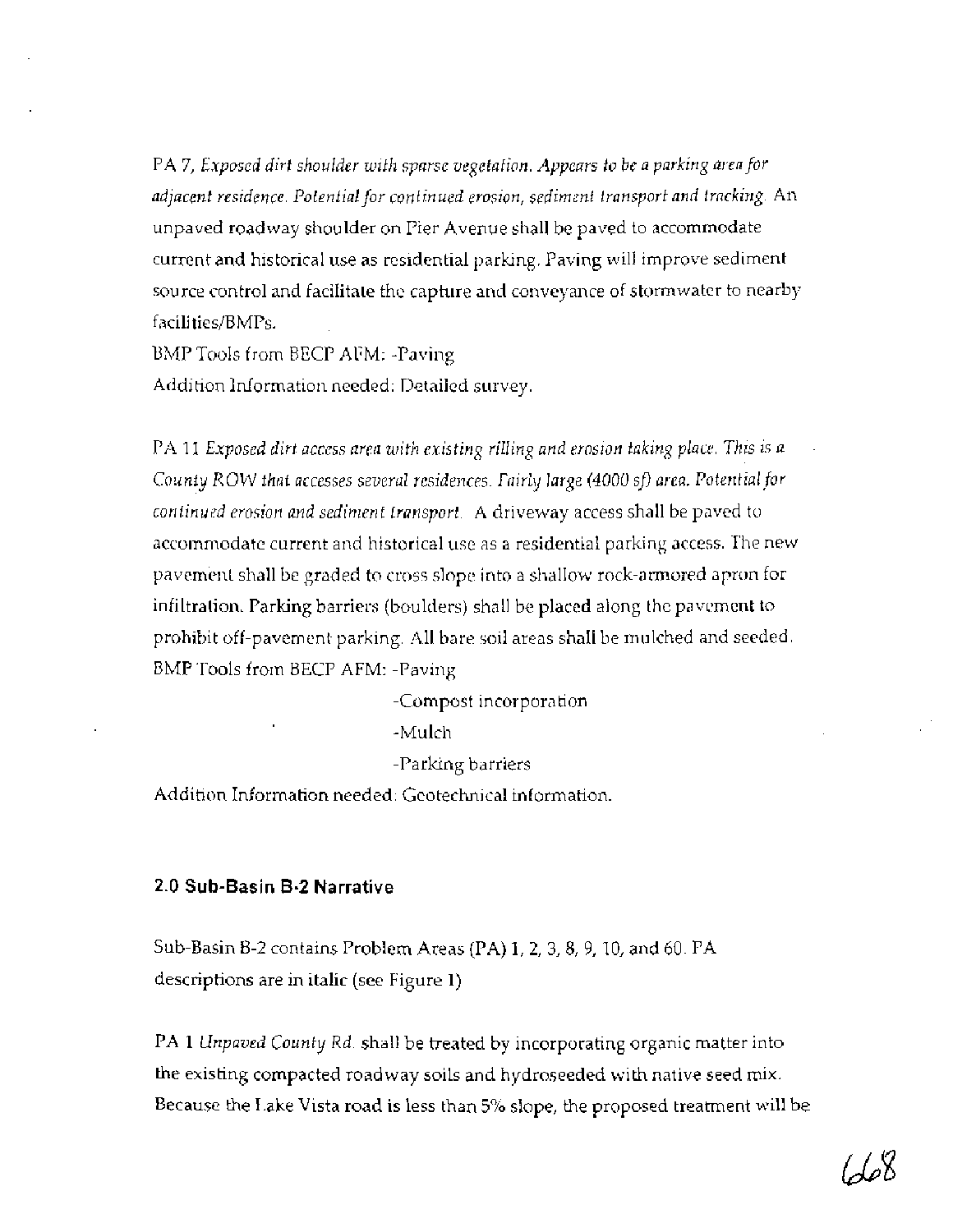PA 7, *Exposed dirt shoulder with sparse vegetation. Appears to be a parking area for adjacent residence. Potential for continued erosion, sediment transport and tracking.* An unpaved roadway shoulder on Pier Avenue shall be paved to accommodate current and historical use as residential parking. Paving will improve sediment source control and facilitate the capture and conveyance of stormwater to nearby facilities/BMPs.

BMP Tools from BECP AFM: -Paving Addition Information needed: Detailed survey.

PA 11 *Exposed dirt access area with existing rilling and erosion taking place. This is a County ROW that accesses several residences. Fairly large (4000 sJ) area. Potentialfor continued erosion and sediment transport.* A driveway access shall be paved to accommodate current and historical use as a residential parking access. The new pavement shall be graded to cross slope into a shallow rock-annored apron for infiltration. Parking barriers (boulders) shall be placed along the pavement to prohibit off-pavement parking. All bare soil areas shall be mulched and seeded. BMP Tools from BECP AFM: -Paving

-Compost incorporation

-Mulch

-Parking barriers

Addition Information needed: Geotechnical information.

### **2.0 Sub-Basin 6-2 Narrative**

Sub-Basin B-2 contains Problem Areas  $(PA)$  1, 2, 3, 8, 9, 10, and 60. PA descriptions are in italic (see Figure 1)

PA 1 *Unpaved County Rd.* shall be treated by incorporating organic matter into the existing compacted roadway soils and hydroseeded with native seed mix. Because the Lake Vista road is less than 5% slope, the proposed treatment will be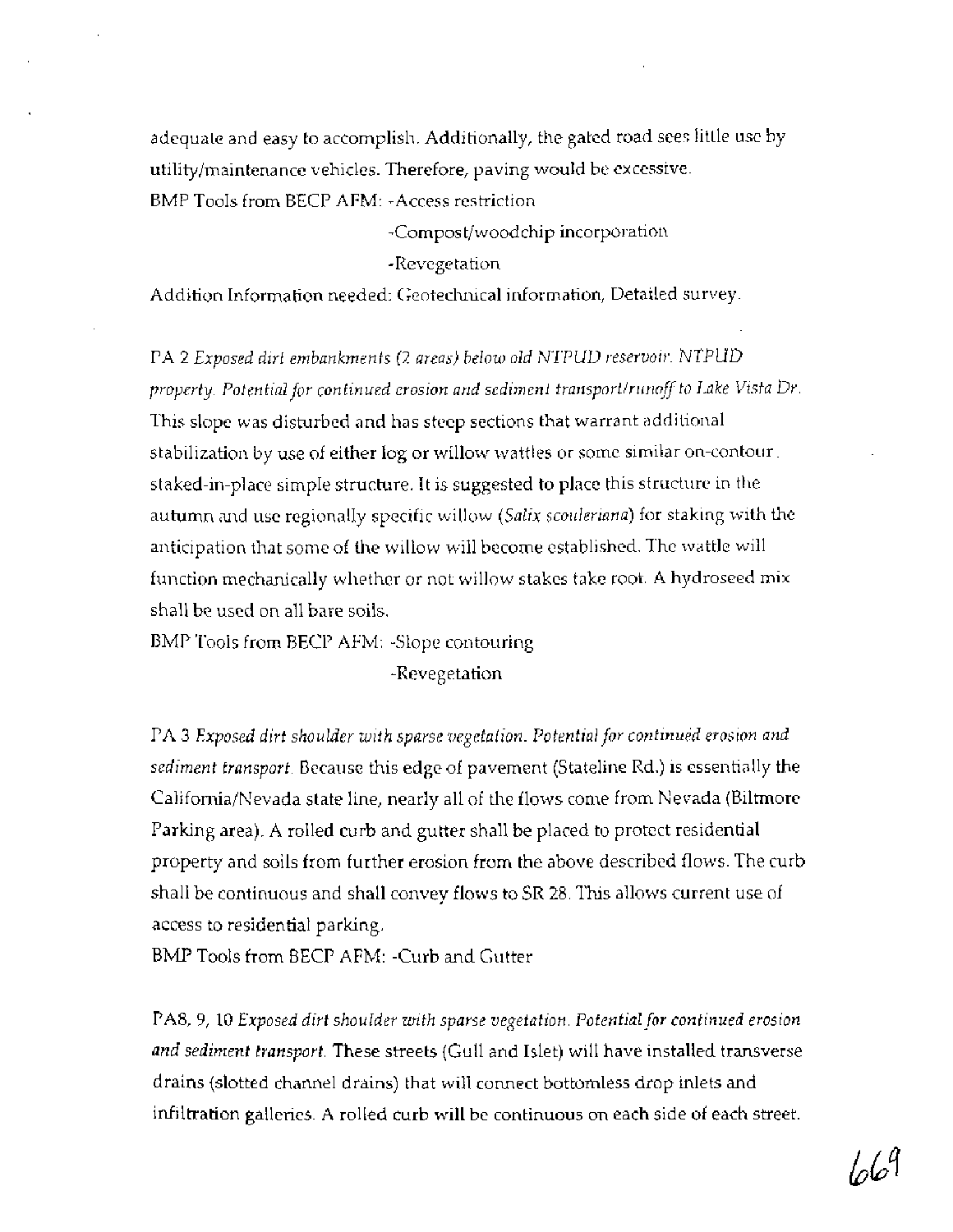adequate and easy to accomplish. Additionally, the gated road sees little use by utilityJmaintenance vehicles. Therefore, paving would be excessive. BMP Tools from BECP AFM: -Access restriction

-Compost/woodchip incorporation

#### -Revege tation

Addition Information needed: Geoteclmical information, Detailed survey.

PA 2 *Exposed dirt embankments (2 areas) below old NTPUD reservoir. NTPUD property. Potential for continued erosion and sediment transport/runoff to Lake Vista Dr.* This slope was disturbed and has steep sections that warrant additional stabilization by use of either log or willow wattles or some similar on-contour staked-in-place simple structure. It is suggested to place this structure in the autumn and use regionally specific willow *(Salix scouleriana)* for stalung with the anticipation that some of the willow will become established. The wattle will function mechanically whether or not willow stakes take root. A hydroseed mix shall be used on all bare soils.

BMP Tools from BECP AFM: -Slope contouring -Revegetation

PA 3 *Exposed dirt shoulder with sparse vegetation. Potential for continued erosion and sediment transport.* Because this edge of pavement (Stateline Rd.) is essentially the CaliforniaJNevada state line, nearly all of the flows come from Nevada (Biltrnore Parking area). A rolled curb and gutter shall be placed to protect residential property and soils from further erosion from the above described flows. The curb shall be continuous and shall convey flows to SR 28. Ths allows current use of access to residential parking.

BMP Tools from BECP AFM: -Curb and Gutter

PA8, 9, 10 *Exposed dirt shoulder with sparse vegetation. Potential for continued erosion and sediment transport.* These streets (Gull and Islet) will have installed transverse drains (slotted channel drains) that will connect bottomless drop inlets and infiltration galleries. A rolled curb will be continuous on each side of each street.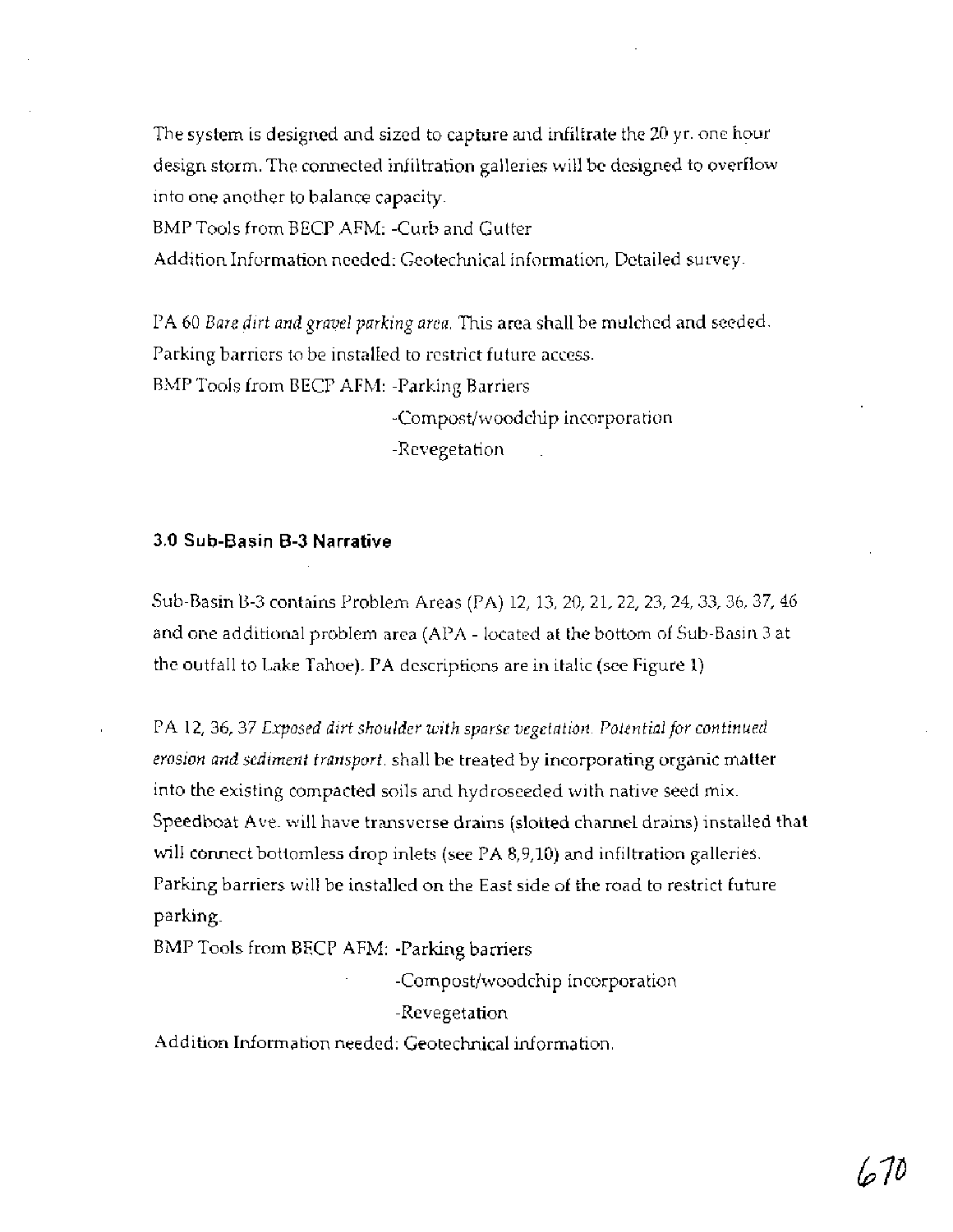The system is designed and sized to capture and infiltrate the 20 yr. one hour design storm. The connected infiltration galleries will be designed to overflow into one another to balance capacity.

BMP Tools from BECP AFM: -Curb and Gutter

Addition Information needed: Geotechnical information, Detailed survey.

PA 60 *Bare dirt and gravel parking area.* This area shall be mulched and seeded. Parking barriers to be installed to restrict future access. BMP Tools from BECP AFM: -Parking Barriers

-Compost/woodchip incorporation

-Revegetation

# **3.0 Sub-Basin 8-3 Narrative**

Sub-Basin B-3 contains Problem Areas (PA) 12,13,20,21,22,23,24,33,36,37, 46 and one additional problem area (APA - located at the bottom of Sub-Basin 3 at the outfall to Lake Tahoe). PA descriptions are in italic (see Figure 1)

PA 12, 36, 37 *Exposed dirt shoulder with sparse vegetation. Potential for continued erosion and sediment transport.* shall be treated by incorporating organic matter into the existing compacted soils and hydroseeded with native seed mix. Speedboat Ave. will have transverse drains (slotted channel drains) installed that will connect bottomless drop inlets (see PA 8,9,10) and infiltration galleries. Parking barriers will be installed on the East side of the road to restrict future parking.

BMP Tools from BECP AFM: -Parking barriers

-Compost/woodchp incorporation

-Revegetation

Addition Information needed: Geotechnical information.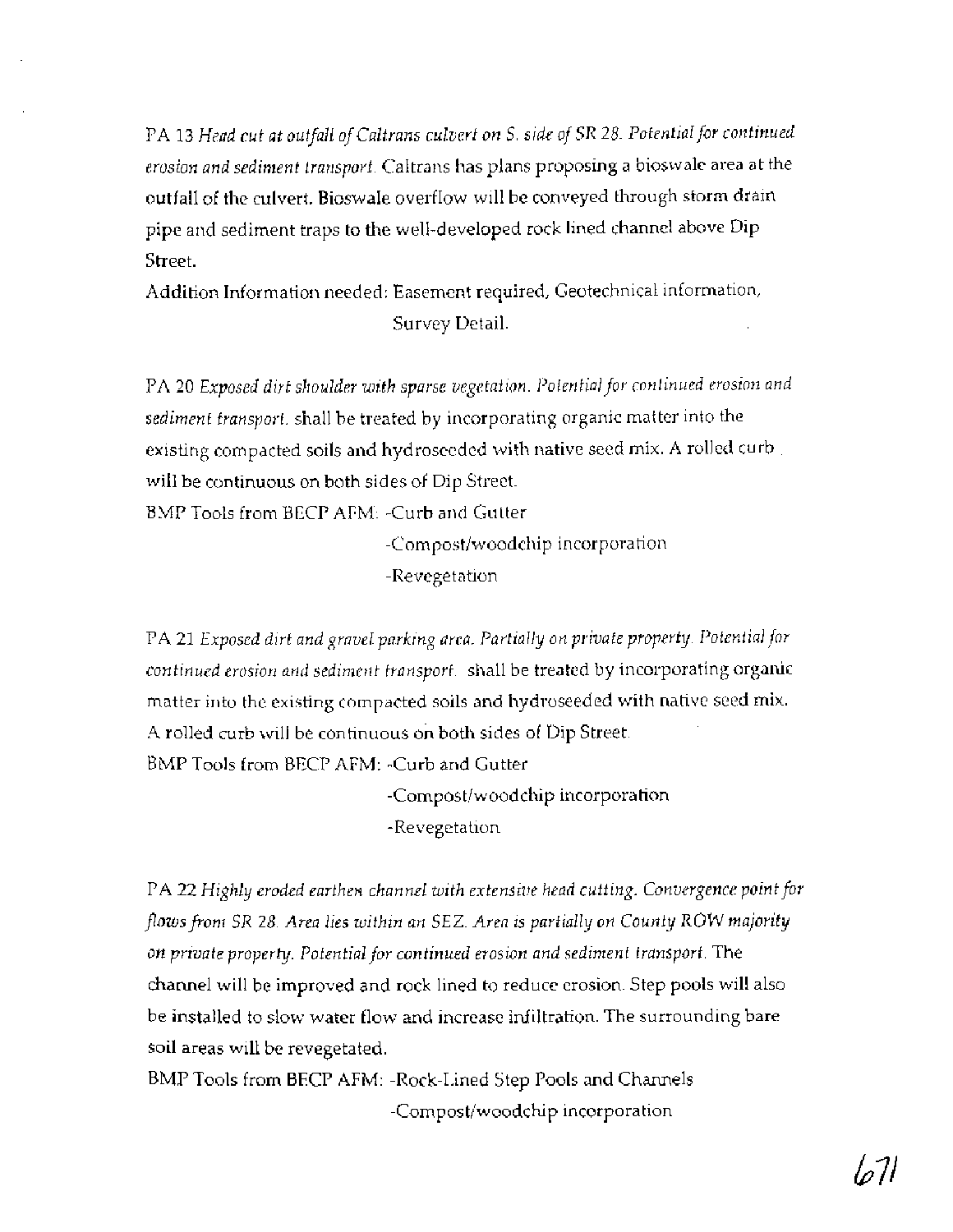*PA 13 Head cut at outfall of Caltrans culvert on S. side of SR 28. Potential for continued erosion and sediment transport.* Caltrans has plans proposing a bioswale area at the outfall of the culvert. Bioswale overflow will be conveyed through storm drain pipe and sediment traps to the well-developed rock lined channel above Dip Street.

Addition Information needed: Easement required, Geotechnical information, Survey Detail.

PA 20 *Exposed dirt shoulder with sparse vegetation. Potential for continued erosion and sediment transport.* shall be treated by incorporating organic matter into the existing compacted soils and hydroseeded with native seed mix. A rolled curb will be continuous on both sides of Dip Street.

BMP Tools from BECP AFM: -Curb and Gutter

-Compost/woodchip incorporation -Revegetation

*PA 21 Exposed dirt and gravel parking area. Partially on private property. Potential for continued erosion and sediment transport.* shall be treated by incorporating organic matter into the existing compacted soils and hydroseeded with native seed mix. A rolled curb will be continuous on both sides of Dip Street. BMP Tools from BECP AFM: -Curb and Gutter

> -Compost/woodchip incorporation -Revegetation

PA 22 *Highly eroded earthen channel with extensive head cutting. Convergence point for flowsfronz* SR *28. Area lies within an SEZ. Area is partially on County ROW majority on private property. Potential for continued erosion and sediment transport.* The channel will be improved and rock lined to reduce erosion. Step pools will also be installed to slow water flow and increase infiltration. The surrounding bare soil areas will be revegetated.

BMP Tools from BECP AFM: -Rock-Lined Step Pools and Channels -Compost/woodchip incorporation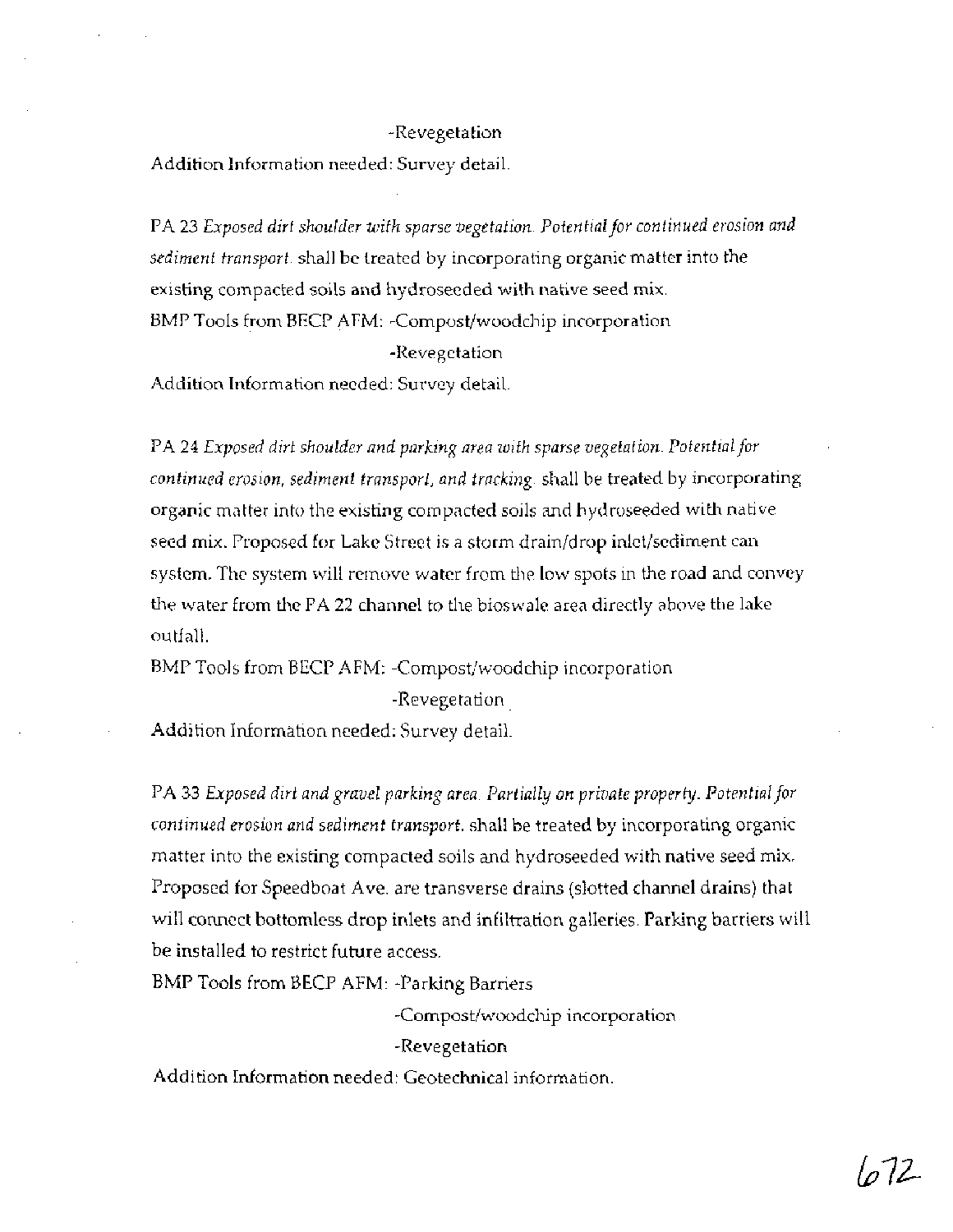#### -Revegetation

Addition Information needed: Survey detail.

PA 23 *Exposed dirt shoulder with sparse vegetation. Potential for continued erosion and sediment transport,* shall be treated by incorporating organic matter into the existing compacted soils and hydroseeded with native seed mix. BMP Tools from BECP AFM: -Compost/woodchip incorporation -Revegetation

Addition Information needed: Survey detail.

PA 24 *Exposed dirt shoulder and parking area with sparse vegetation. Potential for continued erosion, sediment transport, and tracking,* shall be treated by incorporating organic matter into the existing compacted soils and hydroseeded with native seed mix. Proposed for Lake Street is a storm drain/drop inlet/sediment can system. The system will remove water from the low spots in the road and convey the water from the PA 22 channel to the bioswale area directly above the lake outfall.

BMP Tools from BECP AFM: -Compost/woodchip incorporation -Revegetation -

Addition Information needed: Survey detail.

PA *33 Exposed dirt and gravel parking area Partially on private property. Potential for continued erosion and sediment transport.* shall be treated by incorporating organic matter into the existing compacted soils and hydroseeded with native seed mix. Proposed for Speedboat Ave. are transverse drains (slotted channel drains) that will connect bottomless drop inlets and infiltration galleries. Parking barriers will be installed to restrict future access.

BMP Tools from BECP AFM: -Parking Barriers

-Compost/woodchip incorporation

-Revegetation

Addition Information needed: Geotechnical information.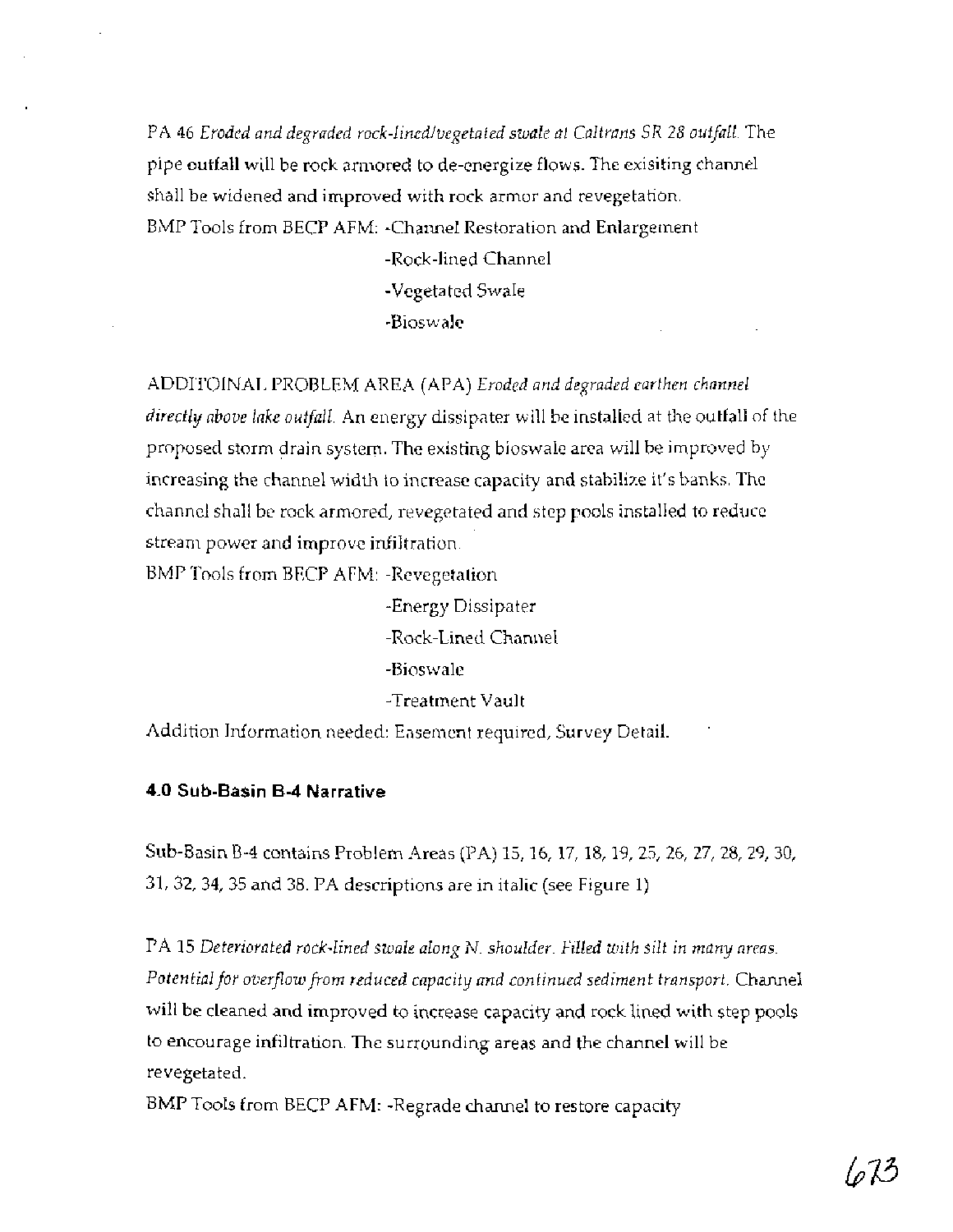PA 46 *Eroded and degraded rock-lined/vegetated swale at Caltrans SR 28 outfall.* The pipe outfall will be rock armored to de-energize flows. The exisiting channel shall be widened and improved with rock armor and revegetation. BMP Tools from BECP AFM: -Channel Restoration and Enlargement

> -Rock-lined Channel -Vegetated Swale

-Bioswale

ADDITOINAL PROBLEM AREA (APA) *Eroded and degraded earthen channel directly above lake out;fall.* An energy dissipater will be installed at the outfall of the proposed storm drain system. The existing bioswale area will be improved by increasing the channel width to increase capacity and stabilize it's banks. The channel shall be rock armored, revegetated and step pools installed to reduce stream power and improve infiltration.

BMP Tools from BECP AFM: -Revegetation

-Energy Dissipater -Rock-Lined Channel -Bioswale -Treatment Vault

Addition Information needed: Easement required, Survey Detail. '

## **4.0 Sub-Basin B-4 Narrative**

Sub-Basin 8-4 contains Problem Areas (PA) 15,16,17,18,19,25,26,27,28,29,30, 31,32,34,35 and 38. PA descriptions are in italic (see Figure 1)

*PA 15 Deteriorated rock-lined swale along N. shoulder. Filled with silt in many areas.*  Potential for overflow from reduced capacity and continued sediment transport. Channel will be cleaned and improved to increase capacity and rock lined with step pools to encourage infiltration. The surrounding areas and the channel will be revegetated.

BMP Tools from BECP AFM: -Regrade channel to restore capacity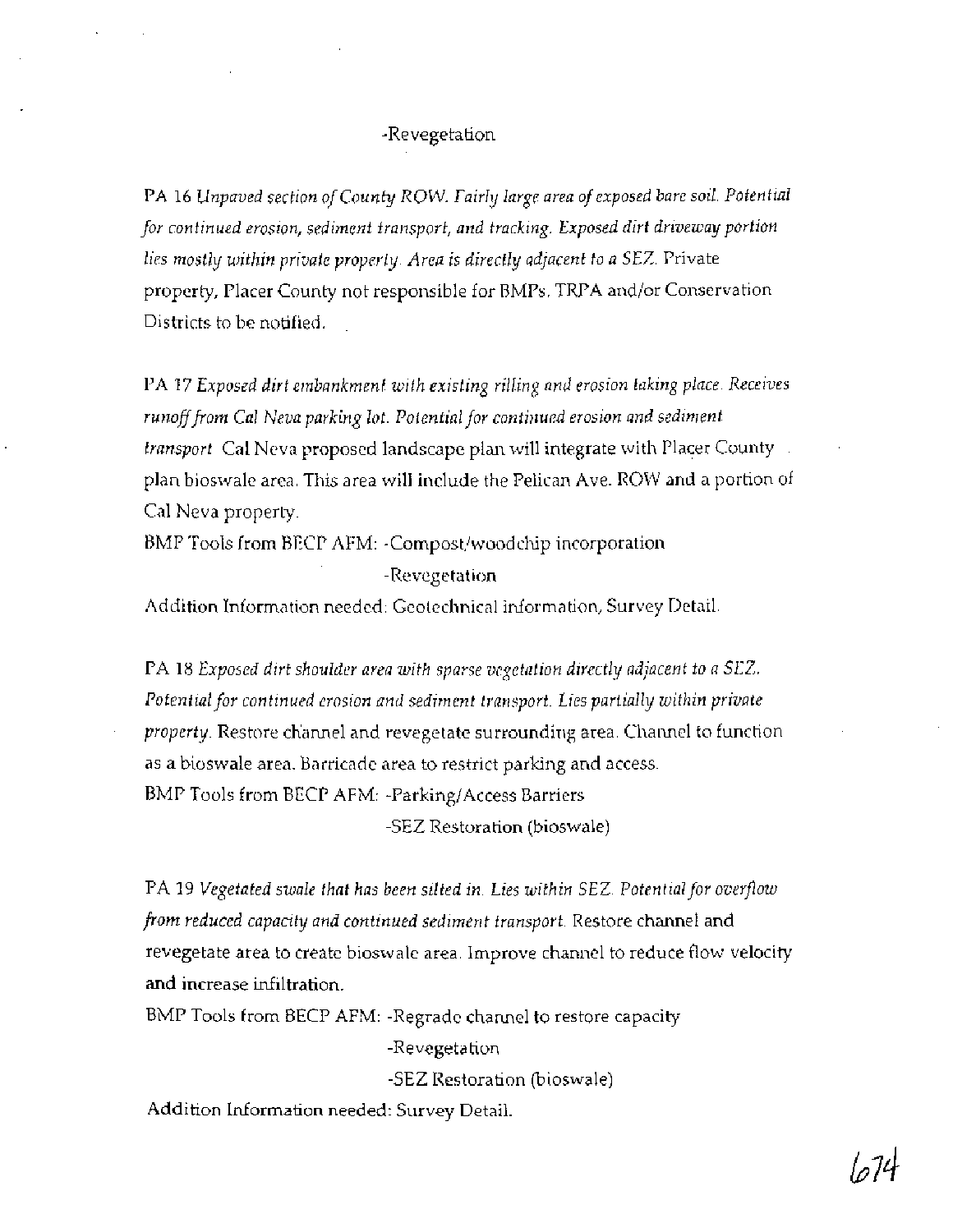#### -Revegetation

PA 16 *Unpaved section of County ROW. Fairly large area of exposed bare soil. Potential for continued erosion, sediment transport; and tracking. Exposed dirt driveway portion lies mostly within private property. Area is directly adjacent to a SEZ.* Private property, Placer County not responsible for BMPs. TRPA and/or Conservation Districts to be notified.

PA 17 *Exposed dirt embankment with existing rilling and erosion taking place. Receives*  runoff from Cal Neva parking lot. Potential for continued erosion and sediment *transport.* Cal Neva proposed landscape plan will integrate with Placer County : plan bioswale area. This area will include the Pelican Ave. ROW and a portion of Cal Neva property.

BMP Tools from BECP AFM: -Compost/woodchip incorporation

-Revegetation

Addition Information needed: Geotechnical information, Survey Detail.

PA 18 *Exposed dirt shoulder area with sparse vegetation directly adjacent to a SEZ. Potential for continued erosion and sediment transport. Lies partially within private property.* Restore channel and revegetate surrounding area. Channel to function as a bioswale area. Barricade area to restrict parking and access. BMP Tools from BECP AFM: -Parking/Access Barriers

-SEZ Restoration (bioswale)

PA 19 *Vegetafed swale that has been silted in. Lies within SEZ. Potential for overflow from reduced capacity and continued sediment transport* Restore channel and revegetate area to create bioswale area. Improve channel to reduce flow velocity and increase mfiltration.

BMP Tools from BECP AFM: -Regrade channel to restore capacity

-Revegeta tion

-SEZ Restoration (bioswale)

Addition Information needed: Survey Detail.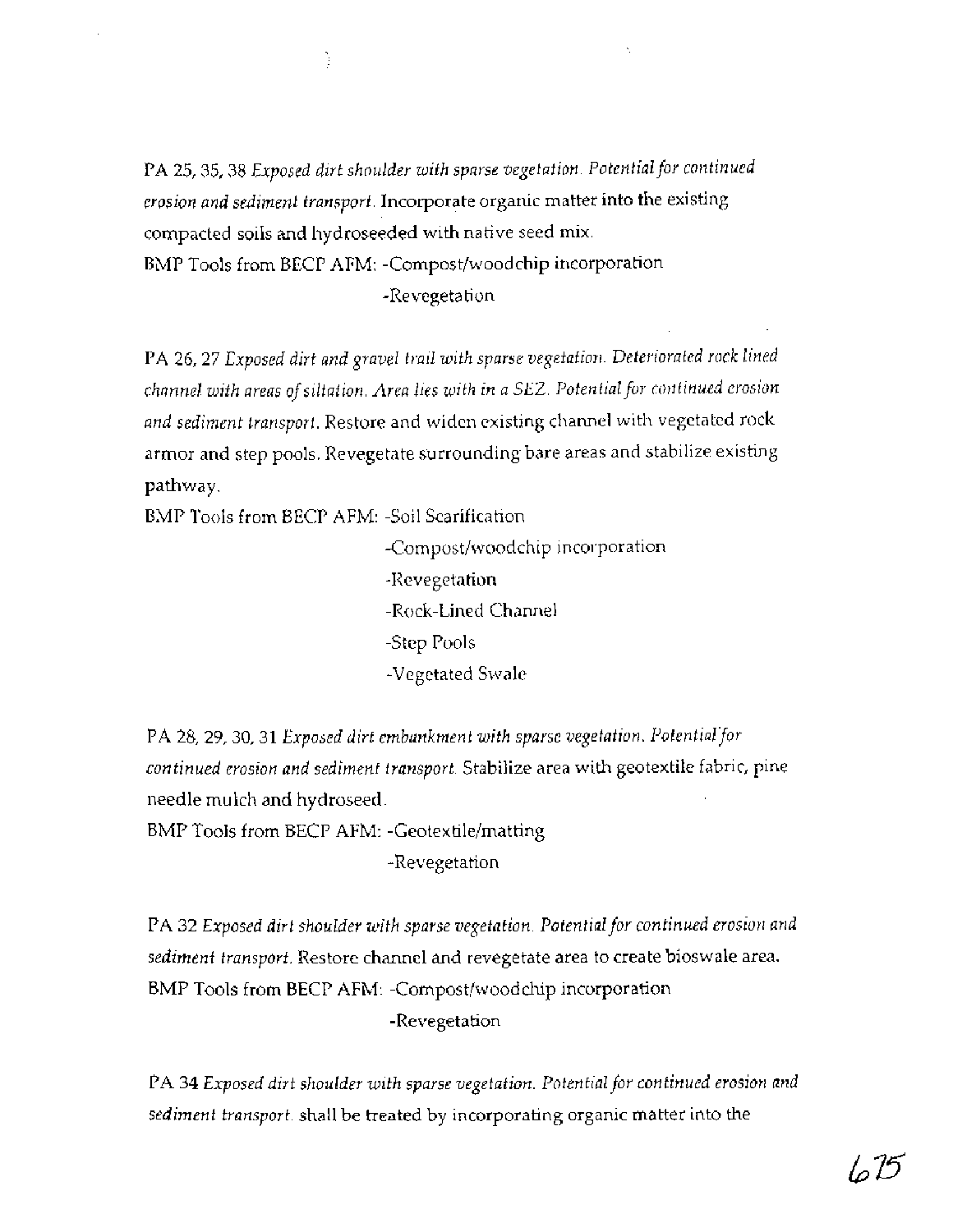PA 25, 35, 38 *Exposed dirt shoulder with sparse vegetation. Potential for continued erosion and sediment transport.* Incorporate organic matter into the existing compacted soils and hydroseeded with native seed mix. BMP Tools from BECP AFM: -Compost/woodchip incorporation -Revegetation

×.

*PA 26, 27 Exposed dirt and gravel trail with sparse vegetation Deteriorated rock lined channel with areas of siltation. Area lies with in a SEZ. Potential for continued erosion and sediment transport.* Restore and widen existing channel with vegetated rock armor and step pools. Revegetate surrounding bare areas and stabilize existing pathway.

BMP Tools from BECP AFM: -Soil Scarification

ğ.

-Compost/woodchip incorporation -Revegetation -Rock-Lined Channel -Step Pools -Vegetated Swale

PA 28, 29, 30, 31 *Exposed dirt embankment with sparse vegetation. Potential for continued erosion and sediment transport.* Stabilize area with geotextile fabric, pine needle mulch and hydroseed.

BMP Tools from BECP AFM: -Geotextile/matting

-Revegetation

PA **32** *Exposed dirt shoulder with sparse vegetation. Potentialfor continued erosion and sediment transport.* Restore channel and revegetate area to create bioswale area. BMP Tools from BECP AFM: -Compost/woodchip incorporation -Revegetation

*PA 34 Exposed dirt shoulder with sparse vegetation. Potentialfor continued erosion and sediment transport.* shall be treated by incorporating organic matter into the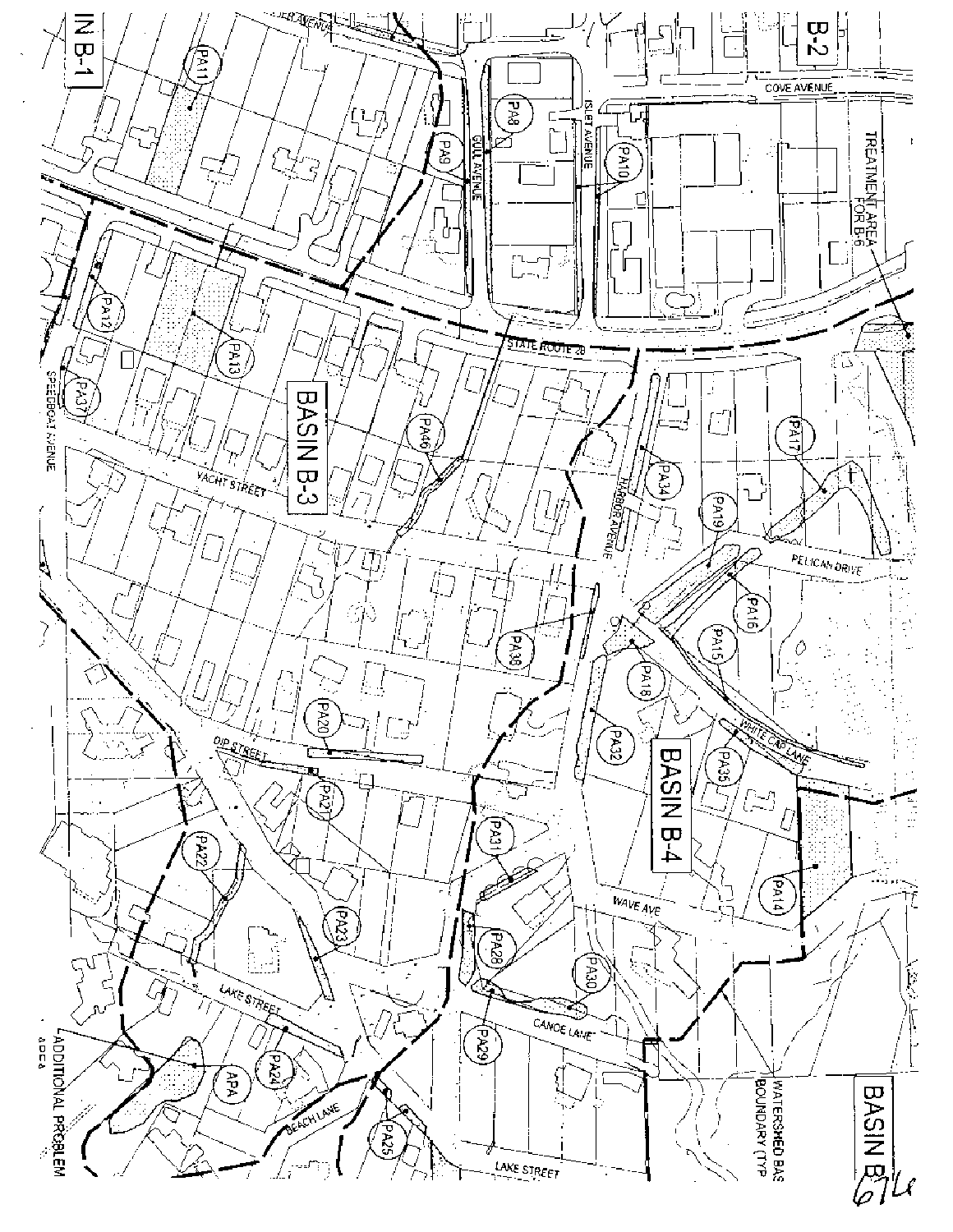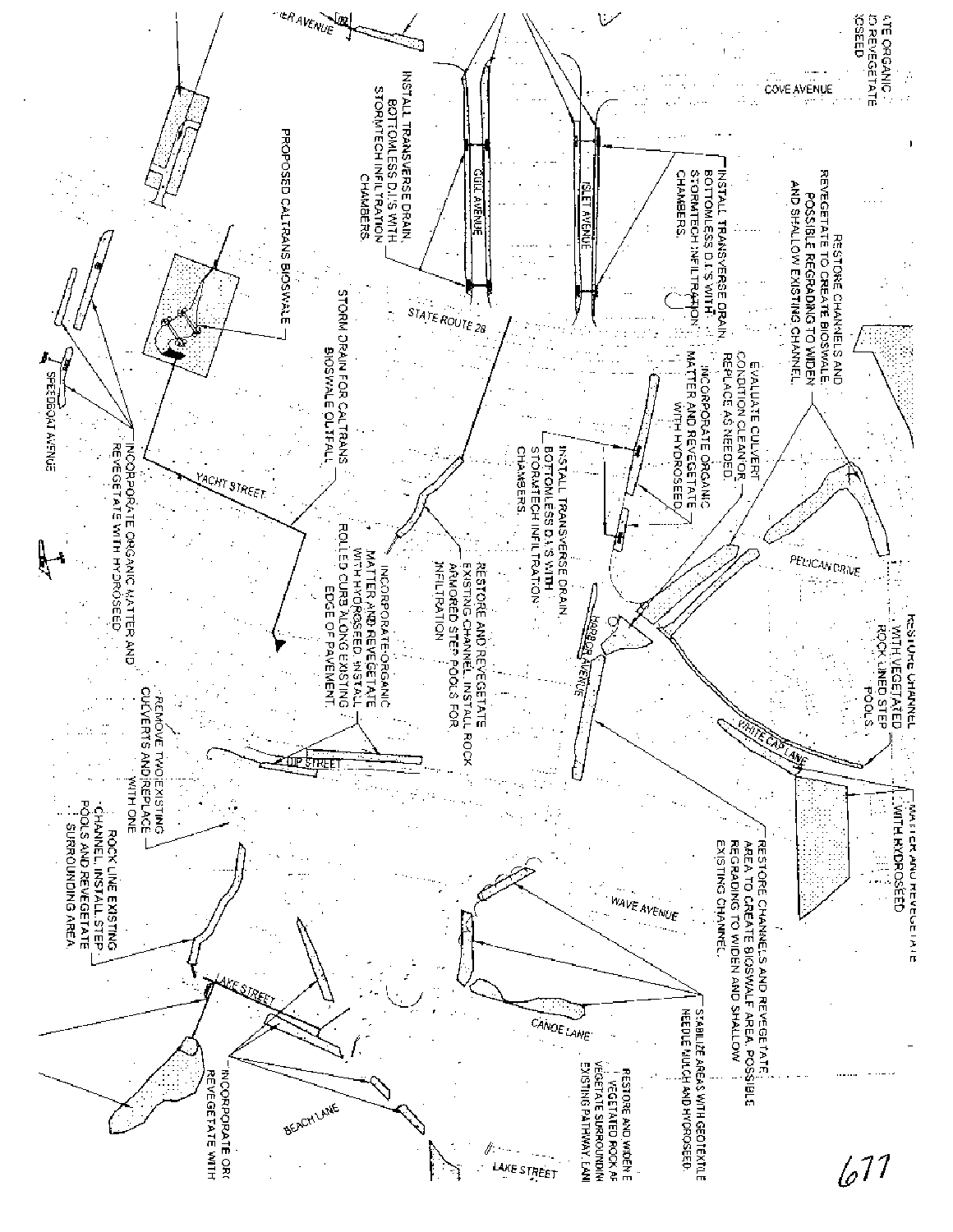